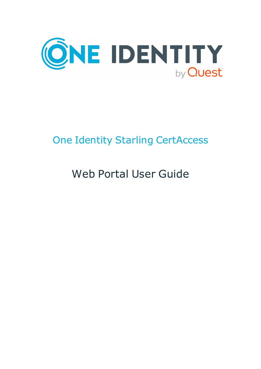

# One Identity Starling CertAccess

# Web Portal User Guide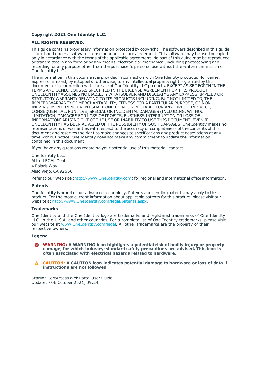#### **Copyright 2021 One Identity LLC.**

#### **ALL RIGHTS RESERVED.**

This guide contains proprietary information protected by copyright. The software described in this guide is furnished under a software license or nondisclosure agreement. This software may be used or copied only in accordance with the terms of the applicable agreement. No part of this guide may be reproduced or transmitted in any form or by any means, electronic or mechanical, including photocopying and recording for any purpose other than the purchaser's personal use without the written permission of One Identity LLC .

The information in this document is provided in connection with One Identity products. No license, express or implied, by estoppel or otherwise, to any intellectual property right is granted by this document or in connection with the sale of One Identity LLC products. EXCEPT AS SET FORTH IN THE TERMS AND CONDITIONS AS SPECIFIED IN THE LICENSE AGREEMENT FOR THIS PRODUCT, ONE IDENTITY ASSUMES NO LIABILITY WHATSOEVER AND DISCLAIMS ANY EXPRESS, IMPLIED OR STATUTORY WARRANTY RELATING TO ITS PRODUCTS INCLUDING, BUT NOT LIMITED TO, THE IMPLIED WARRANTY OF MERCHANTABILITY, FITNESS FOR A PARTICULAR PURPOSE, OR NON-INFRINGEMENT. IN NO EVENT SHALL ONE IDENTITY BE LIABLE FOR ANY DIRECT, INDIRECT, CONSEQUENTIAL, PUNITIVE, SPECIAL OR INCIDENTAL DAMAGES (INCLUDING, WITHOUT LIMITATION, DAMAGES FOR LOSS OF PROFITS, BUSINESS INTERRUPTION OR LOSS OF INFORMATION) ARISING OUT OF THE USE OR INABILITY TO USE THIS DOCUMENT, EVEN IF ONE IDENTITY HAS BEEN ADVISED OF THE POSSIBILITY OF SUCH DAMAGES. One Identity makes no representations or warranties with respect to the accuracy or completeness of the contents of this document and reserves the right to make changes to specifications and product descriptions at any time without notice. One Identity does not make any commitment to update the information contained in this document.

If you have any questions regarding your potential use of this material, contact:

One Identity LLC. Attn: LEGAL Dept 4 Polaris Way Aliso Viejo, CA 92656

Refer to our Web site ([http://www.OneIdentity.com](http://www.oneidentity.com/)) for regional and international office information.

#### **Patents**

One Identity is proud of our advanced technology. Patents and pending patents may apply to this product. For the most current information about applicable patents for this product, please visit our website at [http://www.OneIdentity.com/legal/patents.aspx](http://www.oneidentity.com/legal/patents.aspx).

#### **Trademarks**

One Identity and the One Identity logo are trademarks and registered trademarks of One Identity LLC. in the U.S.A. and other countries. For a complete list of One Identity trademarks, please visit our website at [www.OneIdentity.com/legal](http://www.oneidentity.com/legal). All other trademarks are the property of their respective owners.

#### **Legend**

**WARNING: A WARNING icon highlights a potential risk of bodily injury or property damage, for which industry-standard safety precautions are advised. This icon is often associated with electrical hazards related to hardware.**

**CAUTION: A CAUTION icon indicates potential damage to hardware or loss of data if** Δ **instructions are not followed.**

Starling CertAccess Web Portal User Guide Updated - 06 October 2021, 09:24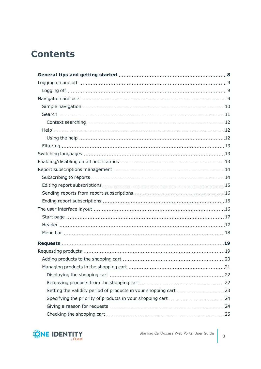## **Contents**

| Managing products in the shopping cart | .21 |
|----------------------------------------|-----|
|                                        |     |
|                                        |     |
|                                        |     |
|                                        |     |
|                                        |     |
|                                        |     |

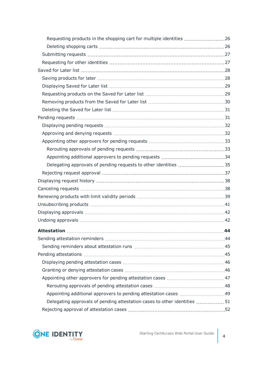| Requesting products in the shopping cart for multiple identities 26       |    |
|---------------------------------------------------------------------------|----|
|                                                                           |    |
|                                                                           |    |
|                                                                           |    |
|                                                                           |    |
|                                                                           |    |
|                                                                           |    |
|                                                                           |    |
|                                                                           |    |
|                                                                           |    |
|                                                                           |    |
|                                                                           |    |
|                                                                           |    |
|                                                                           |    |
|                                                                           |    |
|                                                                           |    |
|                                                                           |    |
|                                                                           |    |
|                                                                           |    |
|                                                                           |    |
|                                                                           |    |
|                                                                           |    |
|                                                                           |    |
|                                                                           |    |
| <b>Attestation</b>                                                        | 44 |
|                                                                           |    |
|                                                                           |    |
|                                                                           |    |
|                                                                           |    |
|                                                                           |    |
|                                                                           |    |
|                                                                           |    |
|                                                                           |    |
| Delegating approvals of pending attestation cases to other identities  51 |    |
|                                                                           |    |

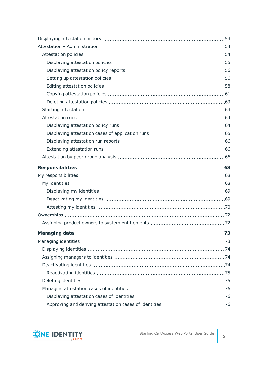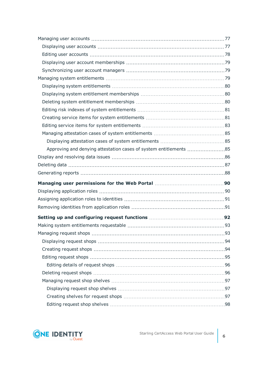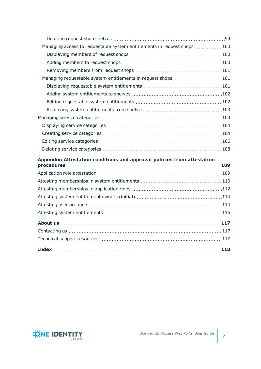| Managing access to requestable system entitlements in request shops  100 |  |
|--------------------------------------------------------------------------|--|
|                                                                          |  |
|                                                                          |  |
|                                                                          |  |
| Managing requestable system entitlements in request shops  101           |  |
|                                                                          |  |
|                                                                          |  |
|                                                                          |  |
|                                                                          |  |
|                                                                          |  |
|                                                                          |  |
|                                                                          |  |
|                                                                          |  |
|                                                                          |  |
| Appendix: Attestation conditions and approval policies from attestation  |  |
|                                                                          |  |
|                                                                          |  |
|                                                                          |  |
|                                                                          |  |
|                                                                          |  |
|                                                                          |  |
|                                                                          |  |
|                                                                          |  |
|                                                                          |  |
|                                                                          |  |
|                                                                          |  |

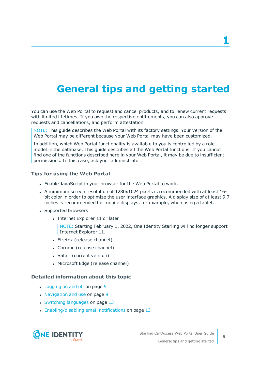## <span id="page-7-0"></span>**General tips and getting started**

You can use the Web Portal to request and cancel products, and to renew current requests with limited lifetimes. If you own the respective entitlements, you can also approve requests and cancellations, and perform attestation.

NOTE: This guide describes the Web Portal with its factory settings. Your version of the Web Portal may be different because your Web Portal may have been customized.

In addition, which Web Portal functionality is available to you is controlled by a role model in the database. This guide describes all the Web Portal functions. If you cannot find one of the functions described here in your Web Portal, it may be due to insufficient permissions. In this case, ask your administrator.

### **Tips for using the Web Portal**

- Enable JavaScript in your browser for the Web Portal to work.
- A minimum screen resolution of 1280x1024 pixels is recommended with at least 16bit color in order to optimize the user interface graphics. A display size of at least 9.7 inches is recommended for mobile displays, for example, when using a tablet.
- Supported browsers:
	- Internet Explorer 11 or later

NOTE: Starting February 1, 2022, One Identity Starling will no longer support Internet Explorer 11.

- Firefox (release channel)
- Chrome (release channel)
- Safari (current version)
- Microsoft Edge (release channel)

### **Detailed information about this topic**

- [Logging](#page-8-0) on and off on page 9
- [Navigation](#page-8-2) and use on page 9
- Switching [languages](#page-12-1) on page 13
- [Enabling/disabling](#page-12-2) email notifications on page 13



**8**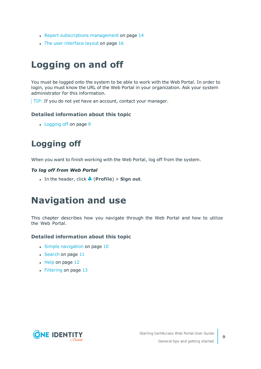- Report subscriptions [management](#page-13-0) on page 14
- The user [interface](#page-15-2) layout on page 16

## <span id="page-8-0"></span>**Logging on and off**

You must be logged onto the system to be able to work with the Web Portal. In order to login, you must know the URL of the Web Portal in your organization. Ask your system administrator for this information.

TIP: If you do not yet have an account, contact your manager.

### **Detailed information about this topic**

• [Logging](#page-8-1) off on page 9

## <span id="page-8-1"></span>**Logging off**

When you want to finish working with the Web Portal, log off from the system.

### *To log off from Web Portal*

<sup>l</sup> In the header, click (**Profile**) > **Sign out**.

## <span id="page-8-2"></span>**Navigation and use**

This chapter describes how you navigate through the Web Portal and how to utilize the Web Portal.

### **Detailed information about this topic**

- $\cdot$  Simple [navigation](#page-9-0) on page 10
- $\cdot$  [Search](#page-10-0) on page 11
- $\cdot$  Help on [page](#page-11-1) 12
- [Filtering](#page-12-0) on page 13

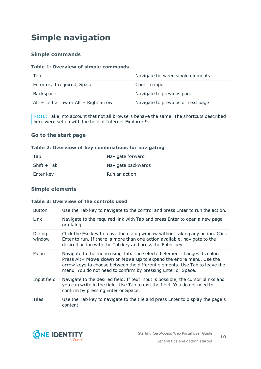## <span id="page-9-0"></span>**Simple navigation**

### **Simple commands**

### **Table 1: Overview of simple commands**

| Tab                                   | Navigate between single elements  |
|---------------------------------------|-----------------------------------|
| Enter or, if required, Space          | Confirm input                     |
| Backspace                             | Navigate to previous page         |
| Alt + Left arrow or Alt + Right arrow | Navigate to previous or next page |

NOTE: Take into account that not all browsers behave the same. The shortcuts described here were set up with the help of Internet Explorer 9.

### **Go to the start page**

### **Table 2: Overview of key combinations for navigating**

| Tab         | Navigate forward   |
|-------------|--------------------|
| Shift + Tab | Navigate backwards |
| Enter key   | Run an action      |

### **Simple elements**

### **Table 3: Overview of the controls used**

| <b>Button</b>    | Use the Tab key to navigate to the control and press Enter to run the action.                                                                                                                                                                                                              |
|------------------|--------------------------------------------------------------------------------------------------------------------------------------------------------------------------------------------------------------------------------------------------------------------------------------------|
| Link             | Navigate to the required link with Tab and press Enter to open a new page<br>or dialog.                                                                                                                                                                                                    |
| Dialog<br>window | Click the Esc key to leave the dialog window without taking any action. Click<br>Enter to run. If there is more than one action available, navigate to the<br>desired action with the Tab key and press the Enter key.                                                                     |
| Menu             | Navigate to the menu using Tab. The selected element changes its color.<br>Press Alt+ Move down or Move up to expand the entire menu. Use the<br>arrow keys to choose between the different elements. Use Tab to leave the<br>menu. You do not need to confirm by pressing Enter or Space. |
| Input field      | Navigate to the desired field. If text input is possible, the cursor blinks and<br>you can write in the field. Use Tab to exit the field. You do not need to<br>confirm by pressing Enter or Space.                                                                                        |
| <b>Tiles</b>     | Use the Tab key to navigate to the tile and press Enter to display the page's<br>content.                                                                                                                                                                                                  |

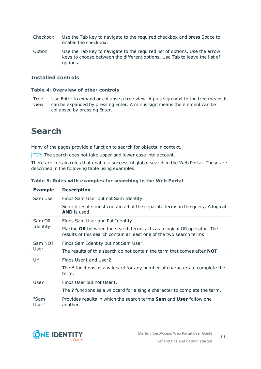- Checkbox Use the Tab key to navigate to the required checkbox and press Space to enable the checkbox.
- Option Use the Tab key to navigate to the required list of options. Use the arrow keys to choose between the different options. Use Tab to leave the list of options.

### **Installed controls**

#### **Table 4: Overview of other controls**

Tree Use Enter to expand or collapse a tree view. A plus sign next to the tree means it

view can be expanded by pressing Enter. A minus sign means the element can be collapsed by pressing Enter.

### <span id="page-10-0"></span>**Search**

Many of the pages provide a function to search for objects in context.

TIP: The search does not take upper and lower case into account.

There are certain rules that enable a successful global search in the Web Portal. These are described in the following table using examples.

| <b>Example</b>      | <b>Description</b>                                                                                                                             |
|---------------------|------------------------------------------------------------------------------------------------------------------------------------------------|
| Sam User            | Finds Sam User but not Sam Identity.                                                                                                           |
|                     | Search results must contain all of the separate terms in the query. A logical<br><b>AND</b> is used.                                           |
| Sam OR<br>Identity  | Finds Sam User and Pat Identity.                                                                                                               |
|                     | Placing OR between the search terms acts as a logical OR operator. The<br>results of this search contain at least one of the two search terms. |
| Sam NOT             | Finds Sam Identity but not Sam User.                                                                                                           |
| User                | The results of this search do not contain the term that comes after <b>NOT</b> .                                                               |
| $\mathsf{I}$ $\ast$ | Finds User1 and User2.                                                                                                                         |
|                     | The * functions as a wildcard for any number of characters to complete the<br>term.                                                            |
| Use?                | Finds User but not User1.                                                                                                                      |
|                     | The ? functions as a wildcard for a single character to complete the term.                                                                     |
| "Sam<br>User"       | Provides results in which the search terms <b>Sam</b> and <b>User</b> follow one<br>another.                                                   |

### **Table 5: Rules with examples for searching in the Web Portal**

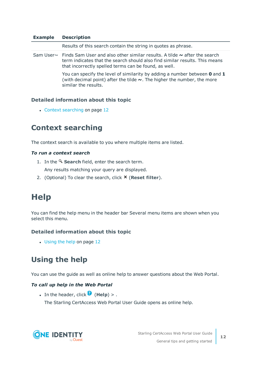### **Example Description**

Results of this search contain the string in quotes as phrase. Sam User~ Finds Sam User and also other similar results. A tilde **~** after the search term indicates that the search should also find similar results. This means that incorrectly spelled terms can be found, as well. You can specify the level of similarity by adding a number between **0** and **1** (with decimal point) after the tilde **~**. The higher the number, the more

### **Detailed information about this topic**

similar the results.

• Context [searching](#page-11-0) on page 12

### <span id="page-11-0"></span>**Context searching**

The context search is available to you where multiple items are listed.

### *To run a context search*

- 1. In the **Search** field, enter the search term. Any results matching your query are displayed.
- <span id="page-11-1"></span>2. (Optional) To clear the search, click **X** (**Reset filter**).

### **Help**

You can find the help menu in the header bar Several menu items are shown when you select this menu.

#### **Detailed information about this topic**

• [Using](#page-11-2) the help on page 12

### <span id="page-11-2"></span>**Using the help**

You can use the guide as well as online help to answer questions about the Web Portal.

#### *To call up help in the Web Portal*

**.** In the header, click  $\bullet$  (**Help**) > .

The Starling CertAccess Web Portal User Guide opens as online help.

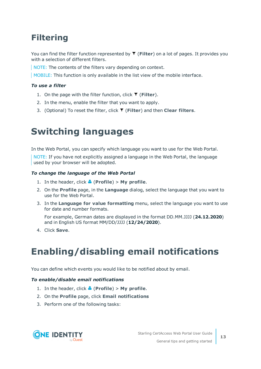## <span id="page-12-0"></span>**Filtering**

You can find the filter function represented by  $\blacktriangledown$  (**Filter**) on a lot of pages. It provides you with a selection of different filters.

NOTE: The contents of the filters vary depending on context.

MOBILE: This function is only available in the list view of the mobile interface.

### *To use a filter*

- 1. On the page with the filter function, click (**Filter**).
- 2. In the menu, enable the filter that you want to apply.
- <span id="page-12-1"></span>3. (Optional) To reset the filter, click (**Filter**) and then **Clear filters**.

## **Switching languages**

In the Web Portal, you can specify which language you want to use for the Web Portal.

NOTE: If you have not explicitly assigned a language in the Web Portal, the language used by your browser will be adopted.

### *To change the language of the Web Portal*

- 1. In the header, click  $\triangle$  (**Profile**) > My profile.
- 2. On the **Profile** page, in the **Language** dialog, select the language that you want to use for the Web Portal.
- 3. In the **Language for value formatting** menu, select the language you want to use for date and number formats.

For example, German dates are displayed in the format DD.MM.JJJJ (**24.12.2020**) and in English US format MM/DD/JJJJ (**12/24/2020**).

<span id="page-12-2"></span>4. Click **Save**.

## **Enabling/disabling email notifications**

You can define which events you would like to be notified about by email.

### *To enable/disable email notifications*

- 1. In the header, click  $\triangle$  (**Profile**) > My profile.
- 2. On the **Profile** page, click **Email notifications**
- 3. Perform one of the following tasks:

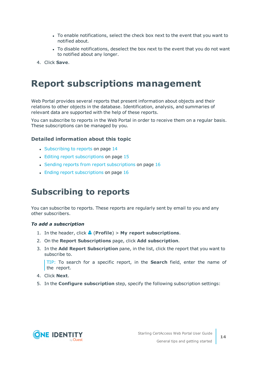- To enable notifications, select the check box next to the event that you want to notified about.
- To disable notifications, deselect the box next to the event that you do not want to notified about any longer.
- <span id="page-13-0"></span>4. Click **Save**.

## **Report subscriptions management**

Web Portal provides several reports that present information about objects and their relations to other objects in the database. Identification, analysis, and summaries of relevant data are supported with the help of these reports.

You can subscribe to reports in the Web Portal in order to receive them on a regular basis. These subscriptions can be managed by you.

### **Detailed information about this topic**

- [Subscribing](#page-13-1) to reports on page 14
- $\cdot$  Editing report [subscriptions](#page-14-0) on page 15
- Sending reports from report [subscriptions](#page-15-0) on page  $16$
- Ending report [subscriptions](#page-15-1) on page 16

### <span id="page-13-1"></span>**Subscribing to reports**

You can subscribe to reports. These reports are regularly sent by email to you and any other subscribers.

### *To add a subscription*

- 1. In the header, click  $\triangle$  (**Profile**) > My report subscriptions.
- 2. On the **Report Subscriptions** page, click **Add subscription**.
- 3. In the **Add Report Subscription** pane, in the list, click the report that you want to subscribe to.

TIP: To search for a specific report, in the **Search** field, enter the name of the report.

- 4. Click **Next**.
- 5. In the **Configure subscription** step, specify the following subscription settings:

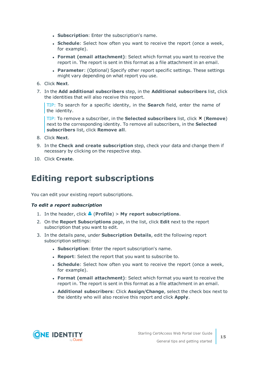- **. Subscription**: Enter the subscription's name.
- **Schedule**: Select how often you want to receive the report (once a week, for example).
- <sup>l</sup> **Format (email attachment)**: Select which format you want to receive the report in. The report is sent in this format as a file attachment in an email.
- **Parameter**: (Optional) Specify other report specific settings. These settings might vary depending on what report you use.
- 6. Click **Next**.
- 7. In the **Add additional subscribers** step, in the **Additional subscribers** list, click the identities that will also receive this report.

TIP: To search for a specific identity, in the **Search** field, enter the name of the identity.

TIP: To remove a subscriber, in the **Selected subscribers** list, click **×** (**Remove**) next to the corresponding identity. To remove all subscribers, in the **Selected subscribers** list, click **Remove all**.

- 8. Click **Next**.
- 9. In the **Check and create subscription** step, check your data and change them if necessary by clicking on the respective step.
- <span id="page-14-0"></span>10. Click **Create**.

### **Editing report subscriptions**

You can edit your existing report subscriptions.

#### *To edit a report subscription*

- 1. In the header, click  $\triangle$  (**Profile**) > My report subscriptions.
- 2. On the **Report Subscriptions** page, in the list, click **Edit** next to the report subscription that you want to edit.
- 3. In the details pane, under **Subscription Details**, edit the following report subscription settings:
	- **. Subscription**: Enter the report subscription's name.
	- **. Report:** Select the report that you want to subscribe to.
	- **Schedule**: Select how often you want to receive the report (once a week, for example).
	- <sup>l</sup> **Format (email attachment)**: Select which format you want to receive the report in. The report is sent in this format as a file attachment in an email.
	- <sup>l</sup> **Additional subscribers**: Click **Assign**/**Change**, select the check box next to the identity who will also receive this report and click **Apply**.

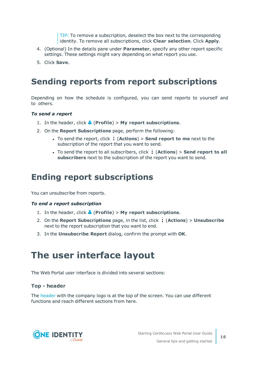TIP: To remove a subscription, deselect the box next to the corresponding identity. To remove all subscriptions, click **Clear selection**. Click **Apply**.

- 4. (Optional) In the details pane under **Parameter**, specify any other report specific settings. These settings might vary depending on what report you use.
- <span id="page-15-0"></span>5. Click **Save**.

### **Sending reports from report subscriptions**

Depending on how the schedule is configured, you can send reports to yourself and to others.

### *To send a report*

- 1. In the header, click  $\triangle$  (**Profile**) > My report subscriptions.
- 2. On the **Report Subscriptions** page, perform the following:
	- <sup>l</sup> To send the report, click (**Actions**) > **Send report to me** next to the subscription of the report that you want to send.
	- <sup>l</sup> To send the report to all subscribers, click (**Actions**) > **Send report to all subscribers** next to the subscription of the report you want to send.

### <span id="page-15-1"></span>**Ending report subscriptions**

You can unsubscribe from reports.

#### *To end a report subscription*

- 1. In the header, click  $\triangle$  (**Profile**) > My report subscriptions.
- 2. On the **Report Subscriptions** page, in the list, click (**Actions**) > **Unsubscribe** next to the report subscription that you want to end.
- <span id="page-15-2"></span>3. In the **Unsubscribe Report** dialog, confirm the prompt with **OK**.

## **The user interface layout**

The Web Portal user interface is divided into several sections:

### **Top - header**

The [header](#page-16-1) with the company logo is at the top of the screen. You can use different functions and reach different sections from here.

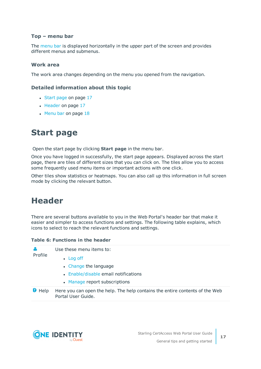### **Top – menu bar**

The [menu](#page-17-0) bar is displayed horizontally in the upper part of the screen and provides different menus and submenus.

### **Work area**

The work area changes depending on the menu you opened from the navigation.

### **Detailed information about this topic**

- [Start](#page-16-0) page on page 17
- $\cdot$  [Header](#page-16-1) on page 17
- $\cdot$  [Menu](#page-17-0) bar on page 18

## <span id="page-16-0"></span>**Start page**

Open the start page by clicking **Start page** in the menu bar.

Once you have logged in successfully, the start page appears. Displayed across the start page, there are tiles of different sizes that you can click on. The tiles allow you to access some frequently used menu items or important actions with one click.

Other tiles show statistics or heatmaps. You can also call up this information in full screen mode by clicking the relevant button.

## <span id="page-16-1"></span>**Header**

There are several buttons available to you in the Web Portal's header bar that make it easier and simpler to access functions and settings. The following table explains, which icons to select to reach the relevant functions and settings.

#### **Table 6: Functions in the header**

| А<br>Profile  | Use these menu items to:                                                                           |
|---------------|----------------------------------------------------------------------------------------------------|
|               | $\bullet$ Log off                                                                                  |
|               | • Change the language                                                                              |
|               | • Enable/disable email notifications                                                               |
|               | • Manage report subscriptions                                                                      |
| <b>D</b> Help | Here you can open the help. The help contains the entire contents of the Web<br>Portal User Guide. |
|               |                                                                                                    |

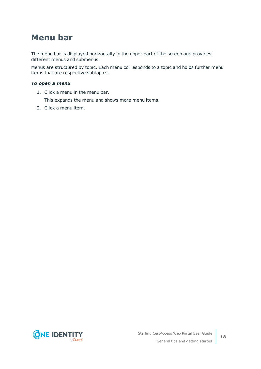## <span id="page-17-0"></span>**Menu bar**

The menu bar is displayed horizontally in the upper part of the screen and provides different menus and submenus.

Menus are structured by topic. Each menu corresponds to a topic and holds further menu items that are respective subtopics.

### *To open a menu*

1. Click a menu in the menu bar.

This expands the menu and shows more menu items.

2. Click a menu item.

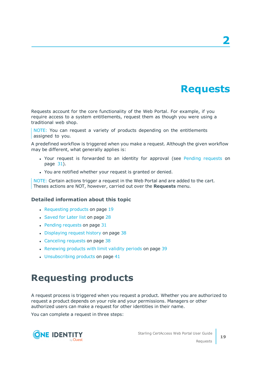## **Requests**

<span id="page-18-0"></span>Requests account for the core functionality of the Web Portal. For example, if you require access to a system entitlements, request them as though you were using a traditional web shop.

NOTE: You can request a variety of products depending on the entitlements assigned to you.

A predefined workflow is triggered when you make a request. Although the given workflow may be different, what generally applies is:

- Your request is forwarded to an identity for approval (see Pending [requests](#page-30-1) on [page](#page-30-1) 31).
- You are notified whether your request is granted or denied.

NOTE: Certain actions trigger a request in the Web Portal and are added to the cart. Theses actions are NOT, however, carried out over the **Requests** menu.

### **Detailed information about this topic**

- $\cdot$  [Requesting](#page-18-1) products on page 19
- [Saved](#page-27-0) for Later list on page 28
- $\cdot$  Pending [requests](#page-30-1) on page 31
- [Displaying](#page-37-0) request history on page 38
- [Canceling](#page-37-1) requests on page 38
- [Renewing](#page-38-0) products with limit validity periods on page 39
- $\cdot$  [Unsubscribing](#page-40-0) products on page 41

## <span id="page-18-1"></span>**Requesting products**

A request process is triggered when you request a product. Whether you are authorized to request a product depends on your role and your permissions. Managers or other authorized users can make a request for other identities in their name.

You can complete a request in three steps:

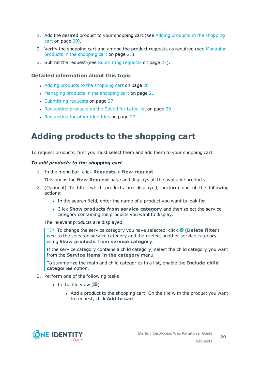- 1. Add the desired product to your shopping cart (see Adding products to the [shopping](#page-19-0) cart on [page](#page-19-0) 20).
- 2. Verify the shopping cart and amend the product requests as required (see [Managing](#page-20-0) products in the [shopping](#page-20-0) cart on page 21).
- 3. Submit the request (see [Submitting](#page-26-0) requests on page 27).

### **Detailed information about this topic**

- Adding products to the [shopping](#page-19-0) cart on page 20
- [Managing](#page-20-0) products in the shopping cart on page 21
- [Submitting](#page-26-0) requests on page 27
- [Requesting](#page-28-1) products on the Saved for Later list on page 29
- [Requesting](#page-26-1) for other identities on page 27

## <span id="page-19-0"></span>**Adding products to the shopping cart**

To request products, first you must select them and add them to your shopping cart.

### *To add products to the shopping cart*

1. In the menu bar, click **Requests** > **New request**.

This opens the **New Request** page and displays all the available products.

- 2. (Optional) To filter which products are displayed, perform one of the following actions:
	- In the search field, enter the name of a product you want to look for.
	- <sup>l</sup> Click **Show products from service category** and then select the service category containing the products you want to display.

The relevant products are displayed.

TIP: To change the service category you have selected, click (**Delete filter**) next to the selected service category and then select another service category using **Show products from service category**.

If the service category contains a child category, select the child category you want from the **Service items in the category** menu.

To summarize the main and child categories in a list, enable the **Include child categories** option.

- 3. Perform one of the following tasks:
	- $\cdot$  In the tile view ( $\mathbf{III}$ )
		- Add a product to the shopping cart: On the tile with the product you want to request, click **Add to cart**.

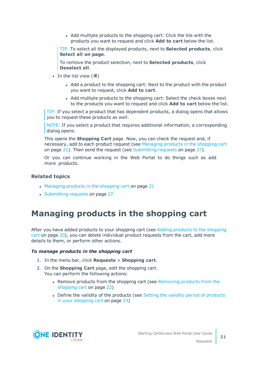• Add multiple products to the shopping cart: Click the tile with the products you want to request and click **Add to cart** below the list.

TIP: To select all the displayed products, next to **Selected products**, click **Select all on page**.

To remove the product selection, next to **Selected products**, click **Deselect all**.

- In the list view  $(E)$ 
	- Add a product to the shopping cart: Next to the product with the product you want to request, click **Add to cart**.
	- Add multiple products to the shopping cart: Select the check boxes next to the products you want to request and click **Add to cart** below the list.

TIP: If you select a product that has dependent products, a dialog opens that allows you to request these products as well.

NOTE: If you select a product that requires additional information, a corresponding dialog opens.

This opens the **Shopping Cart** page. Now, you can check the request and, if necessary, add to each product request (see [Managing](#page-20-0) products in the shopping cart on [page](#page-20-0) 21). Then send the request (see [Submitting](#page-26-0) requests on page 27).

Or you can continue working in the Web Portal to do things such as add more products.

### **Related topics**

- $\bullet$  [Managing](#page-20-0) products in the shopping cart on page 21
- [Submitting](#page-26-0) requests on page 27

## <span id="page-20-0"></span>**Managing products in the shopping cart**

After you have added products to your shopping cart (see Adding products to the [shopping](#page-19-0) cart on [page](#page-19-0) 20), you can delete individual product requests from the cart, add more details to them, or perform other actions.

#### *To manage products in the shopping cart*

- 1. In the menu bar, click **Requests** > **Shopping cart**.
- 2. On the **Shopping Cart** page, edit the shopping cart. You can perform the following actions:
	- Remove products from the shopping cart (see [Removing](#page-21-1) products from the [shopping](#page-21-1) cart on page 22)
	- Define the validity of the [products](#page-22-0) (see Setting the validity period of products in your [shopping](#page-22-0) cart on page 23)



Requests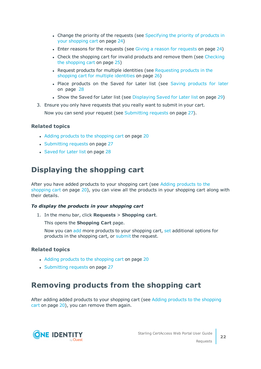- Change the priority of the requests (see [Specifying](#page-23-0) the priority of products in your [shopping](#page-23-0) cart on page 24)
- Enter reasons for the [requests](#page-23-1) (see Giving a reason for requests on page 24)
- Check the shopping cart for invalid products and remove them (see [Checking](#page-24-0) the [shopping](#page-24-0) cart on page 25)
- Request products for multiple identities (see [Requesting](#page-25-0) products in the shopping cart for multiple [identities](#page-25-0) on page 26)
- Place [products](#page-27-1) on the Saved for Later list (see Saving products for later on [page](#page-27-1) 28
- Show the Saved for Later list (see [Displaying](#page-28-0) Saved for Later list on page 29)
- 3. Ensure you only have requests that you really want to submit in your cart. Now you can send your request (see [Submitting](#page-26-0) requests on page 27).

### **Related topics**

- Adding products to the [shopping](#page-19-0) cart on page 20
- [Submitting](#page-26-0) requests on page 27
- [Saved](#page-27-0) for Later list on page 28

### <span id="page-21-0"></span>**Displaying the shopping cart**

After you have added products to your shopping cart (see Adding [products](#page-19-0) to the [shopping](#page-19-0) cart on page 20), you can view all the products in your shopping cart along with their details.

### *To display the products in your shopping cart*

1. In the menu bar, click **Requests** > **Shopping cart**.

This opens the **Shopping Cart** page.

Now you can [add](#page-19-0) more products to your shopping cart, [set](#page-20-0) additional options for products in the shopping cart, or [submit](#page-26-0) the request.

### **Related topics**

- Adding products to the [shopping](#page-19-0) cart on page 20
- [Submitting](#page-26-0) requests on page 27

### <span id="page-21-1"></span>**Removing products from the shopping cart**

After adding added products to your [shopping](#page-19-0) cart (see Adding products to the shopping cart on [page](#page-19-0) 20), you can remove them again.

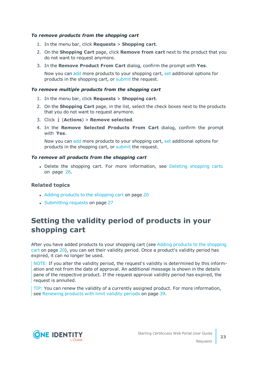### *To remove products from the shopping cart*

- 1. In the menu bar, click **Requests** > **Shopping cart**.
- 2. On the **Shopping Cart** page, click **Remove from cart** next to the product that you do not want to request anymore.
- 3. In the **Remove Product From Cart** dialog, confirm the prompt with **Yes**.

Now you can [add](#page-19-0) more products to your shopping cart, [set](#page-20-0) additional options for products in the shopping cart, or [submit](#page-26-0) the request.

#### *To remove multiple products from the shopping cart*

- 1. In the menu bar, click **Requests** > **Shopping cart**.
- 2. On the **Shopping Cart** page, in the list, select the check boxes next to the products that you do not want to request anymore.
- 3. Click (**Actions**) > **Remove selected**.
- 4. In the **Remove Selected Products From Cart** dialog, confirm the prompt with **Yes**.

Now you can [add](#page-19-0) more products to your shopping cart, [set](#page-20-0) additional options for products in the shopping cart, or [submit](#page-26-0) the request.

#### *To remove all products from the shopping cart*

• Delete the [shopping](#page-25-1) cart. For more information, see Deleting shopping carts on [page](#page-25-1) 26.

### **Related topics**

- Adding products to the [shopping](#page-19-0) cart on page 20
- [Submitting](#page-26-0) requests on page 27

### <span id="page-22-0"></span>**Setting the validity period of products in your shopping cart**

After you have added products to your shopping cart (see Adding products to the [shopping](#page-19-0) cart on [page](#page-19-0) 20), you can set their validity period. Once a product's validity period has expired, it can no longer be used.

NOTE: If you alter the validity period, the request's validity is determined by this information and not from the date of approval. An additional message is shown in the details pane of the respective product. If the request approval validity period has expired, the request is annulled.

TIP: You can renew the validity of a currently assigned product. For more information, see [Renewing](#page-38-0) products with limit validity periods on page 39.

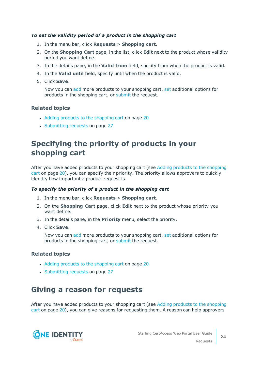### *To set the validity period of a product in the shopping cart*

- 1. In the menu bar, click **Requests** > **Shopping cart**.
- 2. On the **Shopping Cart** page, in the list, click **Edit** next to the product whose validity period you want define.
- 3. In the details pane, in the **Valid from** field, specify from when the product is valid.
- 4. In the **Valid until** field, specify until when the product is valid.
- 5. Click **Save**.

Now you can [add](#page-19-0) more products to your shopping cart, [set](#page-20-0) additional options for products in the shopping cart, or [submit](#page-26-0) the request.

### **Related topics**

- Adding products to the [shopping](#page-19-0) cart on page 20
- [Submitting](#page-26-0) requests on page 27

### <span id="page-23-0"></span>**Specifying the priority of products in your shopping cart**

After you have added products to your shopping cart (see Adding products to the [shopping](#page-19-0) cart on [page](#page-19-0) 20), you can specify their priority. The priority allows approvers to quickly identify how important a product request is.

### *To specify the priority of a product in the shopping cart*

- 1. In the menu bar, click **Requests** > **Shopping cart**.
- 2. On the **Shopping Cart** page, click **Edit** next to the product whose priority you want define.
- 3. In the details pane, in the **Priority** menu, select the priority.
- 4. Click **Save**.

Now you can [add](#page-19-0) more products to your shopping cart, [set](#page-20-0) additional options for products in the shopping cart, or [submit](#page-26-0) the request.

### **Related topics**

- Adding products to the [shopping](#page-19-0) cart on page 20
- [Submitting](#page-26-0) requests on page 27

### <span id="page-23-1"></span>**Giving a reason for requests**

After you have added products to your shopping cart (see Adding products to the [shopping](#page-19-0) cart on [page](#page-19-0) 20), you can give reasons for requesting them. A reason can help approvers

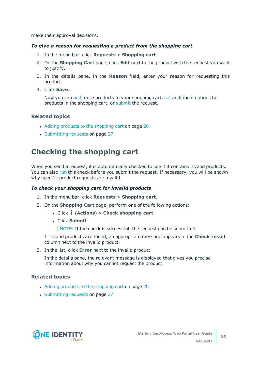make their approval decisions.

### *To give a reason for requesting a product from the shopping cart*

- 1. In the menu bar, click **Requests** > **Shopping cart**.
- 2. On the **Shopping Cart** page, click **Edit** next to the product with the request you want to justify.
- 3. In the details pane, in the **Reason** field, enter your reason for requesting this product.
- 4. Click **Save**.

Now you can [add](#page-19-0) more products to your shopping cart, [set](#page-20-0) additional options for products in the shopping cart, or [submit](#page-26-0) the request.

### **Related topics**

- Adding products to the [shopping](#page-19-0) cart on page 20
- [Submitting](#page-26-0) requests on page 27

### <span id="page-24-0"></span>**Checking the shopping cart**

When you send a request, it is automatically checked to see if it contains invalid products. You can also [run](#page-24-1) this check before you submit the request. If necessary, you will be shown why specific product requests are invalid.

### <span id="page-24-1"></span>*To check your shopping cart for invalid products*

- 1. In the menu bar, click **Requests** > **Shopping cart**.
- 2. On the **Shopping Cart** page, perform one of the following actions:
	- <sup>l</sup> Click (**Actions**) > **Check shopping cart**.
	- <sup>l</sup> Click **Submit**.

NOTE: If the check is successful, the request can be submitted.

If invalid products are found, an appropriate message appears in the **Check result** column next to the invalid product.

3. In the list, click **Error** next to the invalid product.

In the details pane, the relevant message is displayed that gives you precise information about why you cannot request the product.

### **Related topics**

- Adding products to the [shopping](#page-19-0) cart on page 20
- [Submitting](#page-26-0) requests on page 27

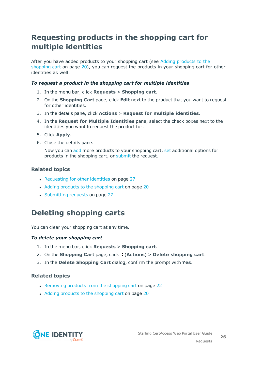### <span id="page-25-0"></span>**Requesting products in the shopping cart for multiple identities**

After you have added products to your shopping cart (see Adding [products](#page-19-0) to the [shopping](#page-19-0) cart on page 20), you can request the products in your shopping cart for other identities as well.

### *To request a product in the shopping cart for multiple identities*

- 1. In the menu bar, click **Requests** > **Shopping cart**.
- 2. On the **Shopping Cart** page, click **Edit** next to the product that you want to request for other identities.
- 3. In the details pane, click **Actions** > **Request for multiple identities**.
- 4. In the **Request for Multiple Identities** pane, select the check boxes next to the identities you want to request the product for.
- 5. Click **Apply**.
- 6. Close the details pane.

Now you can [add](#page-19-0) more products to your shopping cart, [set](#page-20-0) additional options for products in the shopping cart, or [submit](#page-26-0) the request.

### **Related topics**

- [Requesting](#page-26-1) for other identities on page 27
- Adding products to the [shopping](#page-19-0) cart on page 20
- [Submitting](#page-26-0) requests on page 27

### <span id="page-25-1"></span>**Deleting shopping carts**

You can clear your shopping cart at any time.

### *To delete your shopping cart*

- 1. In the menu bar, click **Requests** > **Shopping cart**.
- 2. On the **Shopping Cart** page, click (**Actions**) > **Delete shopping cart**.
- 3. In the **Delete Shopping Cart** dialog, confirm the prompt with **Yes**.

### **Related topics**

- [Removing](#page-21-1) products from the shopping cart on page 22
- Adding products to the [shopping](#page-19-0) cart on page 20

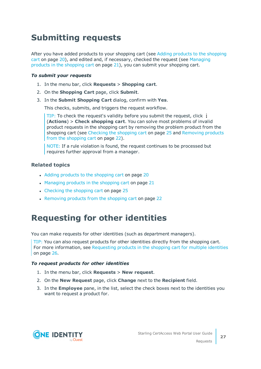## <span id="page-26-0"></span>**Submitting requests**

After you have added products to your shopping cart (see Adding products to the [shopping](#page-19-0) cart on [page](#page-19-0) 20), and edited and, if necessary, checked the request (see [Managing](#page-20-0) products in the [shopping](#page-20-0) cart on page 21), you can submit your shopping cart.

### *To submit your requests*

- 1. In the menu bar, click **Requests** > **Shopping cart**.
- 2. On the **Shopping Cart** page, click **Submit**.
- 3. In the **Submit Shopping Cart** dialog, confirm with **Yes**.

This checks, submits, and triggers the request workflow.

TIP: To check the request's validity before you submit the request, click (**Actions**) > **Check shopping cart**. You can solve most problems of invalid product requests in the shopping cart by removing the problem product from the shopping cart (see [Checking](#page-24-0) the shopping cart on page 25 and [Removing](#page-21-1) products from the [shopping](#page-21-1) cart on page 22).

NOTE: If a rule violation is found, the request continues to be processed but requires further approval from a manager.

### **Related topics**

- Adding products to the [shopping](#page-19-0) cart on page 20
- $\bullet$  [Managing](#page-20-0) products in the shopping cart on page 21
- [Checking](#page-24-0) the shopping cart on page 25
- [Removing](#page-21-1) products from the shopping cart on page 22

## <span id="page-26-1"></span>**Requesting for other identities**

You can make requests for other identities (such as department managers).

TIP: You can also request products for other identities directly from the shopping cart. For more information, see [Requesting](#page-25-0) products in the shopping cart for multiple identities on [page](#page-25-0) 26.

### *To request products for other identities*

- 1. In the menu bar, click **Requests** > **New request**.
- 2. On the **New Request** page, click **Change** next to the **Recipient** field.
- 3. In the **Employee** pane, in the list, select the check boxes next to the identities you want to request a product for.



Requests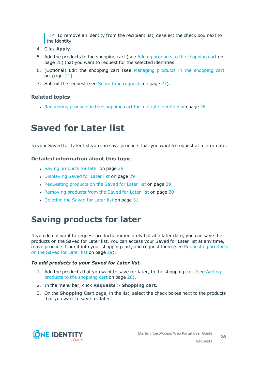TIP: To remove an identity from the recipient list, deselect the check box next to the identity.

- 4. Click **Apply**.
- 5. Add the products to the [shopping](#page-19-0) cart (see Adding products to the shopping cart on [page](#page-19-0) 20) that you want to request for the selected identities.
- 6. (Optional) Edit the shopping cart (see [Managing](#page-20-0) products in the shopping cart on [page](#page-20-0) 21).
- 7. Submit the request (see [Submitting](#page-26-0) requests on page 27).

### **Related topics**

<span id="page-27-0"></span>• [Requesting](#page-25-0) products in the shopping cart for multiple identities on page 26

## **Saved for Later list**

In your Saved for Later list you can save products that you want to request at a later date.

### **Detailed information about this topic**

- Saving [products](#page-27-1) for later on page 28
- [Displaying](#page-28-0) Saved for Later list on page 29
- [Requesting](#page-28-1) products on the Saved for Later list on page 29
- [Removing](#page-29-0) products from the Saved for Later list on page 30
- [Deleting](#page-30-0) the Saved for Later list on page 31

## <span id="page-27-1"></span>**Saving products for later**

If you do not want to request products immediately but at a later date, you can save the products on the Saved for Later list. You can access your Saved for Later list at any time, move products from it into your shopping cart, and request them (see [Requesting](#page-28-1) products on the [Saved](#page-28-1) for Later list on page 29).

### *To add products to your Saved for Later list.*

- 1. Add the products that you want to save for later, to the shopping cart (see [Adding](#page-19-0) products to the [shopping](#page-19-0) cart on page 20).
- 2. In the menu bar, click **Requests** > **Shopping cart**.
- 3. On the **Shopping Cart** page, in the list, select the check boxes next to the products that you want to save for later.

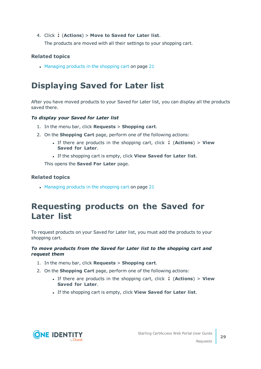### 4. Click (**Actions**) > **Move to Saved for Later list**.

The products are moved with all their settings to your shopping cart.

### **Related topics**

 $\cdot$  [Managing](#page-20-0) products in the shopping cart on page 21

## <span id="page-28-0"></span>**Displaying Saved for Later list**

After you have moved products to your Saved for Later list, you can display all the products saved there.

### *To display your Saved for Later list*

- 1. In the menu bar, click **Requests** > **Shopping cart**.
- 2. On the **Shopping Cart** page, perform one of the following actions:
	- <sup>l</sup> If there are products in the shopping cart, click (**Actions**) > **View Saved for Later**.
	- <sup>l</sup> If the shopping cart is empty, click **View Saved for Later list**.

This opens the **Saved For Later** page.

### **Related topics**

• [Managing](#page-20-0) products in the shopping cart on page 21

### <span id="page-28-1"></span>**Requesting products on the Saved for Later list**

To request products on your Saved for Later list, you must add the products to your shopping cart.

### *To move products from the Saved for Later list to the shopping cart and request them*

- 1. In the menu bar, click **Requests** > **Shopping cart**.
- 2. On the **Shopping Cart** page, perform one of the following actions:
	- <sup>l</sup> If there are products in the shopping cart, click (**Actions**) > **View Saved for Later**.
	- <sup>l</sup> If the shopping cart is empty, click **View Saved for Later list**.



Requests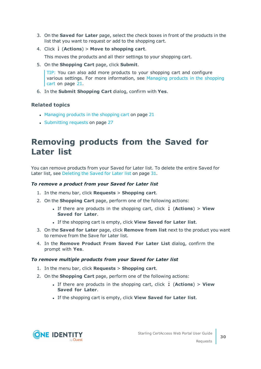- 3. On the **Saved for Later** page, select the check boxes in front of the products in the list that you want to request or add to the shopping cart.
- 4. Click (**Actions**) > **Move to shopping cart**.

This moves the products and all their settings to your shopping cart.

5. On the **Shopping Cart** page, click **Submit**.

TIP: You can also add more products to your shopping cart and configure various settings. For more information, see [Managing](#page-20-0) products in the shopping cart on [page](#page-20-0) 21.

6. In the **Submit Shopping Cart** dialog, confirm with **Yes**.

### **Related topics**

- $\bullet$  [Managing](#page-20-0) products in the shopping cart on page 21
- [Submitting](#page-26-0) requests on page 27

### <span id="page-29-0"></span>**Removing products from the Saved for Later list**

You can remove products from your Saved for Later list. To delete the entire Saved for Later list, see [Deleting](#page-30-0) the Saved for Later list on page 31.

### *To remove a product from your Saved for Later list*

- 1. In the menu bar, click **Requests** > **Shopping cart**.
- 2. On the **Shopping Cart** page, perform one of the following actions:
	- <sup>l</sup> If there are products in the shopping cart, click (**Actions**) > **View Saved for Later**.
	- <sup>l</sup> If the shopping cart is empty, click **View Saved for Later list**.
- 3. On the **Saved for Later** page, click **Remove from list** next to the product you want to remove from the Save for Later list.
- 4. In the **Remove Product From Saved For Later List** dialog, confirm the prompt with **Yes**.

#### *To remove multiple products from your Saved for Later list*

- 1. In the menu bar, click **Requests** > **Shopping cart**.
- 2. On the **Shopping Cart** page, perform one of the following actions:
	- <sup>l</sup> If there are products in the shopping cart, click (**Actions**) > **View Saved for Later**.
	- <sup>l</sup> If the shopping cart is empty, click **View Saved for Later list**.



**30**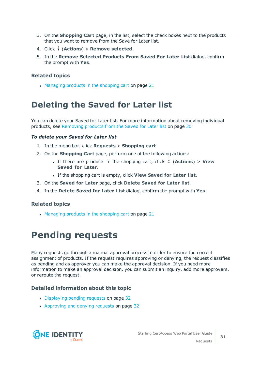- 3. On the **Shopping Cart** page, in the list, select the check boxes next to the products that you want to remove from the Save for Later list.
- 4. Click (**Actions**) > **Remove selected**.
- 5. In the **Remove Selected Products From Saved For Later List** dialog, confirm the prompt with **Yes**.

### **Related topics**

 $\bullet$  [Managing](#page-20-0) products in the shopping cart on page 21

## <span id="page-30-0"></span>**Deleting the Saved for Later list**

You can delete your Saved for Later list. For more information about removing individual products, see [Removing](#page-29-0) products from the Saved for Later list on page 30.

### *To delete your Saved for Later list*

- 1. In the menu bar, click **Requests** > **Shopping cart**.
- 2. On the **Shopping Cart** page, perform one of the following actions:
	- <sup>l</sup> If there are products in the shopping cart, click (**Actions**) > **View Saved for Later**.
	- <sup>l</sup> If the shopping cart is empty, click **View Saved for Later list**.
- 3. On the **Saved for Later** page, click **Delete Saved for Later list**.
- 4. In the **Delete Saved for Later List** dialog, confirm the prompt with **Yes**.

### **Related topics**

<span id="page-30-1"></span> $\bullet$  [Managing](#page-20-0) products in the shopping cart on page 21

## **Pending requests**

Many requests go through a manual approval process in order to ensure the correct assignment of products. If the request requires approving or denying, the request classifies as pending and as approver you can make the approval decision. If you need more information to make an approval decision, you can submit an inquiry, add more approvers, or reroute the request.

### **Detailed information about this topic**

- [Displaying](#page-31-0) pending requests on page 32
- [Approving](#page-31-1) and denying requests on page 32



Requests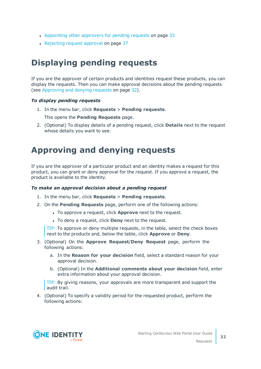- [Appointing](#page-32-0) other approvers for pending requests on page 33
- [Rejecting](#page-36-0) request approval on page 37

## <span id="page-31-0"></span>**Displaying pending requests**

If you are the approver of certain products and identities request these products, you can display the requests. Then you can make approval decisions about the pending requests (see [Approving](#page-31-1) and denying requests on page 32).

### *To display pending requests*

1. In the menu bar, click **Requests** > **Pending requests**.

This opens the **Pending Requests** page.

2. (Optional) To display details of a pending request, click **Details** next to the request whose details you want to see.

## <span id="page-31-1"></span>**Approving and denying requests**

If you are the approver of a particular product and an identity makes a request for this product, you can grant or deny approval for the request. If you approve a request, the product is available to the identity.

### *To make an approval decision about a pending request*

- 1. In the menu bar, click **Requests** > **Pending requests**.
- 2. On the **Pending Requests** page, perform one of the following actions:
	- **.** To approve a request, click **Approve** next to the request.
	- **.** To deny a request, click **Deny** next to the request.

TIP: To approve or deny multiple requests, in the table, select the check boxes next to the products and, below the table, click **Approve** or **Deny**.

- 3. (Optional) On the **Approve Request**/**Deny Request** page, perform the following actions:
	- a. In the **Reason for your decision** field, select a standard reason for your approval decision.
	- b. (Optional) In the **Additional comments about your decision** field, enter extra information about your approval decision.

TIP: By giving reasons, your approvals are more transparent and support the audit trail.

4. (Optional) To specify a validity period for the requested product, perform the following actions:

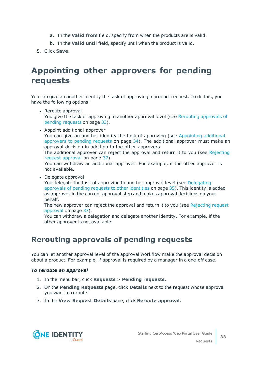- a. In the **Valid from** field, specify from when the products are is valid.
- b. In the **Valid until** field, specify until when the product is valid.
- <span id="page-32-0"></span>5. Click **Save**.

## **Appointing other approvers for pending requests**

You can give an another identity the task of approving a product request. To do this, you have the following options:

- Reroute approval You give the task of approving to another approval level (see Rerouting [approvals](#page-32-1) of pending [requests](#page-32-1) on page 33).
- Appoint additional approver You can give an another identity the task of approving (see [Appointing](#page-33-0) additional [approvers](#page-33-0) to pending requests on page 34). The additional approver must make an approval decision in addition to the other approvers. The additional approver can reject the approval and return it to you (see [Rejecting](#page-36-0) request [approval](#page-36-0) on page 37). You can withdraw an additional approver. For example, if the other approver is not available.
- Delegate approval

You delegate the task of approving to another approval level (see [Delegating](#page-34-0) [approvals](#page-34-0) of pending requests to other identities on page 35). This identity is added as approver in the current approval step and makes approval decisions on your behalf.

The new approver can reject the approval and return it to you (see [Rejecting](#page-36-0) request [approval](#page-36-0) on page 37).

You can withdraw a delegation and delegate another identity. For example, if the other approver is not available.

### <span id="page-32-1"></span>**Rerouting approvals of pending requests**

You can let another approval level of the approval workflow make the approval decision about a product. For example, if approval is required by a manager in a one-off case.

### *To reroute an approval*

- 1. In the menu bar, click **Requests** > **Pending requests**.
- 2. On the **Pending Requests** page, click **Details** next to the request whose approval you want to reroute.
- 3. In the **View Request Details** pane, click **Reroute approval**.

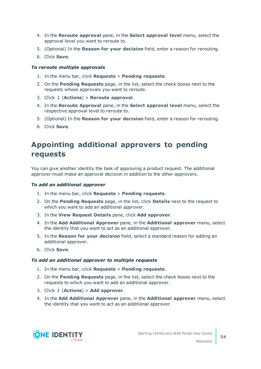- 4. In the **Reroute approval** pane, in the **Select approval level** menu, select the approval level you want to reroute to.
- 5. (Optional) In the **Reason for your decision** field, enter a reason for rerouting.
- 6. Click **Save**.

### *To reroute multiple approvals*

- 1. In the menu bar, click **Requests** > **Pending requests**.
- 2. On the **Pending Requests** page, in the list, select the check boxes next to the requests whose approvals you want to reroute.
- 3. Click (**Actions**) > **Reroute approval**.
- 4. In the **Reroute Approval** pane, in the **Select approval level** menu, select the respective approval level to reroute to.
- 5. (Optional) In the **Reason for your decision** field, enter a reason for rerouting.
- <span id="page-33-0"></span>6. Click **Save**.

### **Appointing additional approvers to pending requests**

You can give another identity the task of approving a product request. The additional approver must make an approval decision in addition to the other approvers.

#### *To add an additional approver*

- 1. In the menu bar, click **Requests** > **Pending requests**.
- 2. On the **Pending Requests** page, in the list, click **Details** next to the request to which you want to add an additional approver.
- 3. In the **View Request Details** pane, click **Add approver**.
- 4. In the **Add Additional Approver** pane, in the **Additional approver** menu, select the identity that you want to act as an additional approver.
- 5. In the **Reason for your decision** field, select a standard reason for adding an additional approver.
- 6. Click **Save**.

#### *To add an additional approver to multiple requests*

- 1. In the menu bar, click **Requests** > **Pending requests**.
- 2. On the **Pending Requests** page, in the list, select the check boxes next to the requests to which you want to add an additional approver.
- 3. Click (**Actions**) > **Add approver**.
- 4. In the **Add Additional Approver** pane, in the **Additional approver** menu, select the identity that you want to act as an additional approver.

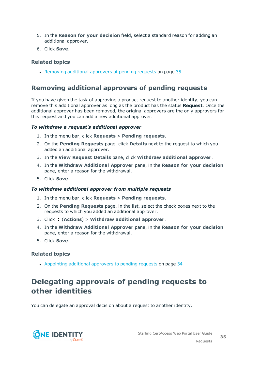- 5. In the **Reason for your decision** field, select a standard reason for adding an additional approver.
- 6. Click **Save**.

### **Related topics**

• Removing additional [approvers](#page-34-1) of pending requests on page 35

### <span id="page-34-1"></span>**Removing additional approvers of pending requests**

If you have given the task of approving a product request to another identity, you can remove this additional approver as long as the product has the status **Request**. Once the additional approver has been removed, the original approvers are the only approvers for this request and you can add a new additional approver.

### *To withdraw a request's additional approver*

- 1. In the menu bar, click **Requests** > **Pending requests**.
- 2. On the **Pending Requests** page, click **Details** next to the request to which you added an additional approver.
- 3. In the **View Request Details** pane, click **Withdraw additional approver**.
- 4. In the **Withdraw Additional Approver** pane, in the **Reason for your decision** pane, enter a reason for the withdrawal.
- 5. Click **Save**.

#### *To withdraw additional approver from multiple requests*

- 1. In the menu bar, click **Requests** > **Pending requests**.
- 2. On the **Pending Requests** page, in the list, select the check boxes next to the requests to which you added an additional approver.
- 3. Click (**Actions**) > **Withdraw additional approver**.
- 4. In the **Withdraw Additional Approver** pane, in the **Reason for your decision** pane, enter a reason for the withdrawal.
- 5. Click **Save**.

### **Related topics**

• [Appointing](#page-33-0) additional approvers to pending requests on page 34

### <span id="page-34-0"></span>**Delegating approvals of pending requests to other identities**

You can delegate an approval decision about a request to another identity.

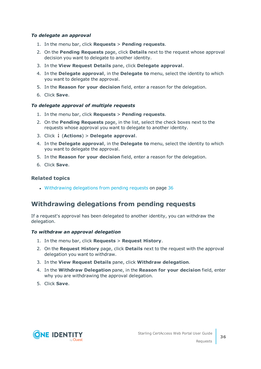### *To delegate an approval*

- 1. In the menu bar, click **Requests** > **Pending requests**.
- 2. On the **Pending Requests** page, click **Details** next to the request whose approval decision you want to delegate to another identity.
- 3. In the **View Request Details** pane, click **Delegate approval**.
- 4. In the **Delegate approval**, in the **Delegate to** menu, select the identity to which you want to delegate the approval.
- 5. In the **Reason for your decision** field, enter a reason for the delegation.
- 6. Click **Save**.

### *To delegate approval of multiple requests*

- 1. In the menu bar, click **Requests** > **Pending requests**.
- 2. On the **Pending Requests** page, in the list, select the check boxes next to the requests whose approval you want to delegate to another identity.
- 3. Click (**Actions**) > **Delegate approval**.
- 4. In the **Delegate approval**, in the **Delegate to** menu, select the identity to which you want to delegate the approval.
- 5. In the **Reason for your decision** field, enter a reason for the delegation.
- 6. Click **Save**.

### **Related topics**

. [Withdrawing](#page-35-0) delegations from pending requests on page 36

### <span id="page-35-0"></span>**Withdrawing delegations from pending requests**

If a request's approval has been delegated to another identity, you can withdraw the delegation.

#### *To withdraw an approval delegation*

- 1. In the menu bar, click **Requests** > **Request History**.
- 2. On the **Request History** page, click **Details** next to the request with the approval delegation you want to withdraw.
- 3. In the **View Request Details** pane, click **Withdraw delegation**.
- 4. In the **Withdraw Delegation** pane, in the **Reason for your decision** field, enter why you are withdrawing the approval delegation.
- 5. Click **Save**.

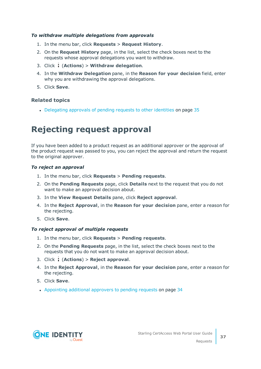## *To withdraw multiple delegations from approvals*

- 1. In the menu bar, click **Requests** > **Request History**.
- 2. On the **Request History** page, in the list, select the check boxes next to the requests whose approval delegations you want to withdraw.
- 3. Click (**Actions**) > **Withdraw delegation**.
- 4. In the **Withdraw Delegation** pane, in the **Reason for your decision** field, enter why you are withdrawing the approval delegations.
- 5. Click **Save**.

## **Related topics**

• [Delegating](#page-34-0) approvals of pending requests to other identities on page 35

# **Rejecting request approval**

If you have been added to a product request as an additional approver or the approval of the product request was passed to you, you can reject the approval and return the request to the original approver.

### *To reject an approval*

- 1. In the menu bar, click **Requests** > **Pending requests**.
- 2. On the **Pending Requests** page, click **Details** next to the request that you do not want to make an approval decision about.
- 3. In the **View Request Details** pane, click **Reject approval**.
- 4. In the **Reject Approval**, in the **Reason for your decision** pane, enter a reason for the rejecting.
- 5. Click **Save**.

## *To reject approval of multiple requests*

- 1. In the menu bar, click **Requests** > **Pending requests**.
- 2. On the **Pending Requests** page, in the list, select the check boxes next to the requests that you do not want to make an approval decision about.
- 3. Click (**Actions**) > **Reject approval**.
- 4. In the **Reject Approval**, in the **Reason for your decision** pane, enter a reason for the rejecting.
- 5. Click **Save**.
- [Appointing](#page-33-0) additional approvers to pending requests on page 34

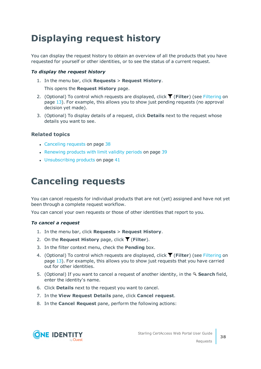# <span id="page-37-1"></span>**Displaying request history**

You can display the request history to obtain an overview of all the products that you have requested for yourself or other identities, or to see the status of a current request.

## *To display the request history*

1. In the menu bar, click **Requests** > **Request History**.

This opens the **Request History** page.

- 2. (Optional) To control which requests are displayed, click (**Filter**) (see [Filtering](#page-12-0) on [page](#page-12-0) 13). For example, this allows you to show just pending requests (no approval decision yet made).
- 3. (Optional) To display details of a request, click **Details** next to the request whose details you want to see.

## **Related topics**

- [Canceling](#page-37-0) requests on page 38
- [Renewing](#page-38-0) products with limit validity periods on page 39
- <span id="page-37-0"></span>• [Unsubscribing](#page-40-0) products on page 41

# **Canceling requests**

You can cancel requests for individual products that are not (yet) assigned and have not yet been through a complete request workflow.

You can cancel your own requests or those of other identities that report to you.

#### *To cancel a request*

- 1. In the menu bar, click **Requests** > **Request History**.
- 2. On the **Request History** page, click (**Filter**).
- 3. In the filter context menu, check the **Pending** box.
- 4. (Optional) To control which requests are displayed, click **T** (Filter) (see [Filtering](#page-12-0) on [page](#page-12-0) 13). For example, this allows you to show just requests that you have carried out for other identities.
- 5. (Optional) If you want to cancel a request of another identity, in the **Search** field, enter the identity's name.
- 6. Click **Details** next to the request you want to cancel.
- 7. In the **View Request Details** pane, click **Cancel request**.
- 8. In the **Cancel Request** pane, perform the following actions:

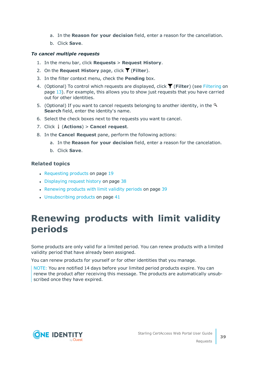- a. In the **Reason for your decision** field, enter a reason for the cancellation.
- b. Click **Save**.

## *To cancel multiple requests*

- 1. In the menu bar, click **Requests** > **Request History**.
- 2. On the **Request History** page, click  $\overline{\mathbf{Y}}$  (**Filter**).
- 3. In the filter context menu, check the **Pending** box.
- 4. (Optional) To control which requests are displayed, click **T** (Filter) (see [Filtering](#page-12-0) on [page](#page-12-0) 13). For example, this allows you to show just requests that you have carried out for other identities.
- 5. (Optional) If you want to cancel requests belonging to another identity, in the  $\mathcal{L}$ **Search** field, enter the identity's name.
- 6. Select the check boxes next to the requests you want to cancel.
- 7. Click (**Actions**) > **Cancel request**.
- 8. In the **Cancel Request** pane, perform the following actions:
	- a. In the **Reason for your decision** field, enter a reason for the cancelation.
	- b. Click **Save**.

## **Related topics**

- [Requesting](#page-18-0) products on page 19
- [Displaying](#page-37-1) request history on page 38
- [Renewing](#page-38-0) products with limit validity periods on page 39
- $\cdot$  [Unsubscribing](#page-40-0) products on page 41

# <span id="page-38-0"></span>**Renewing products with limit validity periods**

Some products are only valid for a limited period. You can renew products with a limited validity period that have already been assigned.

You can renew products for yourself or for other identities that you manage.

NOTE: You are notified 14 days before your limited period products expire. You can renew the product after receiving this message. The products are automatically unsubscribed once they have expired.

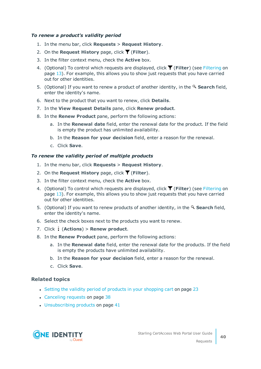## *To renew a product's validity period*

- 1. In the menu bar, click **Requests** > **Request History**.
- 2. On the **Request History** page, click  $\blacktriangledown$  (**Filter**).
- 3. In the filter context menu, check the **Active** box.
- 4. (Optional) To control which requests are displayed, click (**Filter**) (see [Filtering](#page-12-0) on [page](#page-12-0) 13). For example, this allows you to show just requests that you have carried out for other identities.
- 5. (Optional) If you want to renew a product of another identity, in the **Search** field, enter the identity's name.
- 6. Next to the product that you want to renew, click **Details**.
- 7. In the **View Request Details** pane, click **Renew product**.
- 8. In the **Renew Product** pane, perform the following actions:
	- a. In the **Renewal date** field, enter the renewal date for the product. If the field is empty the product has unlimited availability.
	- b. In the **Reason for your decision** field, enter a reason for the renewal.
	- c. Click **Save**.

### *To renew the validity period of multiple products*

- 1. In the menu bar, click **Requests** > **Request History**.
- 2. On the **Request History** page, click  $\overline{\mathbf{T}}$  (**Filter**).
- 3. In the filter context menu, check the **Active** box.
- 4. (Optional) To control which requests are displayed, click **T** (**Filter**) (see [Filtering](#page-12-0) on [page](#page-12-0) 13). For example, this allows you to show just requests that you have carried out for other identities.
- 5. (Optional) If you want to renew products of another identity, in the **Search** field, enter the identity's name.
- 6. Select the check boxes next to the products you want to renew.
- 7. Click (**Actions**) > **Renew product**.
- 8. In the **Renew Product** pane, perform the following actions:
	- a. In the **Renewal date** field, enter the renewal date for the products. If the field is empty the products have unlimited availability.
	- b. In the **Reason for your decision** field, enter a reason for the renewal.
	- c. Click **Save**.

## **Related topics**

- Setting the validity period of products in your [shopping](#page-22-0) cart on page 23
- [Canceling](#page-37-0) requests on page 38
- $\cdot$  [Unsubscribing](#page-40-0) products on page 41



**40**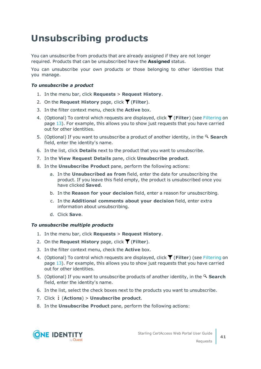# <span id="page-40-0"></span>**Unsubscribing products**

You can unsubscribe from products that are already assigned if they are not longer required. Products that can be unsubscribed have the **Assigned** status.

You can unsubscribe your own products or those belonging to other identities that you manage.

### *To unsubscribe a product*

- 1. In the menu bar, click **Requests** > **Request History**.
- 2. On the **Request History** page, click  $\overline{\mathbf{T}}$  (**Filter**).
- 3. In the filter context menu, check the **Active** box.
- 4. (Optional) To control which requests are displayed, click (**Filter**) (see [Filtering](#page-12-0) on [page](#page-12-0) 13). For example, this allows you to show just requests that you have carried out for other identities.
- 5. (Optional) If you want to unsubscribe a product of another identity, in the **Search** field, enter the identity's name.
- 6. In the list, click **Details** next to the product that you want to unsubscribe.
- 7. In the **View Request Details** pane, click **Unsubscribe product**.
- 8. In the **Unsubscribe Product** pane, perform the following actions:
	- a. In the **Unsubscribed as from** field, enter the date for unsubscribing the product. If you leave this field empty, the product is unsubscribed once you have clicked **Saved**.
	- b. In the **Reason for your decision** field, enter a reason for unsubscribing.
	- c. In the **Additional comments about your decision** field, enter extra information about unsubscribing.
	- d. Click **Save**.

## *To unsubscribe multiple products*

- 1. In the menu bar, click **Requests** > **Request History**.
- 2. On the **Request History** page, click (**Filter**).
- 3. In the filter context menu, check the **Active** box.
- 4. (Optional) To control which requests are displayed, click **T** (Filter) (see [Filtering](#page-12-0) on [page](#page-12-0) 13). For example, this allows you to show just requests that you have carried out for other identities.
- 5. (Optional) If you want to unsubscribe products of another identity, in the **Search** field, enter the identity's name.
- 6. In the list, select the check boxes next to the products you want to unsubscribe.
- 7. Click (**Actions**) > **Unsubscribe product**.
- 8. In the **Unsubscribe Product** pane, perform the following actions:



Requests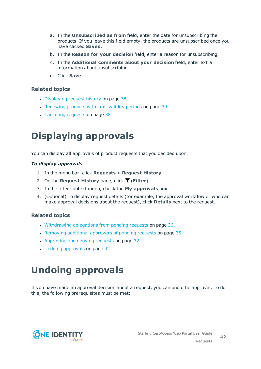- a. In the **Unsubscribed as from** field, enter the date for unsubscribing the products. If you leave this field empty, the products are unsubscribed once you have clicked **Saved**.
- b. In the **Reason for your decision** field, enter a reason for unsubscribing.
- c. In the **Additional comments about your decision** field, enter extra information about unsubscribing.
- d. Click **Save**.

- [Displaying](#page-37-1) request history on page 38
- [Renewing](#page-38-0) products with limit validity periods on page 39
- [Canceling](#page-37-0) requests on page 38

# <span id="page-41-1"></span>**Displaying approvals**

You can display all approvals of product requests that you decided upon.

## *To display approvals*

- 1. In the menu bar, click **Requests** > **Request History**.
- 2. On the **Request History** page, click (**Filter**).
- 3. In the filter context menu, check the **My approvals** box.
- 4. (Optional) To display request details (for example, the approval workflow or who can make approval decisions about the request), click **Details** next to the request.

## **Related topics**

- . [Withdrawing](#page-35-0) delegations from pending requests on page 36
- Removing additional [approvers](#page-34-1) of pending requests on page 35
- [Approving](#page-31-0) and denying requests on page 32
- $\cdot$  Undoing [approvals](#page-41-0) on page 42

# <span id="page-41-0"></span>**Undoing approvals**

If you have made an approval decision about a request, you can undo the approval. To do this, the following prerequisites must be met:

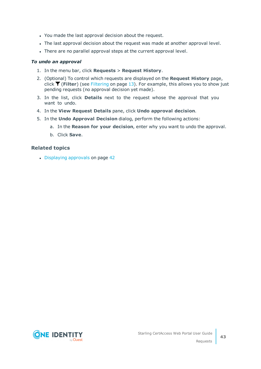- You made the last approval decision about the request.
- The last approval decision about the request was made at another approval level.
- There are no parallel approval steps at the current approval level.

### *To undo an approval*

- 1. In the menu bar, click **Requests** > **Request History**.
- 2. (Optional) To control which requests are displayed on the **Request History** page, click (**Filter**) (see [Filtering](#page-12-0) on page 13). For example, this allows you to show just pending requests (no approval decision yet made).
- 3. In the list, click **Details** next to the request whose the approval that you want to undo.
- 4. In the **View Request Details** pane, click **Undo approval decision**.
- 5. In the **Undo Approval Decision** dialog, perform the following actions:
	- a. In the **Reason for your decision**, enter why you want to undo the approval.
	- b. Click **Save**.

## **Related topics**

 $\cdot$  [Displaying](#page-41-1) approvals on page 42

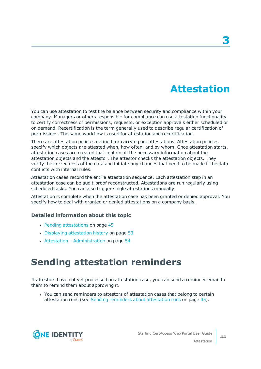# **Attestation**

<span id="page-43-0"></span>You can use attestation to test the balance between security and compliance within your company. Managers or others responsible for compliance can use attestation functionality to certify correctness of permissions, requests, or exception approvals either scheduled or on demand. Recertification is the term generally used to describe regular certification of permissions. The same workflow is used for attestation and recertification.

There are attestation policies defined for carrying out attestations. Attestation policies specify which objects are attested when, how often, and by whom. Once attestation starts, attestation cases are created that contain all the necessary information about the attestation objects and the attestor. The attestor checks the attestation objects. They verify the correctness of the data and initiate any changes that need to be made if the data conflicts with internal rules.

Attestation cases record the entire attestation sequence. Each attestation step in an attestation case can be audit-proof reconstructed. Attestations are run regularly using scheduled tasks. You can also trigger single attestations manually.

Attestation is complete when the attestation case has been granted or denied approval. You specify how to deal with granted or denied attestations on a company basis.

## **Detailed information about this topic**

- Pending [attestations](#page-44-0) on page 45
- Displaying [attestation](#page-52-0) history on page 53
- Attestation [Administration](#page-53-0) on page  $54$

# **Sending attestation reminders**

If attestors have not yet processed an attestation case, you can send a reminder email to them to remind them about approving it.

• You can send reminders to attestors of attestation cases that belong to certain attestation runs (see Sending reminders about [attestation](#page-44-1) runs on page 45).

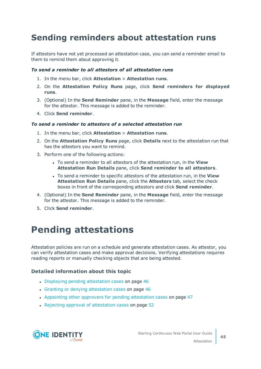# <span id="page-44-1"></span>**Sending reminders about attestation runs**

If attestors have not yet processed an attestation case, you can send a reminder email to them to remind them about approving it.

#### *To send a reminder to all attestors of all attestation runs*

- 1. In the menu bar, click **Attestation** > **Attestation runs**.
- 2. On the **Attestation Policy Runs** page, click **Send reminders for displayed runs**.
- 3. (Optional) In the **Send Reminder** pane, in the **Message** field, enter the message for the attestor. This message is added to the reminder.
- 4. Click **Send reminder**.

#### *To send a reminder to attestors of a selected attestation run*

- 1. In the menu bar, click **Attestation** > **Attestation runs**.
- 2. On the **Attestation Policy Runs** page, click **Details** next to the attestation run that has the attestors you want to remind.
- 3. Perform one of the following actions:
	- <sup>l</sup> To send a reminder to all attestors of the attestation run, in the **View Attestation Run Details** pane, click **Send reminder to all attestors**.
	- <sup>l</sup> To send a reminder to specific attestors of the attestation run, in the **View Attestation Run Details** pane, click the **Attestors** tab, select the check boxes in front of the corresponding attestors and click **Send reminder**.
- 4. (Optional) In the **Send Reminder** pane, in the **Message** field, enter the message for the attestor. This message is added to the reminder.
- <span id="page-44-0"></span>5. Click **Send reminder**.

# **Pending attestations**

Attestation policies are run on a schedule and generate attestation cases. As attestor, you can verify attestation cases and make approval decisions. Verifying attestations requires reading reports or manually checking objects that are being attested.

## **Detailed information about this topic**

- $\bullet$  Displaying pending [attestation](#page-45-0) cases on page 46
- Granting or denying [attestation](#page-45-1) cases on page 46
- Appointing other approvers for pending [attestation](#page-46-0) cases on page 47
- Rejecting approval of [attestation](#page-51-0) cases on page 52

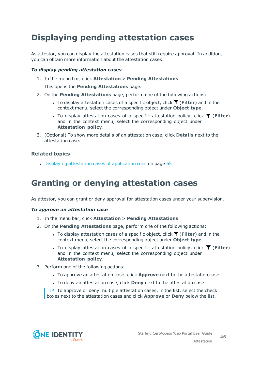# <span id="page-45-0"></span>**Displaying pending attestation cases**

As attestor, you can display the attestation cases that still require approval. In addition, you can obtain more information about the attestation cases.

## *To display pending attestation cases*

1. In the menu bar, click **Attestation** > **Pending Attestations**.

This opens the **Pending Attestations** page.

- 2. On the **Pending Attestations** page, perform one of the following actions:
	- To display attestation cases of a specific object, click  $\blacktriangledown$  (**Filter**) and in the context menu, select the corresponding object under **Object type**.
	- To display attestation cases of a specific attestation policy, click  $\blacktriangledown$  (**Filter**) and in the context menu, select the corresponding object under **Attestation policy**.
- 3. (Optional) To show more details of an attestation case, click **Details** next to the attestation case.

## **Related topics**

• Displaying attestation cases of [application](#page-64-0) runs on page 65

# <span id="page-45-1"></span>**Granting or denying attestation cases**

As attestor, you can grant or deny approval for attestation cases under your supervision.

#### *To approve an attestation case*

- 1. In the menu bar, click **Attestation** > **Pending Attestations**.
- 2. On the **Pending Attestations** page, perform one of the following actions:
	- **•** To display attestation cases of a specific object, click **T** (Filter) and in the context menu, select the corresponding object under **Object type**.
	- To display attestation cases of a specific attestation policy, click  $\blacktriangledown$  (**Filter**) and in the context menu, select the corresponding object under **Attestation policy**.
- 3. Perform one of the following actions:
	- <sup>l</sup> To approve an attestation case, click **Approve** next to the attestation case.
	- <sup>l</sup> To deny an attestation case, click **Deny** next to the attestation case.

TIP: To approve or deny multiple attestation cases, in the list, select the check boxes next to the attestation cases and click **Approve** or **Deny** below the list.



Attestation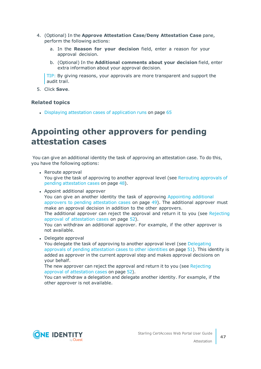- 4. (Optional) In the **Approve Attestation Case**/**Deny Attestation Case** pane, perform the following actions:
	- a. In the **Reason for your decision** field, enter a reason for your approval decision.
	- b. (Optional) In the **Additional comments about your decision** field, enter extra information about your approval decision.

TIP: By giving reasons, your approvals are more transparent and support the audit trail.

5. Click **Save**.

## **Related topics**

- Displaying attestation cases of [application](#page-64-0) runs on page  $65$ 

# <span id="page-46-0"></span>**Appointing other approvers for pending attestation cases**

You can give an additional identity the task of approving an attestation case. To do this, you have the following options:

- Reroute approval You give the task of approving to another approval level (see Rerouting [approvals](#page-47-0) of pending [attestation](#page-47-0) cases on page 48).
- Appoint additional approver You can give an another identity the task of approving [Appointing](#page-48-0) additional approvers to pending [attestation](#page-48-0) cases on page 49). The additional approver must make an approval decision in addition to the other approvers. The additional approver can reject the approval and return it to you (see [Rejecting](#page-51-0) approval of [attestation](#page-51-0) cases on page 52). You can withdraw an additional approver. For example, if the other approver is not available. • Delegate approval You delegate the task of approving to another approval level (see [Delegating](#page-50-0) approvals of pending [attestation](#page-50-0) cases to other identities on page 51). This identity is

added as approver in the current approval step and makes approval decisions on your behalf.

The new approver can reject the approval and return it to you (see [Rejecting](#page-51-0) approval of [attestation](#page-51-0) cases on page 52).

You can withdraw a delegation and delegate another identity. For example, if the other approver is not available.

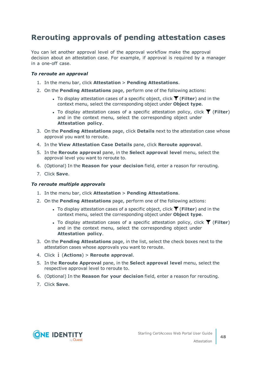## <span id="page-47-0"></span>**Rerouting approvals of pending attestation cases**

You can let another approval level of the approval workflow make the approval decision about an attestation case. For example, if approval is required by a manager in a one-off case.

## *To reroute an approval*

- 1. In the menu bar, click **Attestation** > **Pending Attestations**.
- 2. On the **Pending Attestations** page, perform one of the following actions:
	- <sup>l</sup> To display attestation cases of a specific object, click (**Filter**) and in the context menu, select the corresponding object under **Object type**.
	- To display attestation cases of a specific attestation policy, click  $\blacktriangledown$  (**Filter**) and in the context menu, select the corresponding object under **Attestation policy**.
- 3. On the **Pending Attestations** page, click **Details** next to the attestation case whose approval you want to reroute.
- 4. In the **View Attestation Case Details** pane, click **Reroute approval**.
- 5. In the **Reroute approval** pane, in the **Select approval level** menu, select the approval level you want to reroute to.
- 6. (Optional) In the **Reason for your decision** field, enter a reason for rerouting.
- 7. Click **Save**.

#### *To reroute multiple approvals*

- 1. In the menu bar, click **Attestation** > **Pending Attestations**.
- 2. On the **Pending Attestations** page, perform one of the following actions:
	- **•** To display attestation cases of a specific object, click **T** (Filter) and in the context menu, select the corresponding object under **Object type**.
	- To display attestation cases of a specific attestation policy, click  $\blacktriangledown$  (**Filter**) and in the context menu, select the corresponding object under **Attestation policy**.
- 3. On the **Pending Attestations** page, in the list, select the check boxes next to the attestation cases whose approvals you want to reroute.
- 4. Click (**Actions**) > **Reroute approval**.
- 5. In the **Reroute Approval** pane, in the **Select approval level** menu, select the respective approval level to reroute to.
- 6. (Optional) In the **Reason for your decision** field, enter a reason for rerouting.
- 7. Click **Save**.

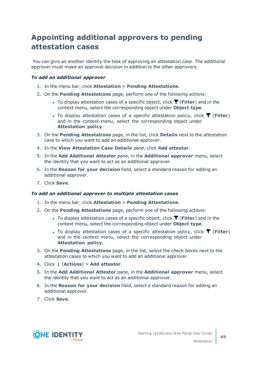## <span id="page-48-0"></span>**Appointing additional approvers to pending attestation cases**

You can give an another identity the task of approving an attestation case. The additional approver must make an approval decision in addition to the other approvers.

## *To add an additional approver*

- 1. In the menu bar, click **Attestation** > **Pending Attestations**.
- 2. On the **Pending Attestations** page, perform one of the following actions:
	- To display attestation cases of a specific object, click  $\blacktriangledown$  (**Filter**) and in the context menu, select the corresponding object under **Object type**.
	- To display attestation cases of a specific attestation policy, click  $\overline{\mathsf{T}}$  (**Filter**) and in the context menu, select the corresponding object under **Attestation policy**.
- 3. On the **Pending Attestations** page, in the list, click **Details** next to the attestation case to which you want to add an additional approver.
- 4. In the **View Attestation Case Details** pane, click **Add attestor**.
- 5. In the **Add Additional Attestor** pane, in the **Additional approver** menu, select the identity that you want to act as an additional approver.
- 6. In the **Reason for your decision** field, select a standard reason for adding an additional approver.
- 7. Click **Save**.

## *To add an additional approver to multiple attestation cases*

- 1. In the menu bar, click **Attestation** > **Pending Attestations**.
- 2. On the **Pending Attestations** page, perform one of the following actions:
	- $\bullet$  To display attestation cases of a specific object, click  $\blacktriangledown$  (Filter) and in the context menu, select the corresponding object under **Object type**.
	- To display attestation cases of a specific attestation policy, click  $\blacktriangledown$  (**Filter**) and in the context menu, select the corresponding object under **Attestation policy**.
- 3. On the **Pending Attestations** page, in the list, select the check boxes next to the attestation cases to which you want to add an additional approver.
- 4. Click (**Actions**) > **Add attestor**.
- 5. In the **Add Additional Attestor** pane, in the **Additional approver** menu, select the identity that you want to act as an additional approver.
- 6. In the **Reason for your decision** field, select a standard reason for adding an additional approver.
- 7. Click **Save**.



Attestation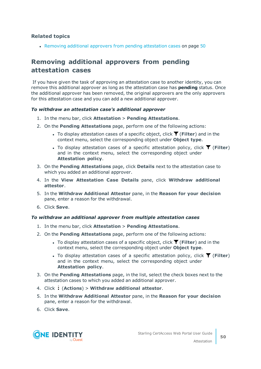• Removing additional approvers from pending [attestation](#page-49-0) cases on page 50

## <span id="page-49-0"></span>**Removing additional approvers from pending attestation cases**

If you have given the task of approving an attestation case to another identity, you can remove this additional approver as long as the attestation case has **pending** status. Once the additional approver has been removed, the original approvers are the only approvers for this attestation case and you can add a new additional approver.

### *To withdraw an attestation case's additional approver*

- 1. In the menu bar, click **Attestation** > **Pending Attestations**.
- 2. On the **Pending Attestations** page, perform one of the following actions:
	- To display attestation cases of a specific object, click  $\overline{\mathsf{T}}$  (**Filter**) and in the context menu, select the corresponding object under **Object type**.
	- $\bullet$  To display attestation cases of a specific attestation policy, click  $\blacktriangledown$  (**Filter**) and in the context menu, select the corresponding object under **Attestation policy**.
- 3. On the **Pending Attestations** page, click **Details** next to the attestation case to which you added an additional approver.
- 4. In the **View Attestation Case Details** pane, click **Withdraw additional attestor**.
- 5. In the **Withdraw Additional Attestor** pane, in the **Reason for your decision** pane, enter a reason for the withdrawal.
- 6. Click **Save**.

#### *To withdraw an additional approver from multiple attestation cases*

- 1. In the menu bar, click **Attestation** > **Pending Attestations**.
- 2. On the **Pending Attestations** page, perform one of the following actions:
	- **•** To display attestation cases of a specific object, click **T** (Filter) and in the context menu, select the corresponding object under **Object type**.
	- To display attestation cases of a specific attestation policy, click  $\blacktriangledown$  (**Filter**) and in the context menu, select the corresponding object under **Attestation policy**.
- 3. On the **Pending Attestations** page, in the list, select the check boxes next to the attestation cases to which you added an additional approver.
- 4. Click (**Actions**) > **Withdraw additional attestor**.
- 5. In the **Withdraw Additional Attestor** pane, in the **Reason for your decision** pane, enter a reason for the withdrawal.
- 6. Click **Save**.

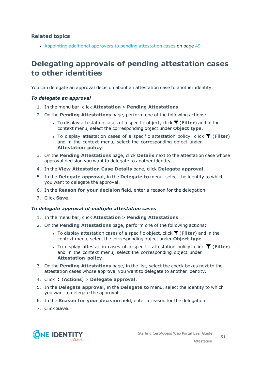• Appointing additional approvers to pending [attestation](#page-48-0) cases on page 49

## <span id="page-50-0"></span>**Delegating approvals of pending attestation cases to other identities**

You can delegate an approval decision about an attestation case to another identity.

### *To delegate an approval*

- 1. In the menu bar, click **Attestation** > **Pending Attestations**.
- 2. On the **Pending Attestations** page, perform one of the following actions:
	- To display attestation cases of a specific object, click  $\overline{Y}$  (**Filter**) and in the context menu, select the corresponding object under **Object type**.
	- To display attestation cases of a specific attestation policy, click  $\blacktriangledown$  (**Filter**) and in the context menu, select the corresponding object under **Attestation policy**.
- 3. On the **Pending Attestations** page, click **Details** next to the attestation case whose approval decision you want to delegate to another identity.
- 4. In the **View Attestation Case Details** pane, click **Delegate approval**.
- 5. In the **Delegate approval**, in the **Delegate to** menu, select the identity to which you want to delegate the approval.
- 6. In the **Reason for your decision** field, enter a reason for the delegation.
- 7. Click **Save**.

#### *To delegate approval of multiple attestation cases*

- 1. In the menu bar, click **Attestation** > **Pending Attestations**.
- 2. On the **Pending Attestations** page, perform one of the following actions:
	- <sup>l</sup> To display attestation cases of a specific object, click (**Filter**) and in the context menu, select the corresponding object under **Object type**.
	- To display attestation cases of a specific attestation policy, click  $\blacktriangledown$  (**Filter**) and in the context menu, select the corresponding object under **Attestation policy**.
- 3. On the **Pending Attestations** page, in the list, select the check boxes next to the attestation cases whose approval you want to delegate to another identity.
- 4. Click (**Actions**) > **Delegate approval**.
- 5. In the **Delegate approval**, in the **Delegate to** menu, select the identity to which you want to delegate the approval.
- 6. In the **Reason for your decision** field, enter a reason for the delegation.
- 7. Click **Save**.



**51**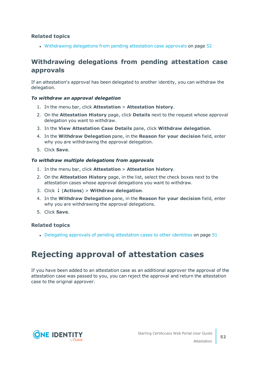• [Withdrawing](#page-51-1) delegations from pending attestation case approvals on page 52

## <span id="page-51-1"></span>**Withdrawing delegations from pending attestation case approvals**

If an attestation's approval has been delegated to another identity, you can withdraw the delegation.

### *To withdraw an approval delegation*

- 1. In the menu bar, click **Attestation** > **Attestation history**.
- 2. On the **Attestation History** page, click **Details** next to the request whose approval delegation you want to withdraw.
- 3. In the **View Attestation Case Details** pane, click **Withdraw delegation**.
- 4. In the **Withdraw Delegation** pane, in the **Reason for your decision** field, enter why you are withdrawing the approval delegation.
- 5. Click **Save**.

### *To withdraw multiple delegations from approvals*

- 1. In the menu bar, click **Attestation** > **Attestation history**.
- 2. On the **Attestation History** page, in the list, select the check boxes next to the attestation cases whose approval delegations you want to withdraw.
- 3. Click (**Actions**) > **Withdraw delegation**.
- 4. In the **Withdraw Delegation** pane, in the **Reason for your decision** field, enter why you are withdrawing the approval delegations.
- 5. Click **Save**.

## **Related topics**

• Delegating approvals of pending [attestation](#page-50-0) cases to other identities on page 51

# <span id="page-51-0"></span>**Rejecting approval of attestation cases**

If you have been added to an attestation case as an additional approver the approval of the attestation case was passed to you, you can reject the approval and return the attestation case to the original approver.

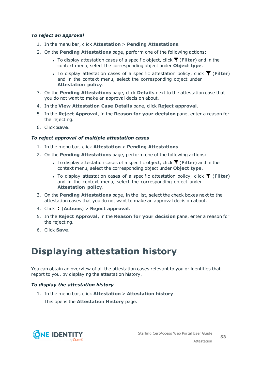## *To reject an approval*

- 1. In the menu bar, click **Attestation** > **Pending Attestations**.
- 2. On the **Pending Attestations** page, perform one of the following actions:
	- **•** To display attestation cases of a specific object, click **T** (Filter) and in the context menu, select the corresponding object under **Object type**.
	- To display attestation cases of a specific attestation policy, click  $\blacktriangledown$  (**Filter**) and in the context menu, select the corresponding object under **Attestation policy**.
- 3. On the **Pending Attestations** page, click **Details** next to the attestation case that you do not want to make an approval decision about.
- 4. In the **View Attestation Case Details** pane, click **Reject approval**.
- 5. In the **Reject Approval**, in the **Reason for your decision** pane, enter a reason for the rejecting.
- 6. Click **Save**.

### *To reject approval of multiple attestation cases*

- 1. In the menu bar, click **Attestation** > **Pending Attestations**.
- 2. On the **Pending Attestations** page, perform one of the following actions:
	- <sup>l</sup> To display attestation cases of a specific object, click (**Filter**) and in the context menu, select the corresponding object under **Object type**.
	- To display attestation cases of a specific attestation policy, click  $\blacktriangledown$  (**Filter**) and in the context menu, select the corresponding object under **Attestation policy**.
- 3. On the **Pending Attestations** page, in the list, select the check boxes next to the attestation cases that you do not want to make an approval decision about.
- 4. Click (**Actions**) > **Reject approval**.
- 5. In the **Reject Approval**, in the **Reason for your decision** pane, enter a reason for the rejecting.
- <span id="page-52-0"></span>6. Click **Save**.

# **Displaying attestation history**

You can obtain an overview of all the attestation cases relevant to you or identities that report to you, by displaying the attestation history.

## *To display the attestation history*

1. In the menu bar, click **Attestation** > **Attestation history**. This opens the **Attestation History** page.

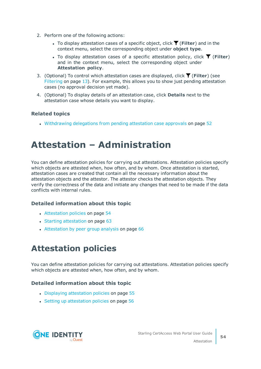- 2. Perform one of the following actions:
	- **•** To display attestation cases of a specific object, click  $\blacktriangledown$  (Filter) and in the context menu, select the corresponding object under **object type**.
	- To display attestation cases of a specific attestation policy, click  $\blacktriangledown$  (**Filter**) and in the context menu, select the corresponding object under **Attestation policy**.
- 3. (Optional) To control which attestation cases are displayed, click (**Filter**) (see [Filtering](#page-12-0) on page 13). For example, this allows you to show just pending attestation cases (no approval decision yet made).
- 4. (Optional) To display details of an attestation case, click **Details** next to the attestation case whose details you want to display.

• [Withdrawing](#page-51-1) delegations from pending attestation case approvals on page 52

# <span id="page-53-0"></span>**Attestation – Administration**

You can define attestation policies for carrying out attestations. Attestation policies specify which objects are attested when, how often, and by whom. Once attestation is started, attestation cases are created that contain all the necessary information about the attestation objects and the attestor. The attestor checks the attestation objects. They verify the correctness of the data and initiate any changes that need to be made if the data conflicts with internal rules.

## **Detailed information about this topic**

- [Attestation](#page-53-1) policies on page 54
- $\cdot$  Starting [attestation](#page-62-0) on page 63
- $\bullet$  [Attestation](#page-65-0) by peer group analysis on page 66

# <span id="page-53-1"></span>**Attestation policies**

You can define attestation policies for carrying out attestations. Attestation policies specify which objects are attested when, how often, and by whom.

## **Detailed information about this topic**

- Displaying [attestation](#page-54-0) policies on page 55
- Setting up [attestation](#page-55-0) policies on page 56

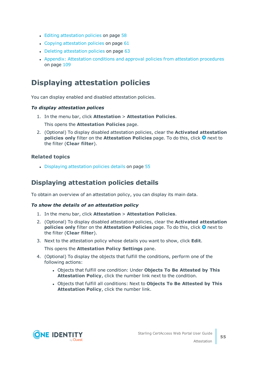- Editing [attestation](#page-57-0) policies on page 58
- Copying [attestation](#page-60-0) policies on page  $61$
- $\cdot$  Deleting [attestation](#page-62-1) policies on page 63
- Appendix: Attestation conditions and approval policies from attestation [procedures](#page-108-0) on [page](#page-108-0) 109

## <span id="page-54-0"></span>**Displaying attestation policies**

You can display enabled and disabled attestation policies.

## *To display attestation polices*

1. In the menu bar, click **Attestation** > **Attestation Policies**.

This opens the **Attestation Policies** page.

2. (Optional) To display disabled attestation policies, clear the **Activated attestation policies only** filter on the **Attestation Policies** page. To do this, click <sup>3</sup> next to the filter (**Clear filter**).

## **Related topics**

• Displaying [attestation](#page-54-1) policies details on page 55

## <span id="page-54-1"></span>**Displaying attestation policies details**

To obtain an overview of an attestation policy, you can display its main data.

## *To show the details of an attestation policy*

- 1. In the menu bar, click **Attestation** > **Attestation Policies**.
- 2. (Optional) To display disabled attestation policies, clear the **Activated attestation policies only** filter on the **Attestation Policies** page. To do this, click <sup>3</sup> next to the filter (**Clear filter**).
- 3. Next to the attestation policy whose details you want to show, click **Edit**.

This opens the **Attestation Policy Settings** pane.

- 4. (Optional) To display the objects that fulfill the conditions, perform one of the following actions:
	- <sup>l</sup> Objects that fulfill one condition: Under **Objects To Be Attested by This Attestation Policy**, click the number link next to the condition.
	- <sup>l</sup> Objects that fulfill all conditions: Next to **Objects To Be Attested by This Attestation Policy**, click the number link.

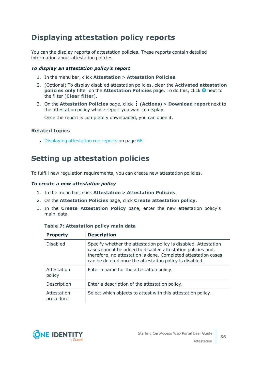## <span id="page-55-1"></span>**Displaying attestation policy reports**

You can the display reports of attestation policies. These reports contain detailed information about attestation policies.

## *To display an attestation policy's report*

- 1. In the menu bar, click **Attestation** > **Attestation Policies**.
- 2. (Optional) To display disabled attestation policies, clear the **Activated attestation policies only** filter on the **Attestation Policies** page. To do this, click <sup>3</sup> next to the filter (**Clear filter**).
- 3. On the **Attestation Policies** page, click **(Actions**) > **Download report** next to the attestation policy whose report you want to display.

Once the report is completely downloaded, you can open it.

## **Related topics**

• Displaying [attestation](#page-65-1) run reports on page 66

## <span id="page-55-0"></span>**Setting up attestation policies**

To fulfill new regulation requirements, you can create new attestation policies.

## *To create a new attestation policy*

- 1. In the menu bar, click **Attestation** > **Attestation Policies**.
- 2. On the **Attestation Policies** page, click **Create attestation policy**.
- 3. In the **Create Attestation Policy** pane, enter the new attestation policy's main data.

| <b>Property</b>          | <b>Description</b>                                                                                                                                                                                                                                          |
|--------------------------|-------------------------------------------------------------------------------------------------------------------------------------------------------------------------------------------------------------------------------------------------------------|
| <b>Disabled</b>          | Specify whether the attestation policy is disabled. Attestation<br>cases cannot be added to disabled attestation policies and,<br>therefore, no attestation is done. Completed attestation cases<br>can be deleted once the attestation policy is disabled. |
| Attestation<br>policy    | Enter a name for the attestation policy.                                                                                                                                                                                                                    |
| Description              | Enter a description of the attestation policy.                                                                                                                                                                                                              |
| Attestation<br>procedure | Select which objects to attest with this attestation policy.                                                                                                                                                                                                |

## **Table 7: Attestation policy main data**

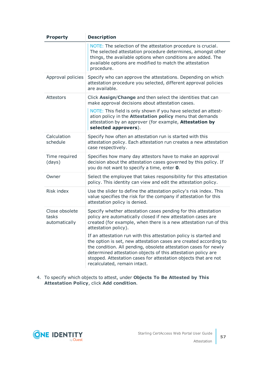| <b>Property</b>                          | <b>Description</b>                                                                                                                                                                                                                                                                                                                                                             |
|------------------------------------------|--------------------------------------------------------------------------------------------------------------------------------------------------------------------------------------------------------------------------------------------------------------------------------------------------------------------------------------------------------------------------------|
|                                          | NOTE: The selection of the attestation procedure is crucial.<br>The selected attestation procedure determines, amongst other<br>things, the available options when conditions are added. The<br>available options are modified to match the attestation<br>procedure.                                                                                                          |
| Approval policies                        | Specify who can approve the attestations. Depending on which<br>attestation procedure you selected, different approval policies<br>are available.                                                                                                                                                                                                                              |
| Attestors                                | Click Assign/Change and then select the identities that can<br>make approval decisions about attestation cases.                                                                                                                                                                                                                                                                |
|                                          | NOTE: This field is only shown if you have selected an attest-<br>ation policy in the <b>Attestation policy</b> menu that demands<br>attestation by an approver (for example, Attestation by<br>selected approvers).                                                                                                                                                           |
| Calculation<br>schedule                  | Specify how often an attestation run is started with this<br>attestation policy. Each attestation run creates a new attestation<br>case respectively.                                                                                                                                                                                                                          |
| Time required<br>(days)                  | Specifies how many day attestors have to make an approval<br>decision about the attestation cases governed by this policy. If<br>you do not want to specify a time, enter 0.                                                                                                                                                                                                   |
| Owner                                    | Select the employee that takes responsibility for this attestation<br>policy. This identity can view and edit the attestation policy.                                                                                                                                                                                                                                          |
| Risk index                               | Use the slider to define the attestation policy's risk index. This<br>value specifies the risk for the company if attestation for this<br>attestation policy is denied.                                                                                                                                                                                                        |
| Close obsolete<br>tasks<br>automatically | Specify whether attestation cases pending for this attestation<br>policy are automatically closed if new attestation cases are<br>created (for example, when there is a new attestation run of this<br>attestation policy).                                                                                                                                                    |
|                                          | If an attestation run with this attestation policy is started and<br>the option is set, new attestation cases are created according to<br>the condition. All pending, obsolete attestation cases for newly<br>determined attestation objects of this attestation policy are<br>stopped. Attestation cases for attestation objects that are not<br>recalculated, remain intact. |

4. To specify which objects to attest, under **Objects To Be Attested by This Attestation Policy**, click **Add condition**.

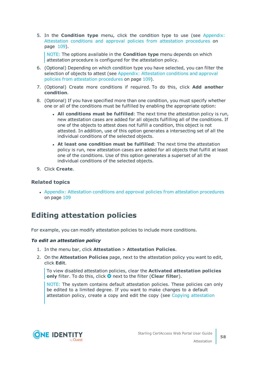5. In the **Condition type** menu, click the condition type to use (see [Appendix:](#page-108-0) Attestation conditions and approval policies from attestation [procedures](#page-108-0) on [page](#page-108-0) 109).

NOTE: The options available in the **Condition type** menu depends on which attestation procedure is configured for the attestation policy.

- 6. (Optional) Depending on which condition type you have selected, you can filter the selection of objects to attest (see Appendix: [Attestation](#page-108-0) conditions and approval policies from attestation [procedures](#page-108-0) on page 109).
- 7. (Optional) Create more conditions if required. To do this, click **Add another condition**.
- 8. (Optional) If you have specified more than one condition, you must specify whether one or all of the conditions must be fulfilled by enabling the appropriate option:
	- <sup>l</sup> **All conditions must be fulfilled**: The next time the attestation policy is run, new attestation cases are added for all objects fulfilling all of the conditions. If one of the objects to attest does not fulfill a condition, this object is not attested. In addition, use of this option generates a intersecting set of all the individual conditions of the selected objects.
	- <sup>l</sup> **At least one condition must be fulfilled**: The next time the attestation policy is run, new attestation cases are added for all objects that fulfill at least one of the conditions. Use of this option generates a superset of all the individual conditions of the selected objects.
- 9. Click **Create**.

## **Related topics**

• Appendix: Attestation conditions and approval policies from attestation [procedures](#page-108-0) on [page](#page-108-0) 109

## <span id="page-57-0"></span>**Editing attestation policies**

For example, you can modify attestation policies to include more conditions.

#### *To edit an attestation policy*

- 1. In the menu bar, click **Attestation** > **Attestation Policies**.
- 2. On the **Attestation Policies** page, next to the attestation policy you want to edit, click **Edit**.

To view disabled attestation policies, clear the **Activated attestation policies only** filter. To do this, click  $\bullet$  next to the filter (**Clear filter**).

NOTE: The system contains default attestation policies. These policies can only be edited to a limited degree. If you want to make changes to a default attestation policy, create a copy and edit the copy (see Copying [attestation](#page-60-0)

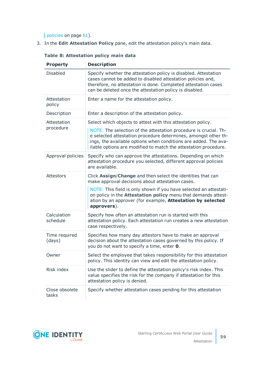[policies](#page-60-0) on page 61).

3. In the **Edit Attestation Policy** pane, edit the attestation policy's main data.

| <b>Property</b>          | <b>Description</b>                                                                                                                                                                                                                                                       |
|--------------------------|--------------------------------------------------------------------------------------------------------------------------------------------------------------------------------------------------------------------------------------------------------------------------|
| <b>Disabled</b>          | Specify whether the attestation policy is disabled. Attestation<br>cases cannot be added to disabled attestation policies and,<br>therefore, no attestation is done. Completed attestation cases<br>can be deleted once the attestation policy is disabled.              |
| Attestation<br>policy    | Enter a name for the attestation policy.                                                                                                                                                                                                                                 |
| Description              | Enter a description of the attestation policy.                                                                                                                                                                                                                           |
| Attestation<br>procedure | Select which objects to attest with this attestation policy.                                                                                                                                                                                                             |
|                          | NOTE: The selection of the attestation procedure is crucial. Th-<br>e selected attestation procedure determines, amongst other th-<br>ings, the available options when conditions are added. The ava-<br>ilable options are modified to match the attestation procedure. |
| Approval policies        | Specify who can approve the attestations. Depending on which<br>attestation procedure you selected, different approval policies<br>are available.                                                                                                                        |
| Attestors                | Click Assign/Change and then select the identities that can<br>make approval decisions about attestation cases.                                                                                                                                                          |
|                          | NOTE: This field is only shown if you have selected an attestati-<br>on policy in the <b>Attestation policy</b> menu that demands attest-<br>ation by an approver (for example, Attestation by selected<br>approvers).                                                   |
| Calculation<br>schedule  | Specify how often an attestation run is started with this<br>attestation policy. Each attestation run creates a new attestation<br>case respectively.                                                                                                                    |
| Time required<br>(days)  | Specifies how many day attestors have to make an approval<br>decision about the attestation cases governed by this policy. If<br>you do not want to specify a time, enter 0.                                                                                             |
| Owner                    | Select the employee that takes responsibility for this attestation<br>policy. This identity can view and edit the attestation policy.                                                                                                                                    |
| Risk index               | Use the slider to define the attestation policy's risk index. This<br>value specifies the risk for the company if attestation for this<br>attestation policy is denied.                                                                                                  |
| Close obsolete<br>tasks  | Specify whether attestation cases pending for this attestation                                                                                                                                                                                                           |

**Table 8: Attestation policy main data**

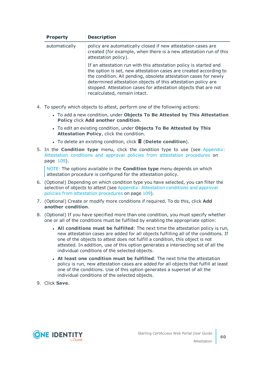| <b>Property</b> | <b>Description</b>                                                                                                                                                                                                                                                                                                                                                             |
|-----------------|--------------------------------------------------------------------------------------------------------------------------------------------------------------------------------------------------------------------------------------------------------------------------------------------------------------------------------------------------------------------------------|
| automatically   | policy are automatically closed if new attestation cases are<br>created (for example, when there is a new attestation run of this<br>attestation policy).                                                                                                                                                                                                                      |
|                 | If an attestation run with this attestation policy is started and<br>the option is set, new attestation cases are created according to<br>the condition. All pending, obsolete attestation cases for newly<br>determined attestation objects of this attestation policy are<br>stopped. Attestation cases for attestation objects that are not<br>recalculated, remain intact. |

- 4. To specify which objects to attest, perform one of the following actions:
	- <sup>l</sup> To add a new condition, under **Objects To Be Attested by This Attestation Policy** click **Add another condition**.
	- <sup>l</sup> To edit an existing condition, under **Objects To Be Attested by This Attestation Policy**, click the condition.
	- <sup>l</sup> To delete an existing condition, click (**Delete condition**).
- 5. In the **Condition type** menu, click the condition type to use (see [Appendix:](#page-108-0) Attestation conditions and approval policies from attestation [procedures](#page-108-0) on [page](#page-108-0) 109).

NOTE: The options available in the **Condition type** menu depends on which attestation procedure is configured for the attestation policy.

- 6. (Optional) Depending on which condition type you have selected, you can filter the selection of objects to attest (see Appendix: [Attestation](#page-108-0) conditions and approval policies from attestation [procedures](#page-108-0) on page 109).
- 7. (Optional) Create or modify more conditions if required. To do this, click **Add another condition**.
- 8. (Optional) If you have specified more than one condition, you must specify whether one or all of the conditions must be fulfilled by enabling the appropriate option:
	- <sup>l</sup> **All conditions must be fulfilled**: The next time the attestation policy is run, new attestation cases are added for all objects fulfilling all of the conditions. If one of the objects to attest does not fulfill a condition, this object is not attested. In addition, use of this option generates a intersecting set of all the individual conditions of the selected objects.
	- <sup>l</sup> **At least one condition must be fulfilled**: The next time the attestation policy is run, new attestation cases are added for all objects that fulfill at least one of the conditions. Use of this option generates a superset of all the individual conditions of the selected objects.
- 9. Click **Save**.

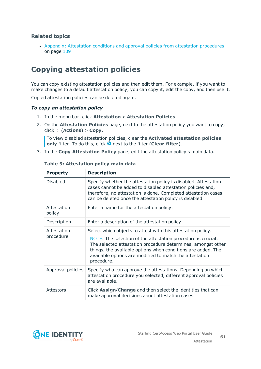• Appendix: Attestation conditions and approval policies from attestation [procedures](#page-108-0) on [page](#page-108-0) 109

## <span id="page-60-0"></span>**Copying attestation policies**

You can copy existing attestation policies and then edit them. For example, if you want to make changes to a default attestation policy, you can copy it, edit the copy, and then use it.

Copied attestation policies can be deleted again.

### *To copy an attestation policy*

- 1. In the menu bar, click **Attestation** > **Attestation Policies**.
- 2. On the **Attestation Policies** page, next to the attestation policy you want to copy, click (**Actions**) > **Copy**.

To view disabled attestation policies, clear the **Activated attestation policies only** filter. To do this, click **O** next to the filter (**Clear filter**).

3. In the **Copy Attestation Policy** pane, edit the attestation policy's main data.

| <b>Property</b>          | <b>Description</b>                                                                                                                                                                                                                                                                                                                    |
|--------------------------|---------------------------------------------------------------------------------------------------------------------------------------------------------------------------------------------------------------------------------------------------------------------------------------------------------------------------------------|
| <b>Disabled</b>          | Specify whether the attestation policy is disabled. Attestation<br>cases cannot be added to disabled attestation policies and,<br>therefore, no attestation is done. Completed attestation cases<br>can be deleted once the attestation policy is disabled.                                                                           |
| Attestation<br>policy    | Enter a name for the attestation policy.                                                                                                                                                                                                                                                                                              |
| Description              | Enter a description of the attestation policy.                                                                                                                                                                                                                                                                                        |
| Attestation<br>procedure | Select which objects to attest with this attestation policy.<br>NOTE: The selection of the attestation procedure is crucial.<br>The selected attestation procedure determines, amongst other<br>things, the available options when conditions are added. The<br>available options are modified to match the attestation<br>procedure. |
| Approval policies        | Specify who can approve the attestations. Depending on which<br>attestation procedure you selected, different approval policies<br>are available.                                                                                                                                                                                     |
| <b>Attestors</b>         | Click Assign/Change and then select the identities that can<br>make approval decisions about attestation cases.                                                                                                                                                                                                                       |

## **Table 9: Attestation policy main data**

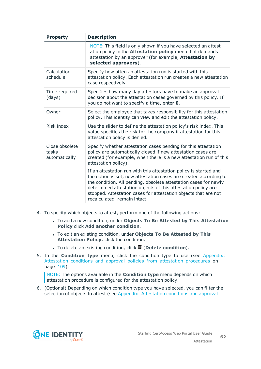| <b>Property</b>                          | <b>Description</b>                                                                                                                                                                                                                                                                                                                                                             |
|------------------------------------------|--------------------------------------------------------------------------------------------------------------------------------------------------------------------------------------------------------------------------------------------------------------------------------------------------------------------------------------------------------------------------------|
|                                          | NOTE: This field is only shown if you have selected an attest-<br>ation policy in the <b>Attestation policy</b> menu that demands<br>attestation by an approver (for example, <b>Attestation by</b><br>selected approvers).                                                                                                                                                    |
| Calculation<br>schedule                  | Specify how often an attestation run is started with this<br>attestation policy. Each attestation run creates a new attestation<br>case respectively.                                                                                                                                                                                                                          |
| Time required<br>(days)                  | Specifies how many day attestors have to make an approval<br>decision about the attestation cases governed by this policy. If<br>you do not want to specify a time, enter 0.                                                                                                                                                                                                   |
| Owner                                    | Select the employee that takes responsibility for this attestation<br>policy. This identity can view and edit the attestation policy.                                                                                                                                                                                                                                          |
| Risk index                               | Use the slider to define the attestation policy's risk index. This<br>value specifies the risk for the company if attestation for this<br>attestation policy is denied.                                                                                                                                                                                                        |
| Close obsolete<br>tasks<br>automatically | Specify whether attestation cases pending for this attestation<br>policy are automatically closed if new attestation cases are<br>created (for example, when there is a new attestation run of this<br>attestation policy).                                                                                                                                                    |
|                                          | If an attestation run with this attestation policy is started and<br>the option is set, new attestation cases are created according to<br>the condition. All pending, obsolete attestation cases for newly<br>determined attestation objects of this attestation policy are<br>stopped. Attestation cases for attestation objects that are not<br>recalculated, remain intact. |

- 4. To specify which objects to attest, perform one of the following actions:
	- <sup>l</sup> To add a new condition, under **Objects To Be Attested by This Attestation Policy** click **Add another condition**.
	- <sup>l</sup> To edit an existing condition, under **Objects To Be Attested by This Attestation Policy**, click the condition.
	- <sup>l</sup> To delete an existing condition, click (**Delete condition**).
- 5. In the **Condition type** menu, click the condition type to use (see [Appendix:](#page-108-0) Attestation conditions and approval policies from attestation [procedures](#page-108-0) on [page](#page-108-0) 109).

NOTE: The options available in the **Condition type** menu depends on which attestation procedure is configured for the attestation policy.

6. (Optional) Depending on which condition type you have selected, you can filter the selection of objects to attest (see Appendix: [Attestation](#page-108-0) conditions and approval

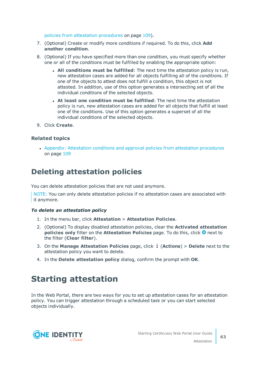policies from attestation [procedures](#page-108-0) on page 109).

- 7. (Optional) Create or modify more conditions if required. To do this, click **Add another condition**.
- 8. (Optional) If you have specified more than one condition, you must specify whether one or all of the conditions must be fulfilled by enabling the appropriate option:
	- <sup>l</sup> **All conditions must be fulfilled**: The next time the attestation policy is run, new attestation cases are added for all objects fulfilling all of the conditions. If one of the objects to attest does not fulfill a condition, this object is not attested. In addition, use of this option generates a intersecting set of all the individual conditions of the selected objects.
	- <sup>l</sup> **At least one condition must be fulfilled**: The next time the attestation policy is run, new attestation cases are added for all objects that fulfill at least one of the conditions. Use of this option generates a superset of all the individual conditions of the selected objects.
- 9. Click **Create**.

## **Related topics**

• Appendix: Attestation conditions and approval policies from attestation [procedures](#page-108-0) on [page](#page-108-0) 109

## <span id="page-62-1"></span>**Deleting attestation policies**

You can delete attestation policies that are not used anymore.

NOTE: You can only delete attestation policies if no attestation cases are associated with it anymore.

#### *To delete an attestation policy*

- 1. In the menu bar, click **Attestation** > **Attestation Policies**.
- 2. (Optional) To display disabled attestation policies, clear the **Activated attestation policies only** filter on the **Attestation Policies** page. To do this, click <sup>3</sup> next to the filter (**Clear filter**).
- 3. On the **Manage Attestation Policies** page, click (**Actions**) > **Delete** next to the attestation policy you want to delete.
- <span id="page-62-0"></span>4. In the **Delete attestation policy** dialog, confirm the prompt with **OK**.

## **Starting attestation**

In the Web Portal, there are two ways for you to set up attestation cases for an attestation policy. You can trigger attestation through a scheduled task or you can start selected objects individually.

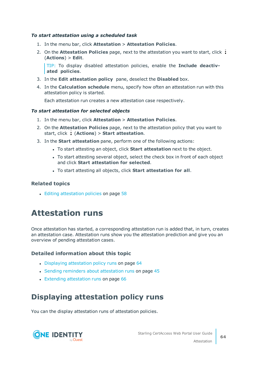## *To start attestation using a scheduled task*

- 1. In the menu bar, click **Attestation** > **Attestation Policies**.
- 2. On the **Attestation Policies** page, next to the attestation you want to start, click (**Actions**) > **Edit**.

TIP: To display disabled attestation policies, enable the **Include deactivated policies**.

- 3. In the **Edit attestation policy** pane, deselect the **Disabled** box.
- 4. In the **Calculation schedule** menu, specify how often an attestation run with this attestation policy is started.

Each attestation run creates a new attestation case respectively.

### *To start attestation for selected objects*

- 1. In the menu bar, click **Attestation** > **Attestation Policies**.
- 2. On the **Attestation Policies** page, next to the attestation policy that you want to start, click (**Actions**) > **Start attestation**.
- 3. In the **Start attestation** pane, perform one of the following actions:
	- <sup>l</sup> To start attesting an object, click **Start attestation** next to the object.
	- To start attesting several object, select the check box in front of each object and click **Start attestation for selected**.
	- <sup>l</sup> To start attesting all objects, click **Start attestation for all**.

## **Related topics**

• Editing [attestation](#page-57-0) policies on page 58

## **Attestation runs**

Once attestation has started, a corresponding attestation run is added that, in turn, creates an attestation case. Attestation runs show you the attestation prediction and give you an overview of pending attestation cases.

## **Detailed information about this topic**

- Displaying [attestation](#page-63-0) policy runs on page 64
- Sending reminders about [attestation](#page-44-1) runs on page 45
- Extending [attestation](#page-65-2) runs on page 66

## <span id="page-63-0"></span>**Displaying attestation policy runs**

You can the display attestation runs of attestation policies.

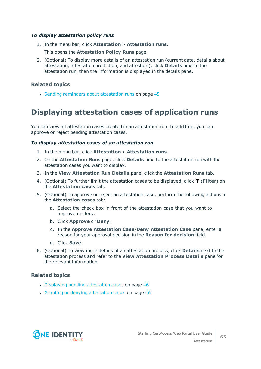## *To display attestation policy runs*

- 1. In the menu bar, click **Attestation** > **Attestation runs**.
	- This opens the **Attestation Policy Runs** page
- 2. (Optional) To display more details of an attestation run (current date, details about attestation, attestation prediction, and attestors), click **Details** next to the attestation run, then the information is displayed in the details pane.

## **Related topics**

• Sending reminders about [attestation](#page-44-1) runs on page 45

## <span id="page-64-0"></span>**Displaying attestation cases of application runs**

You can view all attestation cases created in an attestation run. In addition, you can approve or reject pending attestation cases.

### *To display attestation cases of an attestation run*

- 1. In the menu bar, click **Attestation** > **Attestation runs**.
- 2. On the **Attestation Runs** page, click **Details** next to the attestation run with the attestation cases you want to display.
- 3. In the **View Attestation Run Details** pane, click the **Attestation Runs** tab.
- 4. (Optional) To further limit the attestation cases to be displayed, click  $\blacktriangledown$  (Filter) on the **Attestation cases** tab.
- 5. (Optional) To approve or reject an attestation case, perform the following actions in the **Attestation cases** tab:
	- a. Select the check box in front of the attestation case that you want to approve or deny.
	- b. Click **Approve** or **Deny**.
	- c. In the **Approve Attestation Case**/**Deny Attestation Case** pane, enter a reason for your approval decision in the **Reason for decision** field.
	- d. Click **Save**.
- 6. (Optional) To view more details of an attestation process, click **Details** next to the attestation process and refer to the **View Attestation Process Details** pane for the relevant information.

## **Related topics**

- Displaying pending [attestation](#page-45-0) cases on page 46
- Granting or denying [attestation](#page-45-1) cases on page 46

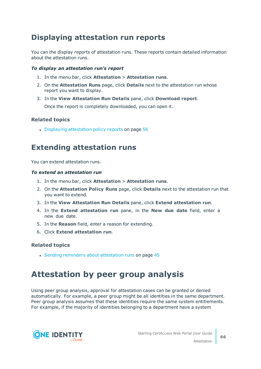## <span id="page-65-1"></span>**Displaying attestation run reports**

You can the display reports of attestation runs. These reports contain detailed information about the attestation runs.

## *To display an attestation run's report*

- 1. In the menu bar, click **Attestation** > **Attestation runs**.
- 2. On the **Attestation Runs** page, click **Details** next to the attestation run whose report you want to display.
- 3. In the **View Attestation Run Details** pane, click **Download report**. Once the report is completely downloaded, you can open it.

## **Related topics**

• Displaying [attestation](#page-55-1) policy reports on page 56

## <span id="page-65-2"></span>**Extending attestation runs**

You can extend attestation runs.

### *To extend an attestation run*

- 1. In the menu bar, click **Attestation** > **Attestation runs**.
- 2. On the **Attestation Policy Runs** page, click **Details** next to the attestation run that you want to extend.
- 3. In the **View Attestation Run Details** pane, click **Extend attestation run**.
- 4. In the **Extend attestation run** pane, in the **New due date** field, enter a new due date.
- 5. In the **Reason** field, enter a reason for extending.
- 6. Click **Extend attestation run**.

## **Related topics**

• Sending reminders about [attestation](#page-44-1) runs on page 45

# <span id="page-65-0"></span>**Attestation by peer group analysis**

Using peer group analysis, approval for attestation cases can be granted or denied automatically. For example, a peer group might be all identities in the same department. Peer group analysis assumes that these identities require the same system entitlements. For example, if the majority of identities belonging to a department have a system

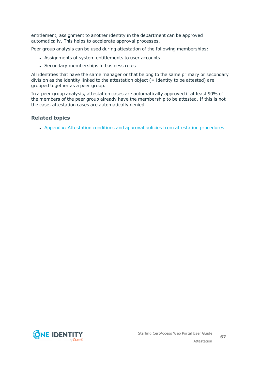entitlement, assignment to another identity in the department can be approved automatically. This helps to accelerate approval processes.

Peer group analysis can be used during attestation of the following memberships:

- Assignments of system entitlements to user accounts
- Secondary memberships in business roles

All identities that have the same manager or that belong to the same primary or secondary division as the identity linked to the attestation object  $($  = identity to be attested) are grouped together as a peer group.

In a peer group analysis, attestation cases are automatically approved if at least 90% of the members of the peer group already have the membership to be attested. If this is not the case, attestation cases are automatically denied.

## **Related topics**

• Appendix: Attestation conditions and approval policies from attestation [procedures](#page-108-0)

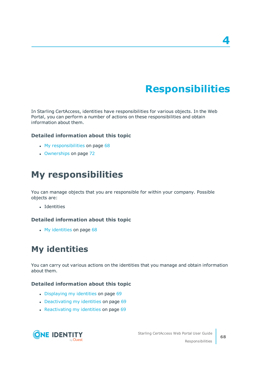# **Responsibilities**

In Starling CertAccess, identities have responsibilities for various objects. In the Web Portal, you can perform a number of actions on these responsibilities and obtain information about them.

## **Detailed information about this topic**

- $\cdot$  My [responsibilities](#page-67-0) on page 68
- [Ownerships](#page-71-0) on page 72

# <span id="page-67-0"></span>**My responsibilities**

You can manage objects that you are responsible for within your company. Possible objects are:

• Identities

## **Detailed information about this topic**

• My [identities](#page-67-1) on page 68

# <span id="page-67-1"></span>**My identities**

You can carry out various actions on the identities that you manage and obtain information about them.

## **Detailed information about this topic**

- [Displaying](#page-68-0) my identities on page 69
- $\bullet$  [Deactivating](#page-68-1) my identities on page 69
- $\cdot$  [Reactivating](#page-68-2) my identities on page 69

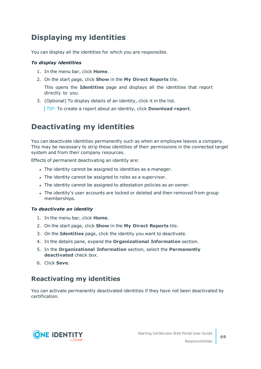## <span id="page-68-0"></span>**Displaying my identities**

You can display all the identities for which you are responsible.

## *To display identities*

- 1. In the menu bar, click **Home**.
- 2. On the start page, click **Show** in the **My Direct Reports** tile.

This opens the **Identities** page and displays all the identities that report directly to you.

3. (Optional) To display details of an identity, click it in the list.

TIP: To create a report about an identity, click **Download report**.

## <span id="page-68-1"></span>**Deactivating my identities**

You can deactivate identities permanently such as when an employee leaves a company. This may be necessary to strip these identities of their permissions in the connected target system and from their company resources.

Effects of permanent deactivating an identity are:

- The identity cannot be assigned to identities as a manager.
- The identity cannot be assigned to roles as a supervisor.
- The identity cannot be assigned to attestation policies as an owner.
- The identity's user accounts are locked or deleted and then removed from group memberships.

## *To deactivate an identity*

- 1. In the menu bar, click **Home**.
- 2. On the start page, click **Show** in the **My Direct Reports** tile.
- 3. On the **Identities** page, click the identity you want to deactivate.
- 4. In the details pane, expand the **Organizational Information** section.
- 5. In the **Organizational Information** section, select the **Permanently deactivated** check box.
- <span id="page-68-2"></span>6. Click **Save**.

## **Reactivating my identities**

You can activate permanently deactivated identities if they have not been deactivated by certification.

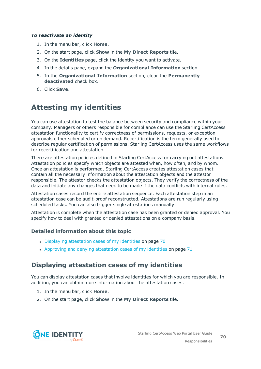## *To reactivate an identity*

- 1. In the menu bar, click **Home**.
- 2. On the start page, click **Show** in the **My Direct Reports** tile.
- 3. On the **Identities** page, click the identity you want to activate.
- 4. In the details pane, expand the **Organizational Information** section.
- 5. In the **Organizational Information** section, clear the **Permanently deactivated** check box.
- 6. Click **Save**.

## **Attesting my identities**

You can use attestation to test the balance between security and compliance within your company. Managers or others responsible for compliance can use the Starling CertAccess attestation functionality to certify correctness of permissions, requests, or exception approvals either scheduled or on demand. Recertification is the term generally used to describe regular certification of permissions. Starling CertAccess uses the same workflows for recertification and attestation.

There are attestation policies defined in Starling CertAccess for carrying out attestations. Attestation policies specify which objects are attested when, how often, and by whom. Once an attestation is performed, Starling CertAccess creates attestation cases that contain all the necessary information about the attestation objects and the attestor responsible. The attestor checks the attestation objects. They verify the correctness of the data and initiate any changes that need to be made if the data conflicts with internal rules.

Attestation cases record the entire attestation sequence. Each attestation step in an attestation case can be audit-proof reconstructed. Attestations are run regularly using scheduled tasks. You can also trigger single attestations manually.

Attestation is complete when the attestation case has been granted or denied approval. You specify how to deal with granted or denied attestations on a company basis.

## **Detailed information about this topic**

- Displaying [attestation](#page-69-0) cases of my identities on page 70
- Approving and denying [attestation](#page-70-0) cases of my identities on page  $71$

## <span id="page-69-0"></span>**Displaying attestation cases of my identities**

You can display attestation cases that involve identities for which you are responsible. In addition, you can obtain more information about the attestation cases.

- 1. In the menu bar, click **Home**.
- 2. On the start page, click **Show** in the **My Direct Reports** tile.

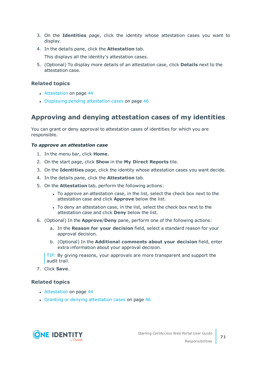- 3. On the **Identities** page, click the identity whose attestation cases you want to display.
- 4. In the details pane, click the **Attestation** tab.

This displays all the identity's attestation cases.

5. (Optional) To display more details of an attestation case, click **Details** next to the attestation case.

## **Related topics**

- [Attestation](#page-43-0) on page 44
- Displaying pending [attestation](#page-45-0) cases on page 46

## <span id="page-70-0"></span>**Approving and denying attestation cases of my identities**

You can grant or deny approval to attestation cases of identities for which you are responsible.

### *To approve an attestation case*

- 1. In the menu bar, click **Home**.
- 2. On the start page, click **Show** in the **My Direct Reports** tile.
- 3. On the **Identities** page, click the identity whose attestation cases you want decide.
- 4. In the details pane, click the **Attestation** tab.
- 5. On the **Attestation** tab, perform the following actions:
	- To approve an attestation case, in the list, select the check box next to the attestation case and click **Approve** below the list.
	- To deny an attestation case, in the list, select the check box next to the attestation case and click **Deny** below the list.
- 6. (Optional) In the **Approve**/**Deny** pane, perform one of the following actions:
	- a. In the **Reason for your decision** field, select a standard reason for your approval decision.
	- b. (Optional) In the **Additional comments about your decision** field, enter extra information about your approval decision.

TIP: By giving reasons, your approvals are more transparent and support the audit trail.

7. Click **Save**.

## **Related topics**

- [Attestation](#page-43-0) on page 44
- Granting or denying [attestation](#page-45-1) cases on page 46

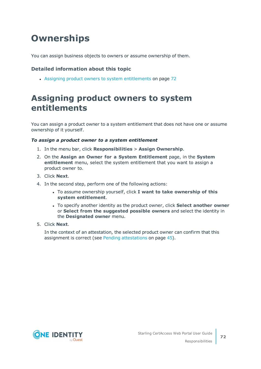# <span id="page-71-0"></span>**Ownerships**

You can assign business objects to owners or assume ownership of them.

## **Detailed information about this topic**

• Assigning product owners to system [entitlements](#page-71-1) on page 72

# <span id="page-71-1"></span>**Assigning product owners to system entitlements**

You can assign a product owner to a system entitlement that does not have one or assume ownership of it yourself.

## *To assign a product owner to a system entitlement*

- 1. In the menu bar, click **Responsibilities** > **Assign Ownership**.
- 2. On the **Assign an Owner for a System Entitlement** page, in the **System entitlement** menu, select the system entitlement that you want to assign a product owner to.
- 3. Click **Next**.
- 4. In the second step, perform one of the following actions:
	- <sup>l</sup> To assume ownership yourself, click **I want to take ownership of this system entitlement**.
	- <sup>l</sup> To specify another identity as the product owner, click **Select another owner** or **Select from the suggested possible owners** and select the identity in the **Designated owner** menu.
- 5. Click **Next**.

In the context of an attestation, the selected product owner can confirm that this assignment is correct (see Pending [attestations](#page-44-0) on page 45).

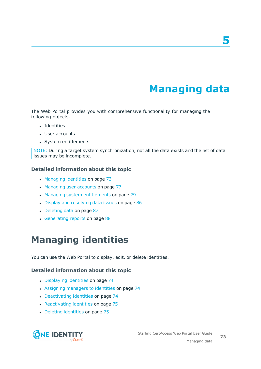# **Managing data**

The Web Portal provides you with comprehensive functionality for managing the following objects.

- Identities
- User accounts
- System entitlements

NOTE: During a target system synchronization, not all the data exists and the list of data issues may be incomplete.

### **Detailed information about this topic**

- [Managing](#page-72-0) identities on page 73
- [Managing](#page-76-0) user accounts on page 77
- Managing system [entitlements](#page-78-0) on page 79
- Display and [resolving](#page-85-0) data issues on page 86
- $\cdot$  [Deleting](#page-86-0) data on page 87
- [Generating](#page-87-0) reports on page 88

# <span id="page-72-0"></span>**Managing identities**

You can use the Web Portal to display, edit, or delete identities.

### **Detailed information about this topic**

- [Displaying](#page-73-0) identities on page 74
- Assigning [managers](#page-73-1) to identities on page 74
- [Deactivating](#page-73-2) identities on page 74
- [Reactivating](#page-74-0) identities on page 75
- Deleting [identities](#page-74-1) on page 75

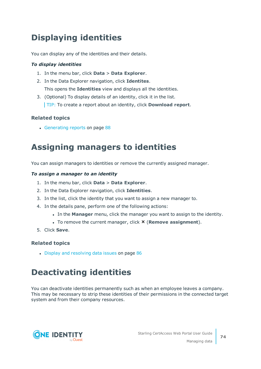# <span id="page-73-0"></span>**Displaying identities**

You can display any of the identities and their details.

### *To display identities*

- 1. In the menu bar, click **Data** > **Data Explorer**.
- 2. In the Data Explorer navigation, click **Identites**. This opens the **Identities** view and displays all the identities.
- 3. (Optional) To display details of an identity, click it in the list. TIP: To create a report about an identity, click **Download report**.

## **Related topics**

• [Generating](#page-87-0) reports on page 88

## <span id="page-73-1"></span>**Assigning managers to identities**

You can assign managers to identities or remove the currently assigned manager.

### *To assign a manager to an identity*

- 1. In the menu bar, click **Data** > **Data Explorer**.
- 2. In the Data Explorer navigation, click **Identities**.
- 3. In the list, click the identity that you want to assign a new manager to.
- 4. In the details pane, perform one of the following actions:
	- <sup>l</sup> In the **Manager** menu, click the manager you want to assign to the identity.
	- **.** To remove the current manager, click **×** (**Remove assignment**).
- 5. Click **Save**.

## **Related topics**

• Display and [resolving](#page-85-0) data issues on page 86

## <span id="page-73-2"></span>**Deactivating identities**

You can deactivate identities permanently such as when an employee leaves a company. This may be necessary to strip these identities of their permissions in the connected target system and from their company resources.

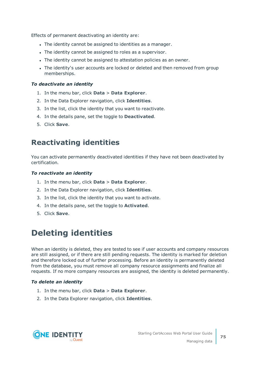Effects of permanent deactivating an identity are:

- The identity cannot be assigned to identities as a manager.
- The identity cannot be assigned to roles as a supervisor.
- The identity cannot be assigned to attestation policies as an owner.
- The identity's user accounts are locked or deleted and then removed from group memberships.

#### *To deactivate an identity*

- 1. In the menu bar, click **Data** > **Data Explorer**.
- 2. In the Data Explorer navigation, click **Identities**.
- 3. In the list, click the identity that you want to reactivate.
- 4. In the details pane, set the toggle to **Deactivated**.
- <span id="page-74-0"></span>5. Click **Save**.

## **Reactivating identities**

You can activate permanently deactivated identities if they have not been deactivated by certification.

#### *To reactivate an identity*

- 1. In the menu bar, click **Data** > **Data Explorer**.
- 2. In the Data Explorer navigation, click **Identities**.
- 3. In the list, click the identity that you want to activate.
- 4. In the details pane, set the toggle to **Activated**.
- <span id="page-74-1"></span>5. Click **Save**.

## **Deleting identities**

When an identity is deleted, they are tested to see if user accounts and company resources are still assigned, or if there are still pending requests. The identity is marked for deletion and therefore locked out of further processing. Before an identity is permanently deleted from the database, you must remove all company resource assignments and finalize all requests. If no more company resources are assigned, the identity is deleted permanently.

#### *To delete an identity*

- 1. In the menu bar, click **Data** > **Data Explorer**.
- 2. In the Data Explorer navigation, click **Identities**.

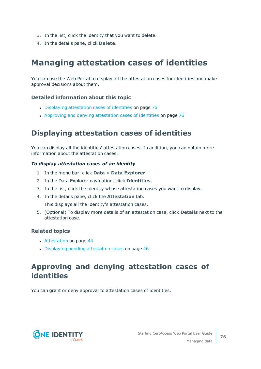- 3. In the list, click the identity that you want to delete.
- 4. In the details pane, click **Delete**.

# **Managing attestation cases of identities**

You can use the Web Portal to display all the attestation cases for identities and make approval decisions about them.

## **Detailed information about this topic**

- Displaying [attestation](#page-75-0) cases of identities on page 76
- Approving and denying [attestation](#page-75-1) cases of identities on page 76

## <span id="page-75-0"></span>**Displaying attestation cases of identities**

You can display all the identities' attestation cases. In addition, you can obtain more information about the attestation cases.

## *To display attestation cases of an identity*

- 1. In the menu bar, click **Data** > **Data Explorer**.
- 2. In the Data Explorer navigation, click **Identities**.
- 3. In the list, click the identity whose attestation cases you want to display.
- 4. In the details pane, click the **Attestation** tab.

This displays all the identity's attestation cases.

5. (Optional) To display more details of an attestation case, click **Details** next to the attestation case.

## **Related topics**

- [Attestation](#page-43-0) on page 44
- Displaying pending [attestation](#page-45-0) cases on page 46

## <span id="page-75-1"></span>**Approving and denying attestation cases of identities**

You can grant or deny approval to attestation cases of identities.



Managing data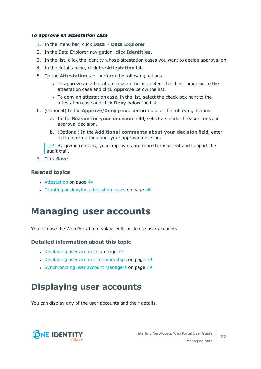### *To approve an attestation case*

- 1. In the menu bar, click **Data** > **Data Explorer**.
- 2. In the Data Explorer navigation, click **Identities**.
- 3. In the list, click the identity whose attestation cases you want to decide approval on.
- 4. In the details pane, click the **Attestation** tab.
- 5. On the **Attestation** tab, perform the following actions:
	- To approve an attestation case, in the list, select the check box next to the attestation case and click **Approve** below the list.
	- To deny an attestation case, in the list, select the check box next to the attestation case and click **Deny** below the list.
- 6. (Optional) In the **Approve**/**Deny** pane, perform one of the following actions:
	- a. In the **Reason for your decision** field, select a standard reason for your approval decision.
	- b. (Optional) In the **Additional comments about your decision** field, enter extra information about your approval decision.

TIP: By giving reasons, your approvals are more transparent and support the audit trail.

7. Click **Save**.

## **Related topics**

- [Attestation](#page-43-0) on page 44
- <span id="page-76-0"></span>• Granting or denying [attestation](#page-45-1) cases on page 46

# **Managing user accounts**

You can use the Web Portal to display, edit, or delete user accounts.

### **Detailed information about this topic**

- [Displaying](#page-76-1) user accounts on page 77
- Displaying user account [memberships](#page-78-1) on page 79
- [Synchronizing](#page-78-2) user account managers on page 79

## <span id="page-76-1"></span>**Displaying user accounts**

You can display any of the user accounts and their details.

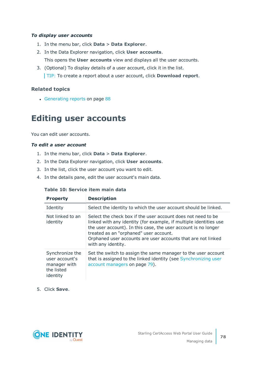## *To display user accounts*

- 1. In the menu bar, click **Data** > **Data Explorer**.
- 2. In the Data Explorer navigation, click **User accounts**. This opens the **User accounts** view and displays all the user accounts.
- 3. (Optional) To display details of a user account, click it in the list. TIP: To create a report about a user account, click **Download report**.

## **Related topics**

• [Generating](#page-87-0) reports on page 88

## **Editing user accounts**

You can edit user accounts.

## *To edit a user account*

- 1. In the menu bar, click **Data** > **Data Explorer**.
- 2. In the Data Explorer navigation, click **User accounts**.
- 3. In the list, click the user account you want to edit.
- 4. In the details pane, edit the user account's main data.

### **Table 10: Service item main data**

| <b>Property</b>                                                             | <b>Description</b>                                                                                                                                                                                                                                                                                                                  |
|-----------------------------------------------------------------------------|-------------------------------------------------------------------------------------------------------------------------------------------------------------------------------------------------------------------------------------------------------------------------------------------------------------------------------------|
| Identity                                                                    | Select the identity to which the user account should be linked.                                                                                                                                                                                                                                                                     |
| Not linked to an<br>identity                                                | Select the check box if the user account does not need to be<br>linked with any identity (for example, if multiple identities use<br>the user account). In this case, the user account is no longer<br>treated as an "orphaned" user account.<br>Orphaned user accounts are user accounts that are not linked<br>with any identity. |
| Synchronize the<br>user account's<br>manager with<br>the listed<br>identity | Set the switch to assign the same manager to the user account<br>that is assigned to the linked identity (see Synchronizing user<br>account managers on page 79).                                                                                                                                                                   |

5. Click **Save**.

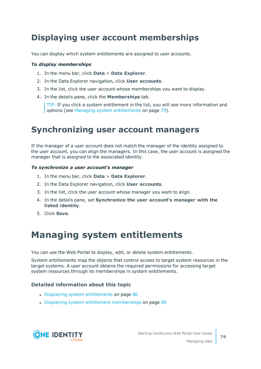# <span id="page-78-1"></span>**Displaying user account memberships**

You can display which system entitlements are assigned to user accounts.

#### *To display memberships*

- 1. In the menu bar, click **Data** > **Data Explorer**.
- 2. In the Data Explorer navigation, click **User accounts**.
- 3. In the list, click the user account whose memberships you want to display.
- 4. In the details pane, click the **Memberships** tab.

TIP: If you click a system entitlement in the list, you will see more information and options (see Managing system [entitlements](#page-78-0) on page 79).

## <span id="page-78-2"></span>**Synchronizing user account managers**

If the manager of a user account does not match the manager of the identity assigned to the user account, you can align the managers. In this case, the user account is assigned the manager that is assigned to the associated identity.

#### *To synchronize a user account's manager*

- 1. In the menu bar, click **Data** > **Data Explorer**.
- 2. In the Data Explorer navigation, click **User accounts**.
- 3. In the list, click the user account whose manager you want to align.
- 4. In the details pane, set **Synchronize the user account's manager with the listed identity**.
- <span id="page-78-0"></span>5. Click **Save**.

# **Managing system entitlements**

You can use the Web Portal to display, edit, or delete system entitlements.

System entitlements map the objects that control access to target system resources in the target systems. A user account obtains the required permissions for accessing target system resources through its memberships in system entitlements.

## **Detailed information about this topic**

- Displaying system [entitlements](#page-79-0) on page 80
- Displaying system entitlement [memberships](#page-79-1) on page 80

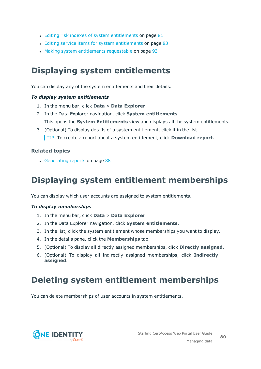- Editing risk indexes of system [entitlements](#page-80-0) on page  $81$
- Editing service items for system [entitlements](#page-82-0) on page 83
- Making system [entitlements](#page-92-0) requestable on page 93

## <span id="page-79-0"></span>**Displaying system entitlements**

You can display any of the system entitlements and their details.

### *To display system entitlements*

- 1. In the menu bar, click **Data** > **Data Explorer**.
- 2. In the Data Explorer navigation, click **System entitlements**. This opens the **System Entitlements** view and displays all the system entitlements.
- 3. (Optional) To display details of a system entitlement, click it in the list. TIP: To create a report about a system entitlement, click **Download report**.

## **Related topics**

• [Generating](#page-87-0) reports on page 88

## <span id="page-79-1"></span>**Displaying system entitlement memberships**

You can display which user accounts are assigned to system entitlements.

### *To display memberships*

- 1. In the menu bar, click **Data** > **Data Explorer**.
- 2. In the Data Explorer navigation, click **System entitlements**.
- 3. In the list, click the system entitlement whose memberships you want to display.
- 4. In the details pane, click the **Memberships** tab.
- 5. (Optional) To display all directly assigned memberships, click **Directly assigned**.
- 6. (Optional) To display all indirectly assigned memberships, click **Indirectly assigned**.

## **Deleting system entitlement memberships**

You can delete memberships of user accounts in system entitlements.

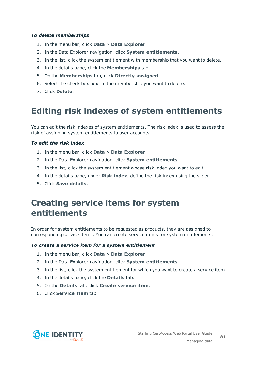### *To delete memberships*

- 1. In the menu bar, click **Data** > **Data Explorer**.
- 2. In the Data Explorer navigation, click **System entitlements**.
- 3. In the list, click the system entitlement with membership that you want to delete.
- 4. In the details pane, click the **Memberships** tab.
- 5. On the **Memberships** tab, click **Directly assigned**.
- 6. Select the check box next to the membership you want to delete.
- 7. Click **Delete**.

## <span id="page-80-0"></span>**Editing risk indexes of system entitlements**

You can edit the risk indexes of system entitlements. The risk index is used to assess the risk of assigning system entitlements to user accounts.

## *To edit the risk index*

- 1. In the menu bar, click **Data** > **Data Explorer**.
- 2. In the Data Explorer navigation, click **System entitlements**.
- 3. In the list, click the system entitlement whose risk index you want to edit.
- 4. In the details pane, under **Risk index**, define the risk index using the slider.
- 5. Click **Save details**.

## **Creating service items for system entitlements**

In order for system entitlements to be requested as products, they are assigned to corresponding service items. You can create service items for system entitlements.

### *To create a service item for a system entitlement*

- 1. In the menu bar, click **Data** > **Data Explorer**.
- 2. In the Data Explorer navigation, click **System entitlements**.
- 3. In the list, click the system entitlement for which you want to create a service item.
- 4. In the details pane, click the **Details** tab.
- 5. On the **Details** tab, click **Create service item**.
- 6. Click **Service Item** tab.



Managing data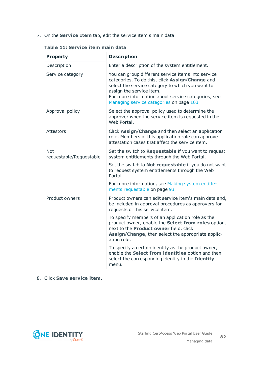7. On the **Service Item** tab, edit the service item's main data.

| <b>Property</b>                       | <b>Description</b>                                                                                                                                                                                                                                                                      |
|---------------------------------------|-----------------------------------------------------------------------------------------------------------------------------------------------------------------------------------------------------------------------------------------------------------------------------------------|
| Description                           | Enter a description of the system entitlement.                                                                                                                                                                                                                                          |
| Service category                      | You can group different service items into service<br>categories. To do this, click Assign/Change and<br>select the service category to which you want to<br>assign the service item.<br>For more information about service categories, see<br>Managing service categories on page 103. |
| Approval policy                       | Select the approval policy used to determine the<br>approver when the service item is requested in the<br>Web Portal.                                                                                                                                                                   |
| Attestors                             | Click Assign/Change and then select an application<br>role. Members of this application role can approve<br>attestation cases that affect the service item.                                                                                                                             |
| <b>Not</b><br>requestable/Requestable | Set the switch to Requestable if you want to request<br>system entitlements through the Web Portal.                                                                                                                                                                                     |
|                                       | Set the switch to <b>Not requestable</b> if you do not want<br>to request system entitlements through the Web<br>Portal.                                                                                                                                                                |
|                                       | For more information, see Making system entitle-<br>ments requestable on page 93.                                                                                                                                                                                                       |
| Product owners                        | Product owners can edit service item's main data and,<br>be included in approval procedures as approvers for<br>requests of this service item.                                                                                                                                          |
|                                       | To specify members of an application role as the<br>product owner, enable the Select from roles option,<br>next to the Product owner field, click<br>Assign/Change, then select the appropriate applic-<br>ation role.                                                                  |
|                                       | To specify a certain identity as the product owner,<br>enable the Select from identities option and then<br>select the corresponding identity in the Identity<br>menu.                                                                                                                  |

## **Table 11: Service item main data**

## 8. Click **Save service item**.

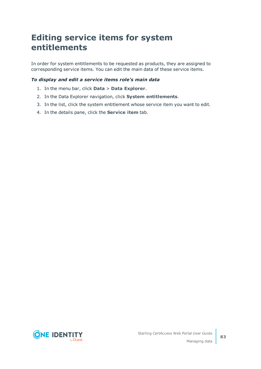## <span id="page-82-0"></span>**Editing service items for system entitlements**

In order for system entitlements to be requested as products, they are assigned to corresponding service items. You can edit the main data of these service items.

### *To display and edit a service items role's main data*

- 1. In the menu bar, click **Data** > **Data Explorer**.
- 2. In the Data Explorer navigation, click **System entitlements**.
- 3. In the list, click the system entitlement whose service item you want to edit.
- 4. In the details pane, click the **Service item** tab.

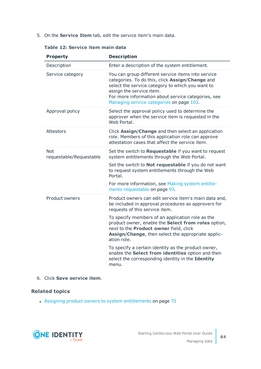5. On the **Service Item** tab, edit the service item's main data.

| <b>Property</b>                       | <b>Description</b>                                                                                                                                                                                                                                                                      |
|---------------------------------------|-----------------------------------------------------------------------------------------------------------------------------------------------------------------------------------------------------------------------------------------------------------------------------------------|
| Description                           | Enter a description of the system entitlement.                                                                                                                                                                                                                                          |
| Service category                      | You can group different service items into service<br>categories. To do this, click Assign/Change and<br>select the service category to which you want to<br>assign the service item.<br>For more information about service categories, see<br>Managing service categories on page 103. |
| Approval policy                       | Select the approval policy used to determine the<br>approver when the service item is requested in the<br>Web Portal.                                                                                                                                                                   |
| <b>Attestors</b>                      | Click Assign/Change and then select an application<br>role. Members of this application role can approve<br>attestation cases that affect the service item.                                                                                                                             |
| <b>Not</b><br>requestable/Requestable | Set the switch to Requestable if you want to request<br>system entitlements through the Web Portal.                                                                                                                                                                                     |
|                                       | Set the switch to <b>Not requestable</b> if you do not want<br>to request system entitlements through the Web<br>Portal.                                                                                                                                                                |
|                                       | For more information, see Making system entitle-<br>ments requestable on page 93.                                                                                                                                                                                                       |
| Product owners                        | Product owners can edit service item's main data and,<br>be included in approval procedures as approvers for<br>requests of this service item.                                                                                                                                          |
|                                       | To specify members of an application role as the<br>product owner, enable the Select from roles option,<br>next to the Product owner field, click<br>Assign/Change, then select the appropriate applic-<br>ation role.                                                                  |
|                                       | To specify a certain identity as the product owner,<br>enable the Select from identities option and then<br>select the corresponding identity in the Identity<br>menu.                                                                                                                  |

## **Table 12: Service item main data**

6. Click **Save service item**.

## **Related topics**

• Assigning product owners to system [entitlements](#page-71-0) on page 72

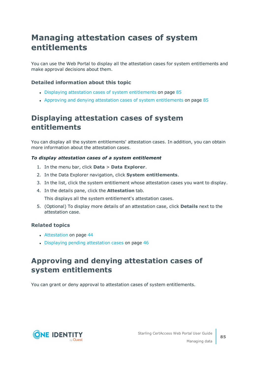## **Managing attestation cases of system entitlements**

You can use the Web Portal to display all the attestation cases for system entitlements and make approval decisions about them.

## **Detailed information about this topic**

- Displaying attestation cases of system [entitlements](#page-84-0) on page 85
- Approving and denying attestation cases of system [entitlements](#page-84-1) on page 85

## <span id="page-84-0"></span>**Displaying attestation cases of system entitlements**

You can display all the system entitlements' attestation cases. In addition, you can obtain more information about the attestation cases.

### *To display attestation cases of a system entitlement*

- 1. In the menu bar, click **Data** > **Data Explorer**.
- 2. In the Data Explorer navigation, click **System entitlements**.
- 3. In the list, click the system entitlement whose attestation cases you want to display.
- 4. In the details pane, click the **Attestation** tab.

This displays all the system entitlement's attestation cases.

5. (Optional) To display more details of an attestation case, click **Details** next to the attestation case.

### **Related topics**

- [Attestation](#page-43-0) on page 44
- Displaying pending [attestation](#page-45-0) cases on page 46

## <span id="page-84-1"></span>**Approving and denying attestation cases of system entitlements**

You can grant or deny approval to attestation cases of system entitlements.



**85**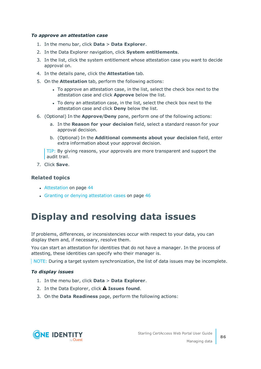#### *To approve an attestation case*

- 1. In the menu bar, click **Data** > **Data Explorer**.
- 2. In the Data Explorer navigation, click **System entitlements**.
- 3. In the list, click the system entitlement whose attestation case you want to decide approval on.
- 4. In the details pane, click the **Attestation** tab.
- 5. On the **Attestation** tab, perform the following actions:
	- To approve an attestation case, in the list, select the check box next to the attestation case and click **Approve** below the list.
	- To deny an attestation case, in the list, select the check box next to the attestation case and click **Deny** below the list.
- 6. (Optional) In the **Approve**/**Deny** pane, perform one of the following actions:
	- a. In the **Reason for your decision** field, select a standard reason for your approval decision.
	- b. (Optional) In the **Additional comments about your decision** field, enter extra information about your approval decision.

TIP: By giving reasons, your approvals are more transparent and support the audit trail.

7. Click **Save**.

### **Related topics**

- [Attestation](#page-43-0) on page 44
- <span id="page-85-0"></span>• Granting or denying [attestation](#page-45-1) cases on page 46

# **Display and resolving data issues**

If problems, differences, or inconsistencies occur with respect to your data, you can display them and, if necessary, resolve them.

You can start an attestation for identities that do not have a manager. In the process of attesting, these identities can specify who their manager is.

NOTE: During a target system synchronization, the list of data issues may be incomplete.

### *To display issues*

- 1. In the menu bar, click **Data** > **Data Explorer**.
- 2. In the Data Explorer, click **Issues found**.
- 3. On the **Data Readiness** page, perform the following actions:



Managing data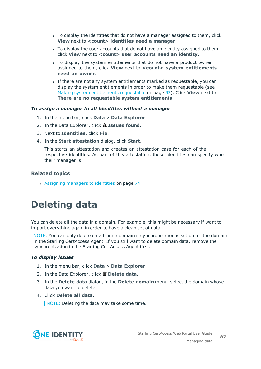- To display the identities that do not have a manager assigned to them, click **View** next to **<count> identities need a manager**.
- To display the user accounts that do not have an identity assigned to them, click **View** next to **<count> user accounts need an identity**.
- To display the system entitlements that do not have a product owner assigned to them, click **View** next to **<count> system entitlements need an owner**.
- If there are not any system entitlements marked as requestable, you can display the system entitlements in order to make them requestable (see Making system [entitlements](#page-92-0) requestable on page 93). Click **View** next to **There are no requestable system entitlements**.

#### *To assign a manager to all identities without a manager*

- 1. In the menu bar, click **Data** > **Data Explorer**.
- 2. In the Data Explorer, click **Issues found**.
- 3. Next to **Identities**, click **Fix**.
- 4. In the **Start attestation** dialog, click **Start**.

This starts an attestation and creates an attestation case for each of the respective identities. As part of this attestation, these identities can specify who their manager is.

## **Related topics**

• Assigning [managers](#page-73-1) to identities on page 74

# <span id="page-86-0"></span>**Deleting data**

You can delete all the data in a domain. For example, this might be necessary if want to import everything again in order to have a clean set of data.

NOTE: You can only delete data from a domain if synchronization is set up for the domain in the Starling CertAccess Agent. If you still want to delete domain data, remove the synchronization in the Starling CertAccess Agent first.

### *To display issues*

- 1. In the menu bar, click **Data** > **Data Explorer**.
- 2. In the Data Explorer, click **Delete data**.
- 3. In the **Delete data** dialog, in the **Delete domain** menu, select the domain whose data you want to delete.
- 4. Click **Delete all data**.

NOTE: Deleting the data may take some time.

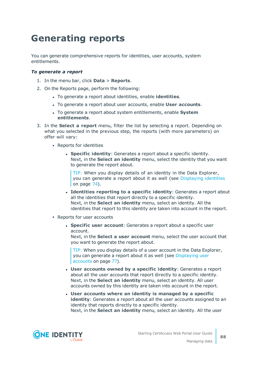# <span id="page-87-0"></span>**Generating reports**

You can generate comprehensive reports for identities, user accounts, system entitlements.

#### *To generate a report*

- 1. In the menu bar, click **Data** > **Reports**.
- 2. On the Reports page, perform the following:
	- <sup>l</sup> To generate a report about identities, enable **identities**.
	- <sup>l</sup> To generate a report about user accounts, enable **User accounts**.
	- <sup>l</sup> To generate a report about system entitlements, enable **System entitlements**.
- 3. In the **Select a report** menu, filter the list by selecting a report. Depending on what you selected in the previous step, the reports (with more parameters) on offer will vary:
	- Reports for identities
		- **.** Specific *identity*: Generates a report about a specific identity. Next, in the **Select an identity** menu, select the identity that you want to generate the report about.

TIP: When you display details of an identity in the Data Explorer, you can generate a report about it as well (see [Displaying](#page-73-0) identities on [page](#page-73-0) 74).

- <sup>l</sup> **Identities reporting to a specific identity**: Generates a report about all the identities that report directly to a specific identity. Next, in the **Select an identity** menu, select an identity. All the identities that report to this identity are taken into account in the report.
- Reports for user accounts
	- **· Specific user account:** Generates a report about a specific user account.

Next, in the **Select a user account** menu, select the user account that you want to generate the report about.

TIP: When you display details of a user account in the Data Explorer, you can generate a report about it as well (see [Displaying](#page-76-1) user [accounts](#page-76-1) on page 77).

- <sup>l</sup> **User accounts owned by a specific identity**: Generates a report about all the user accounts that report directly to a specific identity. Next, in the **Select an identity** menu, select an identity. All user accounts owned by this identity are taken into account in the report.
- <sup>l</sup> **User accounts where an identity is managed by a specific identity**: Generates a report about all the user accounts assigned to an identity that reports directly to a specific identity. Next, in the **Select an identity** menu, select an identity. All the user

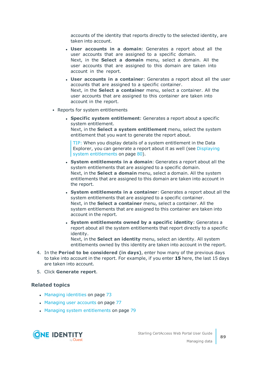accounts of the identity that reports directly to the selected identity, are taken into account.

- <sup>l</sup> **User accounts in a domain**: Generates a report about all the user accounts that are assigned to a specific domain. Next, in the **Select a domain** menu, select a domain. All the user accounts that are assigned to this domain are taken into account in the report.
- <sup>l</sup> **User accounts in a container**: Generates a report about all the user accounts that are assigned to a specific container. Next, in the **Select a container** menu, select a container. All the user accounts that are assigned to this container are taken into account in the report.
- Reports for system entitlements
	- **. Specific system entitlement**: Generates a report about a specific system entitlement. Next, in the **Select a system entitlement** menu, select the system

entitlement that you want to generate the report about. TIP: When you display details of a system entitlement in the Data

Explorer, you can generate a report about it as well (see [Displaying](#page-79-0) system [entitlements](#page-79-0) on page 80).

- <sup>l</sup> **System entitlements in a domain**: Generates a report about all the system entitlements that are assigned to a specific domain. Next, in the **Select a domain** menu, select a domain. All the system entitlements that are assigned to this domain are taken into account in the report.
- <sup>l</sup> **System entitlements in a container**: Generates a report about all the system entitlements that are assigned to a specific container. Next, in the **Select a container** menu, select a container. All the system entitlements that are assigned to this container are taken into account in the report.
- <sup>l</sup> **System entitlements owned by a specific identity**: Generates a report about all the system entitlements that report directly to a specific identity.

Next, in the **Select an identity** menu, select an identity. All system entitlements owned by this identity are taken into account in the report.

- 4. In the **Period to be considered (in days)**, enter how many of the previous days to take into account in the report. For example, if you enter **15** here, the last 15 days are taken into account.
- 5. Click **Generate report**.

#### **Related topics**

- [Managing](#page-72-0) identities on page 73
- [Managing](#page-76-0) user accounts on page 77
- Managing system [entitlements](#page-78-0) on page 79



Managing data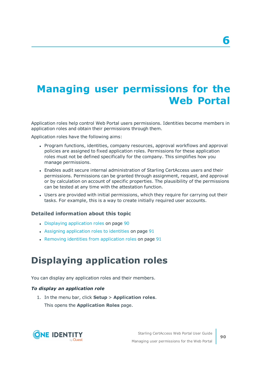# **Managing user permissions for the Web Portal**

Application roles help control Web Portal users permissions. Identities become members in application roles and obtain their permissions through them.

Application roles have the following aims:

- Program functions, identities, company resources, approval workflows and approval policies are assigned to fixed application roles. Permissions for these application roles must not be defined specifically for the company. This simplifies how you manage permissions.
- Enables audit secure internal administration of Starling CertAccess users and their permissions. Permissions can be granted through assignment, request, and approval or by calculation on account of specific properties. The plausibility of the permissions can be tested at any time with the attestation function.
- Users are provided with initial permissions, which they require for carrying out their tasks. For example, this is a way to create initially required user accounts.

### **Detailed information about this topic**

- Displaying [application](#page-89-0) roles on page 90
- Assigning [application](#page-90-0) roles to identities on page 91
- <span id="page-89-0"></span> $\cdot$  Removing identities from [application](#page-90-1) roles on page 91

# **Displaying application roles**

You can display any application roles and their members.

#### *To display an application role*

1. In the menu bar, click **Setup** > **Application roles**. This opens the **Application Roles** page.

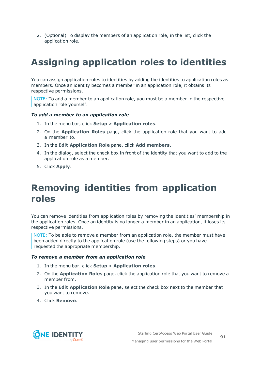2. (Optional) To display the members of an application role, in the list, click the application role.

# <span id="page-90-0"></span>**Assigning application roles to identities**

You can assign application roles to identities by adding the identities to application roles as members. Once an identity becomes a member in an application role, it obtains its respective permissions.

NOTE: To add a member to an application role, you must be a member in the respective application role yourself.

#### *To add a member to an application role*

- 1. In the menu bar, click **Setup** > **Application roles**.
- 2. On the **Application Roles** page, click the application role that you want to add a member to.
- 3. In the **Edit Application Role** pane, click **Add members**.
- 4. In the dialog, select the check box in front of the identity that you want to add to the application role as a member.
- <span id="page-90-1"></span>5. Click **Apply**.

# **Removing identities from application roles**

You can remove identities from application roles by removing the identities' membership in the application roles. Once an identity is no longer a member in an application, it loses its respective permissions.

NOTE: To be able to remove a member from an application role, the member must have been added directly to the application role (use the following steps) or you have requested the appropriate membership.

#### *To remove a member from an application role*

- 1. In the menu bar, click **Setup** > **Application roles**.
- 2. On the **Application Roles** page, click the application role that you want to remove a member from.
- 3. In the **Edit Application Role** pane, select the check box next to the member that you want to remove.
- 4. Click **Remove**.

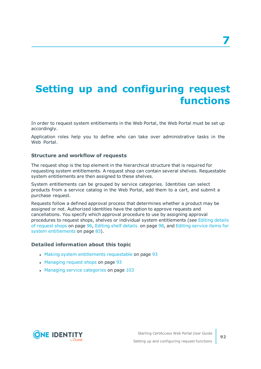# **Setting up and configuring request functions**

In order to request system entitlements in the Web Portal, the Web Portal must be set up accordingly.

Application roles help you to define who can take over administrative tasks in the Web Portal.

#### **Structure and workflow of requests**

The request shop is the top element in the hierarchical structure that is required for requesting system entitlements. A request shop can contain several shelves. Requestable system entitlements are then assigned to these shelves.

System entitlements can be grouped by service categories. Identities can select products from a service catalog in the Web Portal, add them to a cart, and submit a purchase request.

Requests follow a defined approval process that determines whether a product may be assigned or not. Authorized identities have the option to approve requests and cancellations. You specify which approval procedure to use by assigning approval procedures to request shops, shelves or individual system entitlements (see [Editing](#page-95-0) details of [request](#page-95-0) shops on page 96, [Editing](#page-97-0) shelf details on page 98, and Editing [service](#page-82-0) items for system [entitlements](#page-82-0) on page 83).

#### **Detailed information about this topic**

- Making system [entitlements](#page-92-0) requestable on page 93
- [Managing](#page-92-1) request shops on page 93
- Managing service [categories](#page-102-0) on page 103

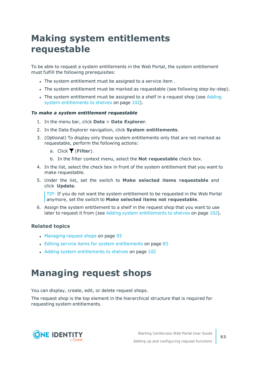# <span id="page-92-0"></span>**Making system entitlements requestable**

To be able to request a system entitlements in the Web Portal, the system entitlement must fulfill the following prerequisites:

- . The system entitlement must be assigned to a service item.
- The system entitlement must be marked as requestable (see following step-by-step).
- The system entitlement must be assigned to a shelf in a request shop (see [Adding](#page-101-0) system [entitlements](#page-101-0) to shelves on page 102).

#### *To make a system entitlement requestable*

- 1. In the menu bar, click **Data** > **Data Explorer**.
- 2. In the Data Explorer navigation, click **System entitlements**.
- 3. (Optional) To display only those system entitlements only that are not marked as requestable, perform the following actions:
	- a. Click (**Filter**).
	- b. In the filter context menu, select the **Not requestable** check box.
- 4. In the list, select the check box in front of the system entitlement that you want to make requestable.
- 5. Under the list, set the switch to **Make selected items requestable** and click **Update**.

TIP: If you do not want the system entitlement to be requested in the Web Portal anymore, set the switch to **Make selected items not requestable**.

6. Assign the system entitlement to a shelf in the request shop that you want to use later to request it from (see Adding system [entitlements](#page-101-0) to shelves on page 102).

### **Related topics**

- [Managing](#page-92-1) request shops on page 93
- Editing service items for system [entitlements](#page-82-0) on page 83
- Adding system [entitlements](#page-101-0) to shelves on page 102

# <span id="page-92-1"></span>**Managing request shops**

You can display, create, edit, or delete request shops.

The request shop is the top element in the hierarchical structure that is required for requesting system entitlements.

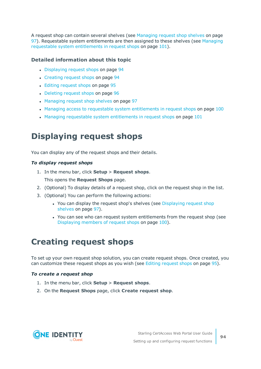A request shop can contain several shelves (see [Managing](#page-96-0) request shop shelves on page [97](#page-96-0)). Requestable system entitlements are then assigned to these shelves (see [Managing](#page-100-0) requestable system [entitlements](#page-100-0) in request shops on page 101).

## **Detailed information about this topic**

- [Displaying](#page-93-0) request shops on page 94
- [Creating](#page-93-1) request shops on page 94
- Editing [request](#page-94-0) shops on page 95
- [Deleting](#page-95-1) request shops on page 96
- [Managing](#page-96-0) request shop shelves on page 97
- Managing access to requestable system [entitlements](#page-99-0) in request shops on page 100
- . Managing requestable system [entitlements](#page-100-0) in request shops on page 101

## <span id="page-93-0"></span>**Displaying request shops**

You can display any of the request shops and their details.

## *To display request shops*

1. In the menu bar, click **Setup** > **Request shops**.

This opens the **Request Shops** page.

- 2. (Optional) To display details of a request shop, click on the request shop in the list.
- 3. (Optional) You can perform the following actions:
	- You can display the request shop's shelves (see [Displaying](#page-96-1) request shop [shelves](#page-96-1) on page 97).
	- You can see who can request system entitlements from the request shop (see [Displaying](#page-99-1) members of request shops on page 100).

## <span id="page-93-1"></span>**Creating request shops**

To set up your own request shop solution, you can create request shops. Once created, you can customize these request shops as you wish (see Editing [request](#page-94-0) shops on page 95).

### *To create a request shop*

- 1. In the menu bar, click **Setup** > **Request shops**.
- 2. On the **Request Shops** page, click **Create request shop**.

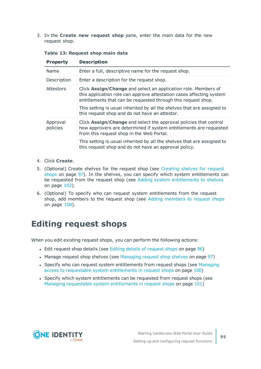3. In the **Create new request shop** pane, enter the main data for the new request shop.

| <b>Property</b>      | <b>Description</b>                                                                                                                                                                                                                                                                                                                   |
|----------------------|--------------------------------------------------------------------------------------------------------------------------------------------------------------------------------------------------------------------------------------------------------------------------------------------------------------------------------------|
| Name                 | Enter a full, descriptive name for the request shop.                                                                                                                                                                                                                                                                                 |
| Description          | Enter a description for the request shop.                                                                                                                                                                                                                                                                                            |
| Attestors            | Click Assign/Change and select an application role. Members of<br>this application role can approve attestation cases affecting system<br>entitlements that can be requested through this request shop.<br>This setting is usual inherited by all the shelves that are assigned to<br>this request shop and do not have an attestor. |
| Approval<br>policies | Click Assign/Change and select the approval policies that control<br>how approvers are determined if system entitlements are requested<br>from this request shop in the Web Portal.                                                                                                                                                  |
|                      | This setting is usual inherited by all the shelves that are assigned to<br>this request shop and do not have an approval policy.                                                                                                                                                                                                     |

**Table 13: Request shop main data**

- 4. Click **Create**.
- 5. (Optional) Create shelves for the request shop (see [Creating](#page-96-2) shelves for request [shops](#page-96-2) on page 97). In the shelves, you can specify which system entitlements can be requested from the request shop (see Adding system [entitlements](#page-101-0) to shelves on [page](#page-101-0) 102).
- 6. (Optional) To specify who can request system entitlements from the request shop, add members to the request shop (see Adding [members](#page-99-2) to request shops on [page](#page-99-2) 100).

## <span id="page-94-0"></span>**Editing request shops**

When you edit existing request shops, you can perform the following actions:

- Edit [request](#page-95-0) shop details (see Editing details of request shops on page 96)
- Manage request shop shelves (see [Managing](#page-96-0) request shop shelves on page 97)
- Specify who can request system entitlements from request shops (see [Managing](#page-99-0) access to requestable system [entitlements](#page-99-0) in request shops on page 100)
- Specify which system entitlements can be requested from request shops (see Managing requestable system [entitlements](#page-100-0) in request shops on page 101)

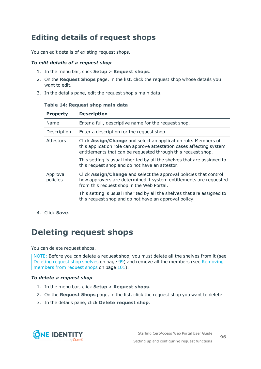## <span id="page-95-0"></span>**Editing details of request shops**

You can edit details of existing request shops.

### *To edit details of a request shop*

- 1. In the menu bar, click **Setup** > **Request shops**.
- 2. On the **Request Shops** page, in the list, click the request shop whose details you want to edit.
- 3. In the details pane, edit the request shop's main data.

| <b>Property</b>      | <b>Description</b>                                                                                                                                                                                                                                                                                                                   |
|----------------------|--------------------------------------------------------------------------------------------------------------------------------------------------------------------------------------------------------------------------------------------------------------------------------------------------------------------------------------|
| Name                 | Enter a full, descriptive name for the request shop.                                                                                                                                                                                                                                                                                 |
| Description          | Enter a description for the request shop.                                                                                                                                                                                                                                                                                            |
| Attestors            | Click Assign/Change and select an application role. Members of<br>this application role can approve attestation cases affecting system<br>entitlements that can be requested through this request shop.<br>This setting is usual inherited by all the shelves that are assigned to<br>this request shop and do not have an attestor. |
| Approval<br>policies | Click Assign/Change and select the approval policies that control<br>how approvers are determined if system entitlements are requested<br>from this request shop in the Web Portal.                                                                                                                                                  |
|                      | This setting is usual inherited by all the shelves that are assigned to<br>this request shop and do not have an approval policy.                                                                                                                                                                                                     |

#### **Table 14: Request shop main data**

<span id="page-95-1"></span>4. Click **Save**.

## **Deleting request shops**

You can delete request shops.

NOTE: Before you can delete a request shop, you must delete all the shelves from it (see [Deleting](#page-98-0) request shop shelves on page 99) and remove all the members (see [Removing](#page-100-1) [members](#page-100-1) from request shops on page 101).

### *To delete a request shop*

- 1. In the menu bar, click **Setup** > **Request shops**.
- 2. On the **Request Shops** page, in the list, click the request shop you want to delete.
- 3. In the details pane, click **Delete request shop**.

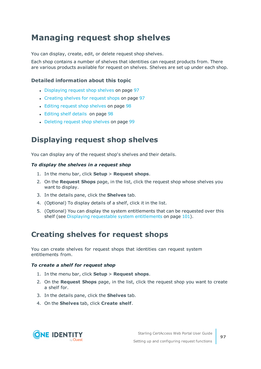## <span id="page-96-0"></span>**Managing request shop shelves**

You can display, create, edit, or delete request shop shelves.

Each shop contains a number of shelves that identities can request products from. There are various products available for request on shelves. Shelves are set up under each shop.

## **Detailed information about this topic**

- [Displaying](#page-96-1) request shop shelves on page 97
- [Creating](#page-96-2) shelves for request shops on page 97
- Editing [request](#page-97-1) shop shelves on page 98
- [Editing](#page-97-0) shelf details on page 98
- [Deleting](#page-98-0) request shop shelves on page 99

## <span id="page-96-1"></span>**Displaying request shop shelves**

You can display any of the request shop's shelves and their details.

### *To display the shelves in a request shop*

- 1. In the menu bar, click **Setup** > **Request shops**.
- 2. On the **Request Shops** page, in the list, click the request shop whose shelves you want to display.
- 3. In the details pane, click the **Shelves** tab.
- 4. (Optional) To display details of a shelf, click it in the list.
- 5. (Optional) You can display the system entitlements that can be requested over this shelf (see Displaying requestable system [entitlements](#page-100-2) on page 101).

## <span id="page-96-2"></span>**Creating shelves for request shops**

You can create shelves for request shops that identities can request system entitlements from.

### *To create a shelf for request shop*

- 1. In the menu bar, click **Setup** > **Request shops**.
- 2. On the **Request Shops** page, in the list, click the request shop you want to create a shelf for.
- 3. In the details pane, click the **Shelves** tab.
- 4. On the **Shelves** tab, click **Create shelf**.

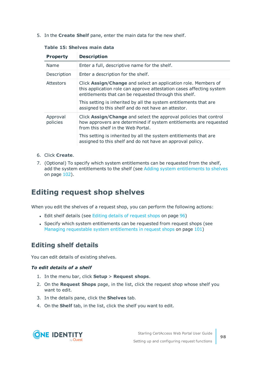5. In the **Create Shelf** pane, enter the main data for the new shelf.

| <b>Property</b>      | <b>Description</b>                                                                                                                                                                                                                                                                                                           |
|----------------------|------------------------------------------------------------------------------------------------------------------------------------------------------------------------------------------------------------------------------------------------------------------------------------------------------------------------------|
| Name                 | Enter a full, descriptive name for the shelf.                                                                                                                                                                                                                                                                                |
| Description          | Enter a description for the shelf.                                                                                                                                                                                                                                                                                           |
| Attestors            | Click Assign/Change and select an application role. Members of<br>this application role can approve attestation cases affecting system<br>entitlements that can be requested through this shelf.<br>This setting is inherited by all the system entitlements that are<br>assigned to this shelf and do not have an attestor. |
| Approval<br>policies | Click Assign/Change and select the approval policies that control<br>how approvers are determined if system entitlements are requested<br>from this shelf in the Web Portal.                                                                                                                                                 |
|                      | This setting is inherited by all the system entitlements that are<br>assigned to this shelf and do not have an approval policy.                                                                                                                                                                                              |

### **Table 15: Shelves main data**

- 6. Click **Create**.
- 7. (Optional) To specify which system entitlements can be requested from the shelf, add the system entitlements to the shelf (see Adding system [entitlements](#page-101-0) to shelves on [page](#page-101-0) 102).

## <span id="page-97-1"></span>**Editing request shop shelves**

When you edit the shelves of a request shop, you can perform the following actions:

- Edit shelf details (see Editing details of [request](#page-95-0) shops on page 96)
- Specify which system entitlements can be requested from request shops (see Managing requestable system [entitlements](#page-100-0) in request shops on page 101)

## <span id="page-97-0"></span>**Editing shelf details**

You can edit details of existing shelves.

### *To edit details of a shelf*

- 1. In the menu bar, click **Setup** > **Request shops**.
- 2. On the **Request Shops** page, in the list, click the request shop whose shelf you want to edit.
- 3. In the details pane, click the **Shelves** tab.
- 4. On the **Shelf** tab, in the list, click the shelf you want to edit.

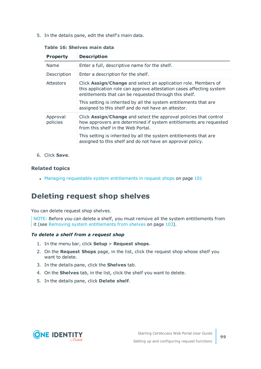5. In the details pane, edit the shelf's main data.

| <b>Property</b>      | <b>Description</b>                                                                                                                                                                                                                                                                                                           |
|----------------------|------------------------------------------------------------------------------------------------------------------------------------------------------------------------------------------------------------------------------------------------------------------------------------------------------------------------------|
| Name                 | Enter a full, descriptive name for the shelf.                                                                                                                                                                                                                                                                                |
| Description          | Enter a description for the shelf.                                                                                                                                                                                                                                                                                           |
| <b>Attestors</b>     | Click Assign/Change and select an application role. Members of<br>this application role can approve attestation cases affecting system<br>entitlements that can be requested through this shelf.<br>This setting is inherited by all the system entitlements that are<br>assigned to this shelf and do not have an attestor. |
| Approval<br>policies | Click Assign/Change and select the approval policies that control<br>how approvers are determined if system entitlements are requested<br>from this shelf in the Web Portal.                                                                                                                                                 |
|                      | This setting is inherited by all the system entitlements that are<br>assigned to this shelf and do not have an approval policy.                                                                                                                                                                                              |

### **Table 16: Shelves main data**

6. Click **Save**.

## **Related topics**

 $\cdot$  Managing requestable system [entitlements](#page-100-0) in request shops on page  $101$ 

## <span id="page-98-0"></span>**Deleting request shop shelves**

You can delete request shop shelves.

NOTE: Before you can delete a shelf, you must remove all the system entitlements from it (see Removing system [entitlements](#page-102-1) from shelves on page 103).

### *To delete a shelf from a request shop*

- 1. In the menu bar, click **Setup** > **Request shops**.
- 2. On the **Request Shops** page, in the list, click the request shop whose shelf you want to delete.
- 3. In the details pane, click the **Shelves** tab.
- 4. On the **Shelves** tab, in the list, click the shelf you want to delete.
- 5. In the details pane, click **Delete shelf**.

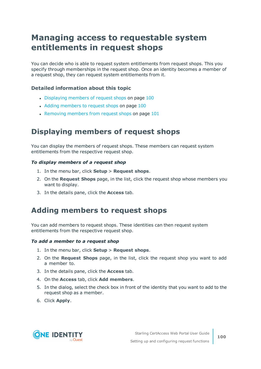## <span id="page-99-0"></span>**Managing access to requestable system entitlements in request shops**

You can decide who is able to request system entitlements from request shops. This you specify through memberships in the request shop. Once an identity becomes a member of a request shop, they can request system entitlements from it.

## **Detailed information about this topic**

- [Displaying](#page-99-1) members of request shops on page 100
- Adding [members](#page-99-2) to request shops on page 100
- $\cdot$  [Removing](#page-100-1) members from request shops on page 101

## <span id="page-99-1"></span>**Displaying members of request shops**

You can display the members of request shops. These members can request system entitlements from the respective request shop.

### *To display members of a request shop*

- 1. In the menu bar, click **Setup** > **Request shops**.
- 2. On the **Request Shops** page, in the list, click the request shop whose members you want to display.
- <span id="page-99-2"></span>3. In the details pane, click the **Access** tab.

## **Adding members to request shops**

You can add members to request shops. These identities can then request system entitlements from the respective request shop.

### *To add a member to a request shop*

- 1. In the menu bar, click **Setup** > **Request shops**.
- 2. On the **Request Shops** page, in the list, click the request shop you want to add a member to.
- 3. In the details pane, click the **Access** tab.
- 4. On the **Access** tab, click **Add members**.
- 5. In the dialog, select the check box in front of the identity that you want to add to the request shop as a member.
- 6. Click **Apply**.

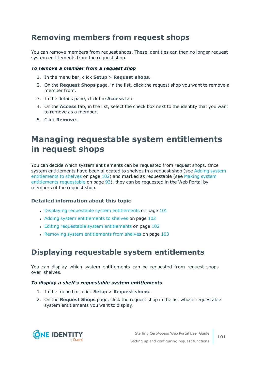## <span id="page-100-1"></span>**Removing members from request shops**

You can remove members from request shops. These identities can then no longer request system entitlements from the request shop.

#### *To remove a member from a request shop*

- 1. In the menu bar, click **Setup** > **Request shops**.
- 2. On the **Request Shops** page, in the list, click the request shop you want to remove a member from.
- 3. In the details pane, click the **Access** tab.
- 4. On the **Access** tab, in the list, select the check box next to the identity that you want to remove as a member.
- <span id="page-100-0"></span>5. Click **Remove**.

## **Managing requestable system entitlements in request shops**

You can decide which system entitlements can be requested from request shops. Once system entitlements have been allocated to shelves in a request shop (see Adding [system](#page-101-0) [entitlements](#page-101-0) to shelves on page 102) and marked as requestable (see Making [system](#page-92-0) [entitlements](#page-92-0) requestable on page 93), they can be requested in the Web Portal by members of the request shop.

## **Detailed information about this topic**

- $\bullet$  Displaying requestable system [entitlements](#page-100-2) on page 101
- Adding system [entitlements](#page-101-0) to shelves on page 102
- Editing requestable system [entitlements](#page-101-1) on page 102
- $\cdot$  Removing system [entitlements](#page-102-1) from shelves on page 103

## <span id="page-100-2"></span>**Displaying requestable system entitlements**

You can display which system entitlements can be requested from request shops over shelves.

### *To display a shelf's requestable system entitlements*

- 1. In the menu bar, click **Setup** > **Request shops**.
- 2. On the **Request Shops** page, click the request shop in the list whose requestable system entitlements you want to display.

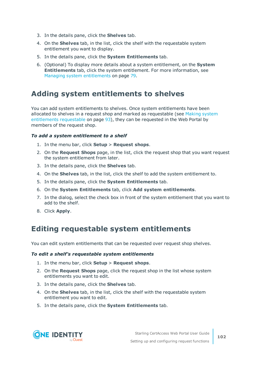- 3. In the details pane, click the **Shelves** tab.
- 4. On the **Shelves** tab, in the list, click the shelf with the requestable system entitlement you want to display.
- 5. In the details pane, click the **System Entitlements** tab.
- 6. (Optional) To display more details about a system entitlement, on the **System Entitlements** tab, click the system entitlement. For more information, see Managing system [entitlements](#page-78-0) on page 79.

## <span id="page-101-0"></span>**Adding system entitlements to shelves**

You can add system entitlements to shelves. Once system entitlements have been allocated to shelves in a request shop and marked as requestable (see Making [system](#page-92-0) [entitlements](#page-92-0) requestable on page 93), they can be requested in the Web Portal by members of the request shop.

### *To add a system entitlement to a shelf*

- 1. In the menu bar, click **Setup** > **Request shops**.
- 2. On the **Request Shops** page, in the list, click the request shop that you want request the system entitlement from later.
- 3. In the details pane, click the **Shelves** tab.
- 4. On the **Shelves** tab, in the list, click the shelf to add the system entitlement to.
- 5. In the details pane, click the **System Entitlements** tab.
- 6. On the **System Entitlements** tab, click **Add system entitlements**.
- 7. In the dialog, select the check box in front of the system entitlement that you want to add to the shelf.
- <span id="page-101-1"></span>8. Click **Apply**.

## **Editing requestable system entitlements**

You can edit system entitlements that can be requested over request shop shelves.

#### *To edit a shelf's requestable system entitlements*

- 1. In the menu bar, click **Setup** > **Request shops**.
- 2. On the **Request Shops** page, click the request shop in the list whose system entitlements you want to edit.
- 3. In the details pane, click the **Shelves** tab.
- 4. On the **Shelves** tab, in the list, click the shelf with the requestable system entitlement you want to edit.
- 5. In the details pane, click the **System Entitlements** tab.

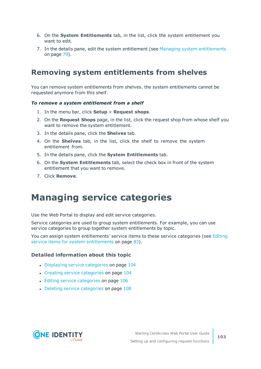- 6. On the **System Entitlements** tab, in the list, click the system entitlement you want to edit.
- 7. In the details pane, edit the system entitlement (see Managing system [entitlements](#page-78-0) on [page](#page-78-0) 79).

## <span id="page-102-1"></span>**Removing system entitlements from shelves**

You can remove system entitlements from shelves. the system entitlements cannot be requested anymore from this shelf.

#### *To remove a system entitlement from a shelf*

- 1. In the menu bar, click **Setup** > **Request shops**.
- 2. On the **Request Shops** page, in the list, click the request shop from whose shelf you want to remove the system entitlement.
- 3. In the details pane, click the **Shelves** tab.
- 4. On the **Shelves** tab, in the list, click the shelf to remove the system entitlement from.
- 5. In the details pane, click the **System Entitlements** tab.
- 6. On the **System Entitlements** tab, select the check box in front of the system entitlement that you want to remove.
- <span id="page-102-0"></span>7. Click **Remove**.

## **Managing service categories**

Use the Web Portal to display and edit service categories.

Service categories are used to group system entitlements. For example, you can use service categories to group together system entitlements by topic.

You can assign system entitlements' service items to these service categories (see [Editing](#page-82-0) service items for system [entitlements](#page-82-0) on page 83).

#### **Detailed information about this topic**

- [Displaying](#page-103-0) service categories on page 104
- Creating service [categories](#page-103-1) on page 104
- Editing service [categories](#page-105-0) on page 106
- Deleting service [categories](#page-107-0) on page 108

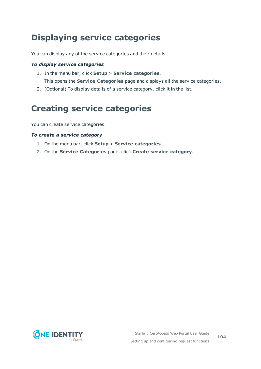# <span id="page-103-0"></span>**Displaying service categories**

You can display any of the service categories and their details.

### *To display service categories*

- 1. In the menu bar, click **Setup** > **Service categories**. This opens the **Service Categories** page and displays all the service categories.
- <span id="page-103-1"></span>2. (Optional) To display details of a service category, click it in the list.

## **Creating service categories**

You can create service categories.

#### *To create a service category*

- 1. On the menu bar, click **Setup** > **Service categories**.
- 2. On the **Service Categories** page, click **Create service category**.

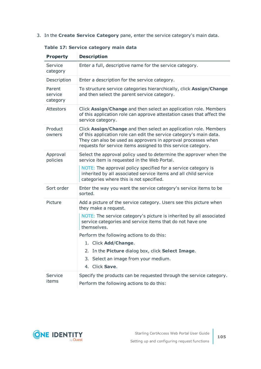3. In the **Create Service Category** pane, enter the service category's main data.

| <b>Property</b>               | <b>Description</b>                                                                                                                                                                                                                                                        |
|-------------------------------|---------------------------------------------------------------------------------------------------------------------------------------------------------------------------------------------------------------------------------------------------------------------------|
| Service<br>category           | Enter a full, descriptive name for the service category.                                                                                                                                                                                                                  |
| Description                   | Enter a description for the service category.                                                                                                                                                                                                                             |
| Parent<br>service<br>category | To structure service categories hierarchically, click Assign/Change<br>and then select the parent service category.                                                                                                                                                       |
| <b>Attestors</b>              | Click Assign/Change and then select an application role. Members<br>of this application role can approve attestation cases that affect the<br>service category.                                                                                                           |
| Product<br>owners             | Click Assign/Change and then select an application role. Members<br>of this application role can edit the service category's main data.<br>They can also be used as approvers in approval processes when<br>requests for service items assigned to this service category. |
| Approval<br>policies          | Select the approval policy used to determine the approver when the<br>service item is requested in the Web Portal.                                                                                                                                                        |
|                               | NOTE: The approval policy specified for a service category is<br>inherited by all associated service items and all child service<br>categories where this is not specified.                                                                                               |
| Sort order                    | Enter the way you want the service category's service items to be<br>sorted.                                                                                                                                                                                              |
| Picture                       | Add a picture of the service category. Users see this picture when<br>they make a request.                                                                                                                                                                                |
|                               | NOTE: The service category's picture is inherited by all associated<br>service categories and service items that do not have one<br>themselves.                                                                                                                           |
|                               | Perform the following actions to do this:                                                                                                                                                                                                                                 |
|                               | 1. Click Add/Change.                                                                                                                                                                                                                                                      |
|                               | 2. In the Picture dialog box, click Select Image.                                                                                                                                                                                                                         |
|                               | Select an image from your medium.<br>3.                                                                                                                                                                                                                                   |
|                               | Click Save.<br>4.                                                                                                                                                                                                                                                         |
| Service<br>items              | Specify the products can be requested through the service category.                                                                                                                                                                                                       |
|                               | Perform the following actions to do this:                                                                                                                                                                                                                                 |

**Table 17: Service category main data**

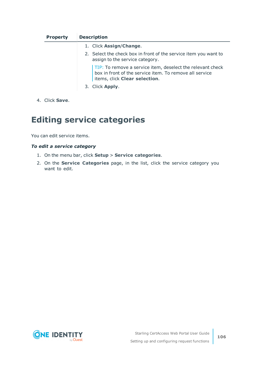| <b>Property</b> | <b>Description</b>                                                                                                                                     |
|-----------------|--------------------------------------------------------------------------------------------------------------------------------------------------------|
|                 | 1. Click Assign/Change.                                                                                                                                |
|                 | 2. Select the check box in front of the service item you want to<br>assign to the service category.                                                    |
|                 | TIP: To remove a service item, deselect the relevant check<br>box in front of the service item. To remove all service<br>items, click Clear selection. |
|                 | 3. Click Apply.                                                                                                                                        |

<span id="page-105-0"></span>4. Click **Save**.

## **Editing service categories**

You can edit service items.

### *To edit a service category*

- 1. On the menu bar, click **Setup** > **Service categories**.
- 2. On the **Service Categories** page, in the list, click the service category you want to edit.

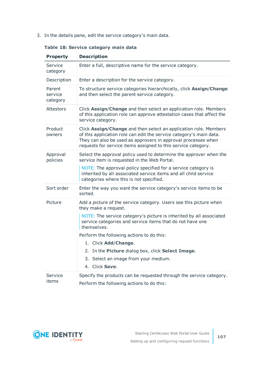3. In the details pane, edit the service category's main data.

| <b>Property</b>               | <b>Description</b>                                                                                                                                                                                                                                                        |
|-------------------------------|---------------------------------------------------------------------------------------------------------------------------------------------------------------------------------------------------------------------------------------------------------------------------|
| Service<br>category           | Enter a full, descriptive name for the service category.                                                                                                                                                                                                                  |
| Description                   | Enter a description for the service category.                                                                                                                                                                                                                             |
| Parent<br>service<br>category | To structure service categories hierarchically, click Assign/Change<br>and then select the parent service category.                                                                                                                                                       |
| <b>Attestors</b>              | Click Assign/Change and then select an application role. Members<br>of this application role can approve attestation cases that affect the<br>service category.                                                                                                           |
| Product<br>owners             | Click Assign/Change and then select an application role. Members<br>of this application role can edit the service category's main data.<br>They can also be used as approvers in approval processes when<br>requests for service items assigned to this service category. |
| Approval<br>policies          | Select the approval policy used to determine the approver when the<br>service item is requested in the Web Portal.                                                                                                                                                        |
|                               | NOTE: The approval policy specified for a service category is<br>inherited by all associated service items and all child service<br>categories where this is not specified.                                                                                               |
| Sort order                    | Enter the way you want the service category's service items to be<br>sorted.                                                                                                                                                                                              |
| Picture                       | Add a picture of the service category. Users see this picture when<br>they make a request.                                                                                                                                                                                |
|                               | NOTE: The service category's picture is inherited by all associated<br>service categories and service items that do not have one<br>themselves.                                                                                                                           |
|                               | Perform the following actions to do this:                                                                                                                                                                                                                                 |
|                               | 1. Click Add/Change.                                                                                                                                                                                                                                                      |
|                               | 2. In the Picture dialog box, click Select Image.                                                                                                                                                                                                                         |
|                               | Select an image from your medium.<br>3.                                                                                                                                                                                                                                   |
|                               | 4. Click Save.                                                                                                                                                                                                                                                            |
| Service<br>items              | Specify the products can be requested through the service category.                                                                                                                                                                                                       |
|                               | Perform the following actions to do this:                                                                                                                                                                                                                                 |

### **Table 18: Service category main data**

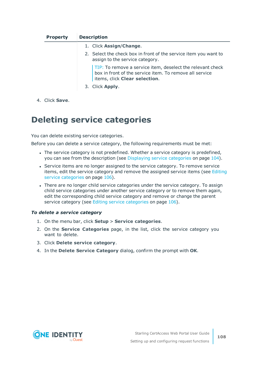| <b>Property</b> | <b>Description</b>                                                                                                                                     |
|-----------------|--------------------------------------------------------------------------------------------------------------------------------------------------------|
|                 | 1. Click Assign/Change.                                                                                                                                |
|                 | 2. Select the check box in front of the service item you want to<br>assign to the service category.                                                    |
|                 | TIP: To remove a service item, deselect the relevant check<br>box in front of the service item. To remove all service<br>items, click Clear selection. |
|                 | 3. Click Apply.                                                                                                                                        |

<span id="page-107-0"></span>4. Click **Save**.

## **Deleting service categories**

You can delete existing service categories.

Before you can delete a service category, the following requirements must be met:

- The service category is not predefined. Whether a service category is predefined, you can see from the description (see [Displaying](#page-103-0) service categories on page 104).
- Service items are no longer assigned to the service category. To remove service items, edit the service category and remove the assigned service items (see [Editing](#page-105-0) service [categories](#page-105-0) on page 106).
- There are no longer child service categories under the service category. To assign child service categories under another service category or to remove them again, edit the corresponding child service category and remove or change the parent service category (see Editing service [categories](#page-105-0) on page 106).

### *To delete a service category*

- 1. On the menu bar, click **Setup** > **Service categories**.
- 2. On the **Service Categories** page, in the list, click the service category you want to delete.
- 3. Click **Delete service category**.
- 4. In the **Delete Service Category** dialog, confirm the prompt with **OK**.

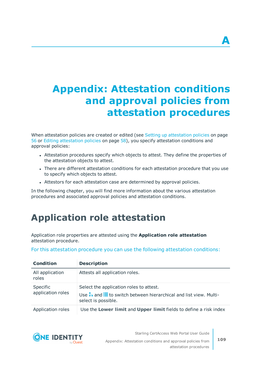# **Appendix: Attestation conditions and approval policies from attestation procedures**

When [attestation](#page-55-0) policies are created or edited (see Setting up attestation policies on page [56](#page-55-0) or Editing [attestation](#page-57-0) policies on page 58), you specify attestation conditions and approval policies:

- Attestation procedures specify which objects to attest. They define the properties of the attestation objects to attest.
- There are different attestation conditions for each attestation procedure that you use to specify which objects to attest.
- Attestors for each attestation case are determined by approval policies.

In the following chapter, you will find more information about the various attestation procedures and associated approval policies and attestation conditions.

# **Application role attestation**

Application role properties are attested using the **Application role attestation** attestation procedure.

For this attestation procedure you can use the following attestation conditions:

| <b>Condition</b>              | <b>Description</b>                                                                                                                                    |
|-------------------------------|-------------------------------------------------------------------------------------------------------------------------------------------------------|
| All application<br>roles      | Attests all application roles.                                                                                                                        |
| Specific<br>application roles | Select the application roles to attest.<br>Use $\frac{1}{1}$ and $\equiv$ to switch between hierarchical and list view. Multi-<br>select is possible. |
| Application roles             | Use the Lower limit and Upper limit fields to define a risk index                                                                                     |



Starling CertAccess Web Portal User Guide Appendix: Attestation conditions and approval policies from attestation procedures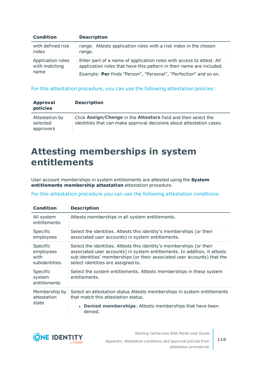| <b>Condition</b>                           | <b>Description</b>                                                                                                                           |
|--------------------------------------------|----------------------------------------------------------------------------------------------------------------------------------------------|
| with defined risk<br>index                 | range. Attests application roles with a risk index in the chosen<br>range.                                                                   |
| Application roles<br>with matching<br>name | Enter part of a name of application roles with access to attest. All<br>application roles that have this pattern in their name are included. |
|                                            | Example: Per finds "Person", "Personal", "Perfection" and so on.                                                                             |

#### For this attestation procedure, you can use the following attestation policies:

| <b>Approval</b><br>policies             | <b>Description</b>                                                                                                                     |
|-----------------------------------------|----------------------------------------------------------------------------------------------------------------------------------------|
| Attestation by<br>selected<br>approvers | Click Assign/Change in the Attestors field and then select the<br>identities that can make approval decisions about attestation cases. |

# **Attesting memberships in system entitlements**

User account memberships in system entitlements are attested using the **System entitlements membership attestation** attestation procedure.

For this attestation procedure you can use the following attestation conditions:

| <b>Condition</b>                                | <b>Description</b>                                                                                                                                                                                                                                                  |
|-------------------------------------------------|---------------------------------------------------------------------------------------------------------------------------------------------------------------------------------------------------------------------------------------------------------------------|
| All system<br>entitlements                      | Attests memberships in all system entitlements.                                                                                                                                                                                                                     |
| Specific<br>employees                           | Select the identities. Attests this identity's memberships (or their<br>associated user accounts) in system entitlements.                                                                                                                                           |
| Specific<br>employees<br>with<br>subidentities. | Select the identities. Attests this identity's memberships (or their<br>associated user accounts) in system entitlements. In addition, it attests<br>sub identities' memberships (or their associated user accounts) that the<br>select identities are assigned to. |
| Specific<br>system<br>entitlements              | Select the system entitlements. Attests memberships in these system<br>entitlements.                                                                                                                                                                                |
| Membership by<br>attestation<br>state           | Select an attestation status Attests memberships in system entitlements<br>that match this attestation status.<br><b>Denied memberships:</b> Attests memberships that have been<br>denied.                                                                          |



Starling CertAccess Web Portal User Guide Appendix: Attestation conditions and approval policies from attestation procedures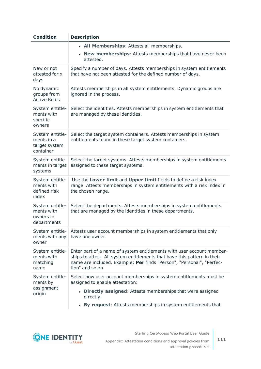| <b>Condition</b>                                            | <b>Description</b>                                                                                                                                                                                                                            |  |
|-------------------------------------------------------------|-----------------------------------------------------------------------------------------------------------------------------------------------------------------------------------------------------------------------------------------------|--|
|                                                             | • All Memberships: Attests all memberships.                                                                                                                                                                                                   |  |
|                                                             | New memberships: Attests memberships that have never been<br>attested.                                                                                                                                                                        |  |
| New or not<br>attested for x<br>days                        | Specify a number of days. Attests memberships in system entitlements<br>that have not been attested for the defined number of days.                                                                                                           |  |
| No dynamic<br>groups from<br><b>Active Roles</b>            | Attests memberships in all system entitlements. Dynamic groups are<br>ignored in the process.                                                                                                                                                 |  |
| System entitle-<br>ments with<br>specific<br>owners         | Select the identities. Attests memberships in system entitlements that<br>are managed by these identities.                                                                                                                                    |  |
| System entitle-<br>ments in a<br>target system<br>container | Select the target system containers. Attests memberships in system<br>entitlements found in these target system containers.                                                                                                                   |  |
| System entitle-<br>ments in target<br>systems               | Select the target systems. Attests memberships in system entitlements<br>assigned to these target systems.                                                                                                                                    |  |
| System entitle-<br>ments with<br>defined risk<br>index      | Use the Lower limit and Upper limit fields to define a risk index<br>range. Attests memberships in system entitlements with a risk index in<br>the chosen range.                                                                              |  |
| System entitle-<br>ments with<br>owners in<br>departments   | Select the departments. Attests memberships in system entitlements<br>that are managed by the identities in these departments.                                                                                                                |  |
| System entitle-<br>ments with any<br>owner                  | Attests user account memberships in system entitlements that only<br>have one owner.                                                                                                                                                          |  |
| System entitle-<br>ments with<br>matching<br>name           | Enter part of a name of system entitlements with user account member-<br>ships to attest. All system entitlements that have this pattern in their<br>name are included. Example: Per finds "Person", "Personal", "Perfec-<br>tion" and so on. |  |
| System entitle-<br>ments by<br>assignment<br>origin         | Select how user account memberships in system entitlements must be<br>assigned to enable attestation:                                                                                                                                         |  |
|                                                             | • Directly assigned: Attests memberships that were assigned<br>directly.                                                                                                                                                                      |  |
|                                                             | By request: Attests memberships in system entitlements that                                                                                                                                                                                   |  |

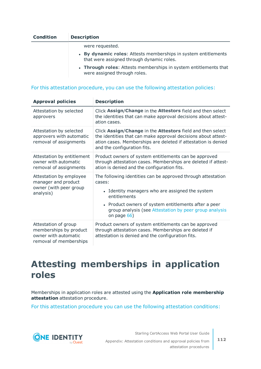| <b>Condition</b> | <b>Description</b>                                                                                          |
|------------------|-------------------------------------------------------------------------------------------------------------|
|                  | were requested.                                                                                             |
|                  | • By dynamic roles: Attests memberships in system entitlements<br>that were assigned through dynamic roles. |
|                  | ● International controls → Alliants and another addition to construct a subtitude on the light.             |

**· Through roles:** Attests memberships in system entitlements that were assigned through roles.

#### For this attestation procedure, you can use the following attestation policies:

| <b>Approval policies</b>                                                                         | <b>Description</b>                                                                                                                                                                                                                                                         |
|--------------------------------------------------------------------------------------------------|----------------------------------------------------------------------------------------------------------------------------------------------------------------------------------------------------------------------------------------------------------------------------|
| Attestation by selected<br>approvers                                                             | Click Assign/Change in the Attestors field and then select<br>the identities that can make approval decisions about attest-<br>ation cases.                                                                                                                                |
| Attestation by selected<br>approvers with automatic<br>removal of assignments                    | Click Assign/Change in the Attestors field and then select<br>the identities that can make approval decisions about attest-<br>ation cases. Memberships are deleted if attestation is denied<br>and the configuration fits.                                                |
| Attestation by entitlement<br>owner with automatic<br>removal of assignments                     | Product owners of system entitlements can be approved<br>through attestation cases. Memberships are deleted if attest-<br>ation is denied and the configuration fits.                                                                                                      |
| Attestation by employee<br>manager and product<br>owner (with peer group<br>analysis)            | The following identities can be approved through attestation<br>cases:<br>• Identity managers who are assigned the system<br>entitlements<br>• Product owners of system entitlements after a peer<br>group analysis (see Attestation by peer group analysis<br>on page 66) |
| Attestation of group<br>memberships by product<br>owner with automatic<br>removal of memberships | Product owners of system entitlements can be approved<br>through attestation cases. Memberships are deleted if<br>attestation is denied and the configuration fits.                                                                                                        |

# **Attesting memberships in application roles**

Memberships in application roles are attested using the **Application role membership attestation** attestation procedure.

For this attestation procedure you can use the following attestation conditions:



Starling CertAccess Web Portal User Guide Appendix: Attestation conditions and approval policies from attestation procedures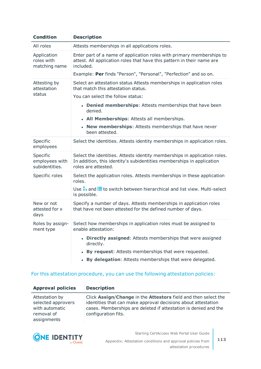| <b>Condition</b>                             | <b>Description</b>                                                                                                                                                        |
|----------------------------------------------|---------------------------------------------------------------------------------------------------------------------------------------------------------------------------|
| All roles                                    | Attests memberships in all applications roles.                                                                                                                            |
| Application<br>roles with<br>matching name   | Enter part of a name of application roles with primary memberships to<br>attest. All application roles that have this pattern in their name are<br>included.              |
|                                              | Example: Per finds "Person", "Personal", "Perfection" and so on.                                                                                                          |
| Attesting by<br>attestation                  | Select an attestation status Attests memberships in application roles<br>that match this attestation status.                                                              |
| status                                       | You can select the follow status:                                                                                                                                         |
|                                              | • Denied memberships: Attests memberships that have been<br>denied.                                                                                                       |
|                                              | • All Memberships: Attests all memberships.                                                                                                                               |
|                                              | • New memberships: Attests memberships that have never<br>been attested.                                                                                                  |
| Specific<br>employees                        | Select the identities. Attests identity memberships in application roles.                                                                                                 |
| Specific<br>employees with<br>subidentities. | Select the identities. Attests identity memberships in application roles.<br>In addition, this identity's subidentities memberships in application<br>roles are attested. |
| Specific roles                               | Select the application roles. Attests memberships in these application<br>roles.                                                                                          |
|                                              | Use $\frac{1}{k_1}$ and $\equiv$ to switch between hierarchical and list view. Multi-select<br>is possible.                                                               |
| New or not<br>attested for x<br>days         | Specify a number of days. Attests memberships in application roles<br>that have not been attested for the defined number of days.                                         |
| Roles by assign-<br>ment type                | Select how memberships in application roles must be assigned to<br>enable attestation:                                                                                    |
|                                              | • Directly assigned: Attests memberships that were assigned<br>directly.                                                                                                  |
|                                              | By request: Attests memberships that were requested.                                                                                                                      |
|                                              | By delegation: Attests memberships that were delegated.                                                                                                                   |

#### For this attestation procedure, you can use the following attestation policies:

| <b>Approval policies</b>                                                            | <b>Description</b>                                                                                                                                                                                                        |
|-------------------------------------------------------------------------------------|---------------------------------------------------------------------------------------------------------------------------------------------------------------------------------------------------------------------------|
| Attestation by<br>selected approvers<br>with automatic<br>removal of<br>assignments | Click Assign/Change in the Attestors field and then select the<br>identities that can make approval decisions about attestation<br>cases. Memberships are deleted if attestation is denied and the<br>configuration fits. |



Appendix: Attestation conditions and approval policies from attestation procedures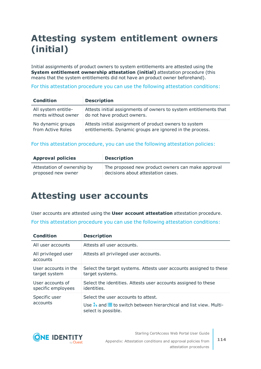# **Attesting system entitlement owners (initial)**

Initial assignments of product owners to system entitlements are attested using the **System entitlement ownership attestation (initial)** attestation procedure (this means that the system entitlements did not have an product owner beforehand).

For this attestation procedure you can use the following attestation conditions:

| <b>Condition</b>    | <b>Description</b>                                                |
|---------------------|-------------------------------------------------------------------|
| All system entitle- | Attests initial assignments of owners to system entitlements that |
| ments without owner | do not have product owners.                                       |
| No dynamic groups   | Attests initial assignment of product owners to system            |
| from Active Roles   | entitlements. Dynamic groups are ignored in the process.          |

#### For this attestation procedure, you can use the following attestation policies:

| <b>Approval policies</b>    | <b>Description</b>                                |
|-----------------------------|---------------------------------------------------|
| Attestation of ownership by | The proposed new product owners can make approval |
| proposed new owner          | decisions about attestation cases.                |

## **Attesting user accounts**

User accounts are attested using the **User account attestation** attestation procedure. For this attestation procedure you can use the following attestation conditions:

| <b>Condition</b>                       | <b>Description</b>                                                                                                                                |
|----------------------------------------|---------------------------------------------------------------------------------------------------------------------------------------------------|
| All user accounts                      | Attests all user accounts.                                                                                                                        |
| All privileged user<br>accounts        | Attests all privileged user accounts.                                                                                                             |
| User accounts in the<br>target system  | Select the target systems. Attests user accounts assigned to these<br>target systems.                                                             |
| User accounts of<br>specific employees | Select the identities. Attests user accounts assigned to these<br>identities.                                                                     |
| Specific user<br>accounts              | Select the user accounts to attest.<br>Use $\frac{1}{2}$ and $\equiv$ to switch between hierarchical and list view. Multi-<br>select is possible. |

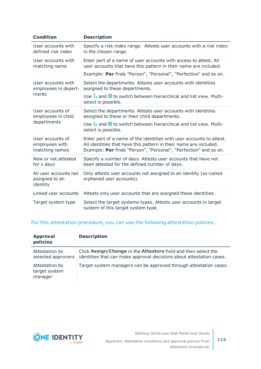| <b>Condition</b>                                      | <b>Description</b>                                                                                                                                                                                                                              |
|-------------------------------------------------------|-------------------------------------------------------------------------------------------------------------------------------------------------------------------------------------------------------------------------------------------------|
| User accounts with<br>defined risk index              | Specify a risk index range. Attests user accounts with a risk index<br>in the chosen range.                                                                                                                                                     |
| User accounts with<br>matching name                   | Enter part of a name of user accounts with access to attest. All<br>user accounts that have this pattern in their name are included.                                                                                                            |
|                                                       | Example: Per finds "Person", "Personal", "Perfection" and so on.                                                                                                                                                                                |
| User accounts with<br>employees in depart-<br>ments   | Select the departments. Attests user accounts with identities<br>assigned to these departments.                                                                                                                                                 |
|                                                       | Use $\frac{1}{k_1}$ and $\frac{1}{k_2}$ to switch between hierarchical and list view. Multi-<br>select is possible.                                                                                                                             |
| User accounts of<br>employees in child<br>departments | Select the departments. Attests user accounts with identities<br>assigned to these or their child departments.<br>Use $\stackrel{\bullet}{\leftrightarrow}$ and $\stackrel{\cdot}{\equiv}$ to switch between hierarchical and list view. Multi- |
|                                                       | select is possible.                                                                                                                                                                                                                             |
| User accounts of<br>employees with<br>matching names  | Enter part of a name of the identities with user accounts to attest.<br>All identities that have this pattern in their name are included.<br>Example: Per finds "Person", "Personal", "Perfection" and so on.                                   |
| New or not attested<br>for x days                     | Specify a number of days. Attests user accounts that have not<br>been attested for the defined number of days.                                                                                                                                  |
| All user accounts not<br>assigned to an<br>identity   | Only attests user accounts not assigned to an identity (so-called<br>orphaned user accounts).                                                                                                                                                   |
| Linked user accounts                                  | Attests only user accounts that are assigned these identities.                                                                                                                                                                                  |
| Target system type                                    | Select the target systems types. Attests user accounts in target<br>system of this target system type.                                                                                                                                          |

#### For this attestation procedure, you can use the following attestation policies:

| <b>Approval</b><br>policies                | <b>Description</b>                                                                                                                     |
|--------------------------------------------|----------------------------------------------------------------------------------------------------------------------------------------|
| Attestation by<br>selected approvers       | Click Assign/Change in the Attestors field and then select the<br>identities that can make approval decisions about attestation cases. |
| Attestation by<br>target system<br>manager | Target system managers can be approved through attestation cases.                                                                      |

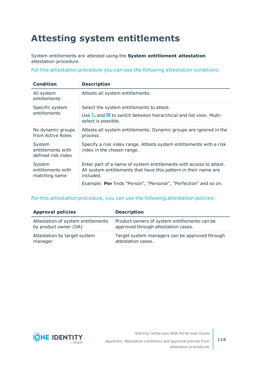# **Attesting system entitlements**

System entitlements are attested using the **System entitlement attestation** attestation procedure.

For this attestation procedure you can use the following attestation conditions:

| <b>Condition</b>                                  | <b>Description</b>                                                                                                                                  |
|---------------------------------------------------|-----------------------------------------------------------------------------------------------------------------------------------------------------|
| All system<br>entitlements                        | Attests all system entitlements.                                                                                                                    |
| Specific system<br>entitlements                   | Select the system entitlements to attest.                                                                                                           |
|                                                   | Use $\frac{1}{k_1}$ and $\equiv$ to switch between hierarchical and list view. Multi-<br>select is possible.                                        |
| No dynamic groups<br>from Active Roles            | Attests all system entitlements. Dynamic groups are ignored in the<br>process.                                                                      |
| System<br>entitlements with<br>defined risk index | Specify a risk index range. Attests system entitlements with a risk<br>index in the chosen range.                                                   |
| System<br>entitlements with<br>matching name      | Enter part of a name of system entitlements with access to attest.<br>All system entitlements that have this pattern in their name are<br>included. |
|                                                   | Example: Per finds "Person", "Personal", "Perfection" and so on.                                                                                    |

#### For this attestation procedure, you can use the following attestation policies:

| <b>Approval policies</b>           | <b>Description</b>                             |
|------------------------------------|------------------------------------------------|
| Attestation of system entitlements | Product owners of system entitlements can be   |
| by product owner (OA)              | approved through attestation cases.            |
| Attestation by target system       | Target system managers can be approved through |
| manager                            | attestation cases.                             |

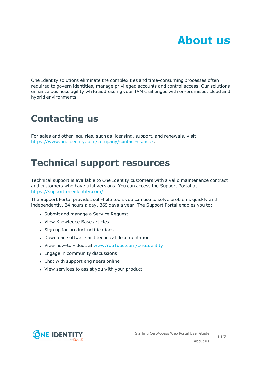One Identity solutions eliminate the complexities and time-consuming processes often required to govern identities, manage privileged accounts and control access. Our solutions enhance business agility while addressing your IAM challenges with on-premises, cloud and hybrid environments.

# **Contacting us**

For sales and other inquiries, such as licensing, support, and renewals, visit <https://www.oneidentity.com/company/contact-us.aspx>.

# **Technical support resources**

Technical support is available to One Identity customers with a valid maintenance contract and customers who have trial versions. You can access the Support Portal at [https://support.oneidentity.com/.](https://support.oneidentity.com/)

The Support Portal provides self-help tools you can use to solve problems quickly and independently, 24 hours a day, 365 days a year. The Support Portal enables you to:

- Submit and manage a Service Request
- View Knowledge Base articles
- Sign up for product notifications
- Download software and technical documentation
- View how-to videos at [www.YouTube.com/OneIdentity](http://www.youtube.com/OneIdentity)
- Engage in community discussions
- Chat with support engineers online
- View services to assist you with your product

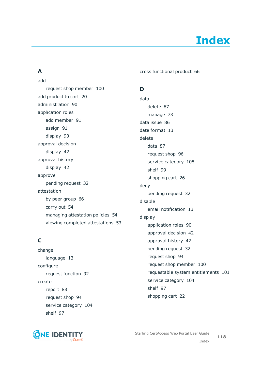## **A**

add

request shop member [100](#page-99-0)

add product to cart [20](#page-19-0)

add member [91](#page-90-0)

pending request [32](#page-31-0)

by peer group [66](#page-65-0)

managing attestation policies [54](#page-53-1) viewing completed attestations [53](#page-52-0)

carry out [54](#page-53-0)

language [13](#page-12-0)

report [88](#page-87-0)

shelf [97](#page-96-0)

request function [92](#page-91-0)

request shop [94](#page-93-0)

service category [104](#page-103-0)

administration [90](#page-89-0) application roles

assign [91](#page-90-0) display [90](#page-89-1) approval decision display [42](#page-41-0) approval history display [42](#page-41-0)

approve

**C**

change

configure

create

attestation

cross functional product [66](#page-65-0)

### **D**

data delete [87](#page-86-0) manage [73](#page-72-0) data issue [86](#page-85-0) date format [13](#page-12-0) delete data [87](#page-86-0) request shop [96](#page-95-0) service category [108](#page-107-0) shelf [99](#page-98-0) shopping cart [26](#page-25-0) deny pending request [32](#page-31-0) disable email notification [13](#page-12-1) display application roles [90](#page-89-1) approval decision [42](#page-41-0) approval history [42](#page-41-0) pending request [32](#page-31-1) request shop [94](#page-93-1) request shop member [100](#page-99-1) requestable system entitlements [101](#page-100-0) service category [104](#page-103-1) shelf [97](#page-96-1) shopping cart [22](#page-21-0)

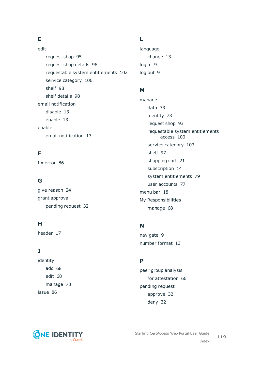## **E**

edit request shop [95](#page-94-0) request shop details [96](#page-95-1) requestable system entitlements [102](#page-101-0) service category [106](#page-105-0) shelf [98](#page-97-0) shelf details [98](#page-97-1) email notification disable [13](#page-12-1) enable [13](#page-12-1) enable email notification [13](#page-12-1)

## **F**

fix error [86](#page-85-0)

### **G**

give reason [24](#page-23-0) grant approval pending request [32](#page-31-0)

#### **H**

header [17](#page-16-0)

### **I**

identity add [68](#page-67-0) edit [68](#page-67-0) manage [73](#page-72-1) issue [86](#page-85-0)

#### **L**

language change [13](#page-12-0) log in [9](#page-8-0) log out [9](#page-8-0)

#### **M**

manage data [73](#page-72-0) identity [73](#page-72-1) request shop [93](#page-92-0) requestable system entitlements access [100](#page-99-2) service category [103](#page-102-0) shelf [97](#page-96-2) shopping cart [21](#page-20-0) subscription [14](#page-13-0) system entitlements [79](#page-78-0) user accounts [77](#page-76-0) menu bar [18](#page-17-0) My Responsibilities manage [68](#page-67-1)

### **N**

navigate [9](#page-8-1) number format [13](#page-12-0)

### **P**

peer group analysis for attestation [66](#page-65-0) pending request approve [32](#page-31-0) deny [32](#page-31-0)

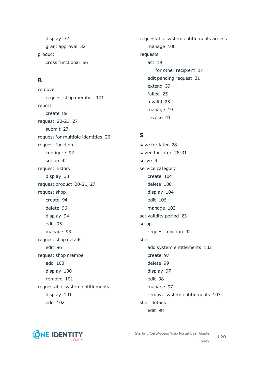display [32](#page-31-1) grant approval [32](#page-31-0) product cross functional [66](#page-65-0)

### **R**

remove request shop member [101](#page-100-1) report create [88](#page-87-0) request [20-21](#page-19-0), [27](#page-26-0) submit [27](#page-26-0) request for multiple identities [26](#page-25-1) request function configure [92](#page-91-0) set up [92](#page-91-0) request history display [38](#page-37-0) request product [20-21,](#page-19-0) [27](#page-26-0) request shop create [94](#page-93-0) delete [96](#page-95-0) display [94](#page-93-1) edit [95](#page-94-0) manage [93](#page-92-0) request shop details edit [96](#page-95-1) request shop member add [100](#page-99-0) display [100](#page-99-1) remove [101](#page-100-1) requestable system entitlements display [101](#page-100-0) edit [102](#page-101-0)

requestable system entitlements access manage [100](#page-99-2) requests act [19](#page-18-0) for other recipient [27](#page-26-1) edit pending request [31](#page-30-0) extend [39](#page-38-0) failed [25](#page-24-0) invalid [25](#page-24-0) manage [19](#page-18-1) revoke [41](#page-40-0)

#### **S**

save for later [28](#page-27-0) saved for later [28-31](#page-27-1) serve [9](#page-8-1) service category create [104](#page-103-0) delete [108](#page-107-0) display [104](#page-103-1) edit [106](#page-105-0) manage [103](#page-102-0) set validity period [23](#page-22-0) setup request function [92](#page-91-0) shelf add system entitlements [102](#page-101-1) create [97](#page-96-0) delete [99](#page-98-0) display [97](#page-96-1) edit [98](#page-97-0) manage [97](#page-96-2) remove system entitlements [103](#page-102-1) shelf details edit [98](#page-97-1)